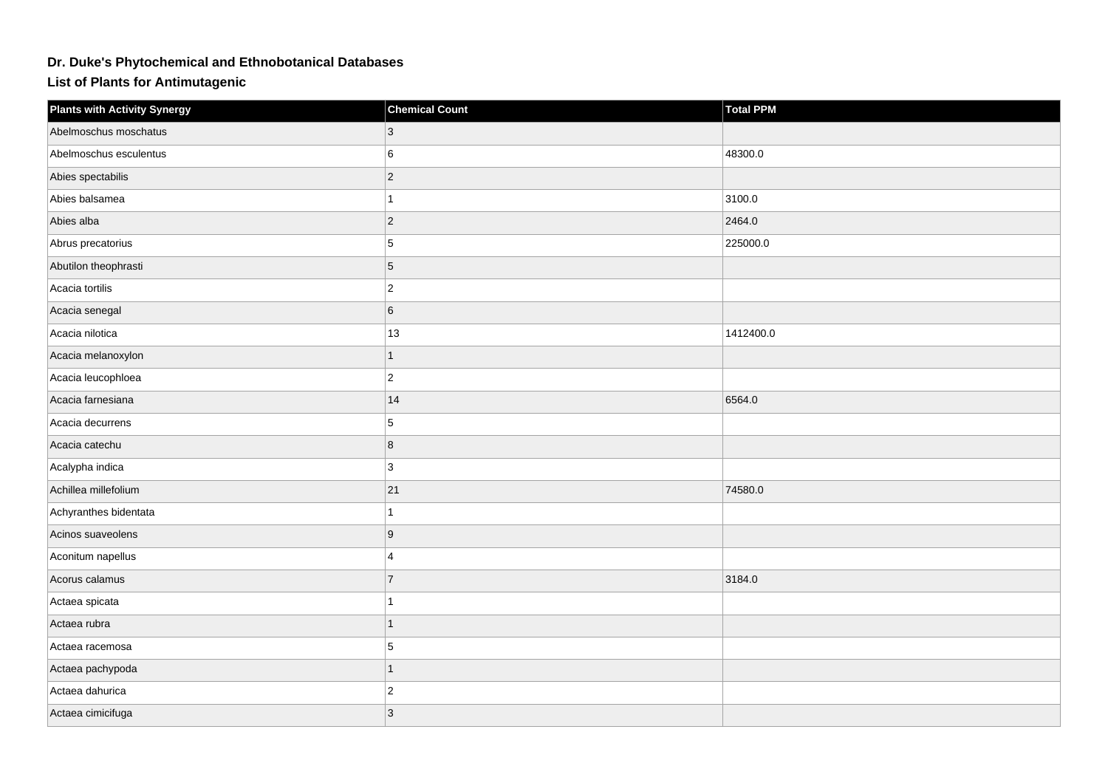## **Dr. Duke's Phytochemical and Ethnobotanical Databases**

**List of Plants for Antimutagenic**

| <b>Plants with Activity Synergy</b> | <b>Chemical Count</b> | <b>Total PPM</b> |
|-------------------------------------|-----------------------|------------------|
| Abelmoschus moschatus               | $\mathbf{3}$          |                  |
| Abelmoschus esculentus              | 6                     | 48300.0          |
| Abies spectabilis                   | $ 2\rangle$           |                  |
| Abies balsamea                      |                       | 3100.0           |
| Abies alba                          | $ 2\rangle$           | 2464.0           |
| Abrus precatorius                   | $5\phantom{.0}$       | 225000.0         |
| Abutilon theophrasti                | $\overline{5}$        |                  |
| Acacia tortilis                     | $ 2\rangle$           |                  |
| Acacia senegal                      | 6                     |                  |
| Acacia nilotica                     | 13                    | 1412400.0        |
| Acacia melanoxylon                  | $\overline{1}$        |                  |
| Acacia leucophloea                  | $\overline{2}$        |                  |
| Acacia farnesiana                   | 14                    | 6564.0           |
| Acacia decurrens                    | 5                     |                  |
| Acacia catechu                      | 8                     |                  |
| Acalypha indica                     | $\mathbf{3}$          |                  |
| Achillea millefolium                | 21                    | 74580.0          |
| Achyranthes bidentata               | 1                     |                  |
| Acinos suaveolens                   | ∣9                    |                  |
| Aconitum napellus                   | $\overline{4}$        |                  |
| Acorus calamus                      | $\overline{7}$        | 3184.0           |
| Actaea spicata                      | 1                     |                  |
| Actaea rubra                        | 1                     |                  |
| Actaea racemosa                     | $5\phantom{.0}$       |                  |
| Actaea pachypoda                    | 1                     |                  |
| Actaea dahurica                     | $ 2\rangle$           |                  |
| Actaea cimicifuga                   | $\overline{3}$        |                  |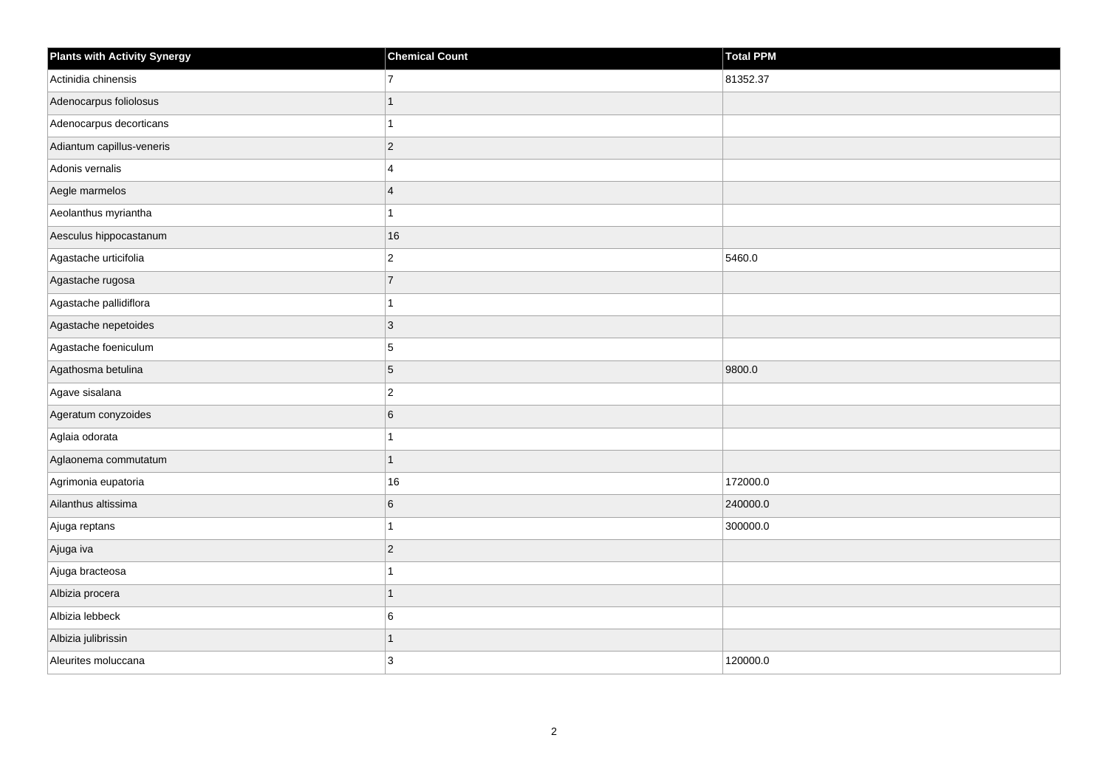| <b>Plants with Activity Synergy</b> | <b>Chemical Count</b>   | <b>Total PPM</b> |
|-------------------------------------|-------------------------|------------------|
| Actinidia chinensis                 | $\overline{7}$          | 81352.37         |
| Adenocarpus foliolosus              |                         |                  |
| Adenocarpus decorticans             |                         |                  |
| Adiantum capillus-veneris           | $\overline{2}$          |                  |
| Adonis vernalis                     | $\overline{\mathbf{4}}$ |                  |
| Aegle marmelos                      | $\boldsymbol{\Delta}$   |                  |
| Aeolanthus myriantha                |                         |                  |
| Aesculus hippocastanum              | 16                      |                  |
| Agastache urticifolia               | $\overline{c}$          | 5460.0           |
| Agastache rugosa                    | $\overline{7}$          |                  |
| Agastache pallidiflora              |                         |                  |
| Agastache nepetoides                | 3                       |                  |
| Agastache foeniculum                | 5                       |                  |
| Agathosma betulina                  | 5                       | 9800.0           |
| Agave sisalana                      | $\overline{c}$          |                  |
| Ageratum conyzoides                 | 6                       |                  |
| Aglaia odorata                      |                         |                  |
| Aglaonema commutatum                | 1                       |                  |
| Agrimonia eupatoria                 | 16                      | 172000.0         |
| Ailanthus altissima                 | 6                       | 240000.0         |
| Ajuga reptans                       |                         | 300000.0         |
| Ajuga iva                           | $\overline{2}$          |                  |
| Ajuga bracteosa                     |                         |                  |
| Albizia procera                     |                         |                  |
| Albizia lebbeck                     | 6                       |                  |
| Albizia julibrissin                 |                         |                  |
| Aleurites moluccana                 | 3                       | 120000.0         |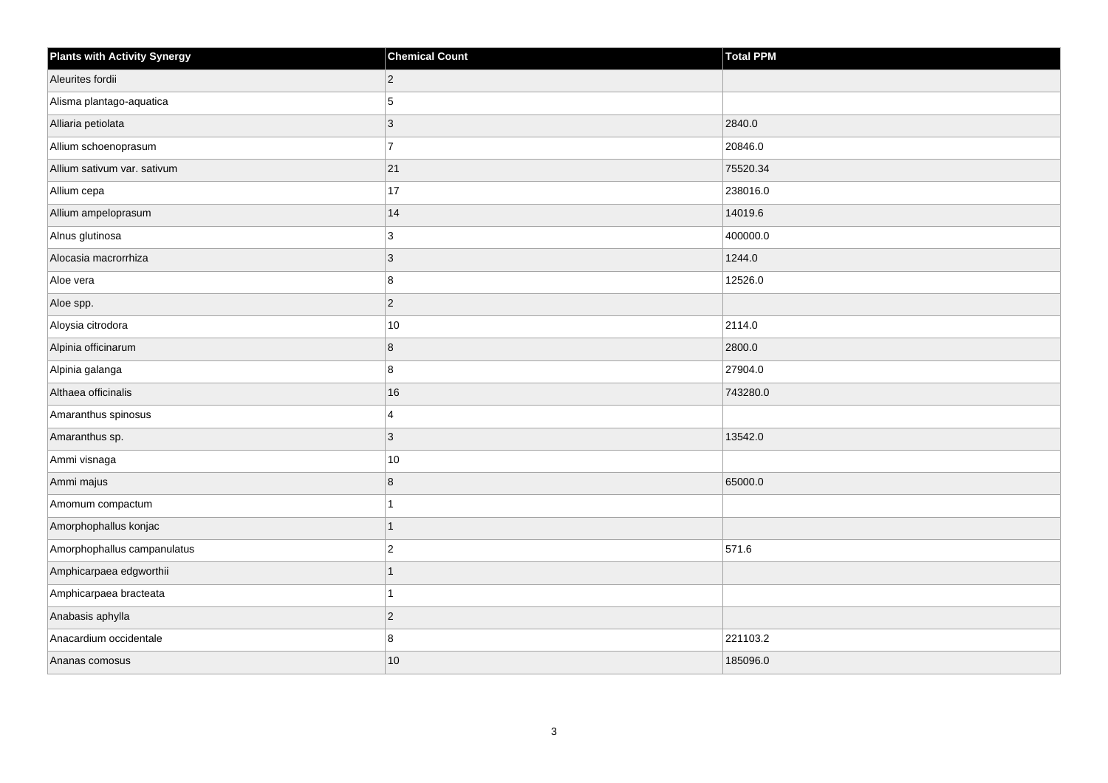| <b>Plants with Activity Synergy</b> | <b>Chemical Count</b> | Total PPM |
|-------------------------------------|-----------------------|-----------|
| Aleurites fordii                    | $\overline{2}$        |           |
| Alisma plantago-aquatica            | 5                     |           |
| Alliaria petiolata                  | 3                     | 2840.0    |
| Allium schoenoprasum                | $\overline{7}$        | 20846.0   |
| Allium sativum var. sativum         | 21                    | 75520.34  |
| Allium cepa                         | 17                    | 238016.0  |
| Allium ampeloprasum                 | 14                    | 14019.6   |
| Alnus glutinosa                     | 3                     | 400000.0  |
| Alocasia macrorrhiza                | 3                     | 1244.0    |
| Aloe vera                           | 8                     | 12526.0   |
| Aloe spp.                           | $\overline{a}$        |           |
| Aloysia citrodora                   | $10\,$                | 2114.0    |
| Alpinia officinarum                 | 8                     | 2800.0    |
| Alpinia galanga                     | 8                     | 27904.0   |
| Althaea officinalis                 | 16                    | 743280.0  |
| Amaranthus spinosus                 | 4                     |           |
| Amaranthus sp.                      | 3                     | 13542.0   |
| Ammi visnaga                        | $10\,$                |           |
| Ammi majus                          | 8                     | 65000.0   |
| Amomum compactum                    |                       |           |
| Amorphophallus konjac               | 1                     |           |
| Amorphophallus campanulatus         | $\overline{2}$        | 571.6     |
| Amphicarpaea edgworthii             |                       |           |
| Amphicarpaea bracteata              |                       |           |
| Anabasis aphylla                    | $\overline{2}$        |           |
| Anacardium occidentale              | 8                     | 221103.2  |
| Ananas comosus                      | 10                    | 185096.0  |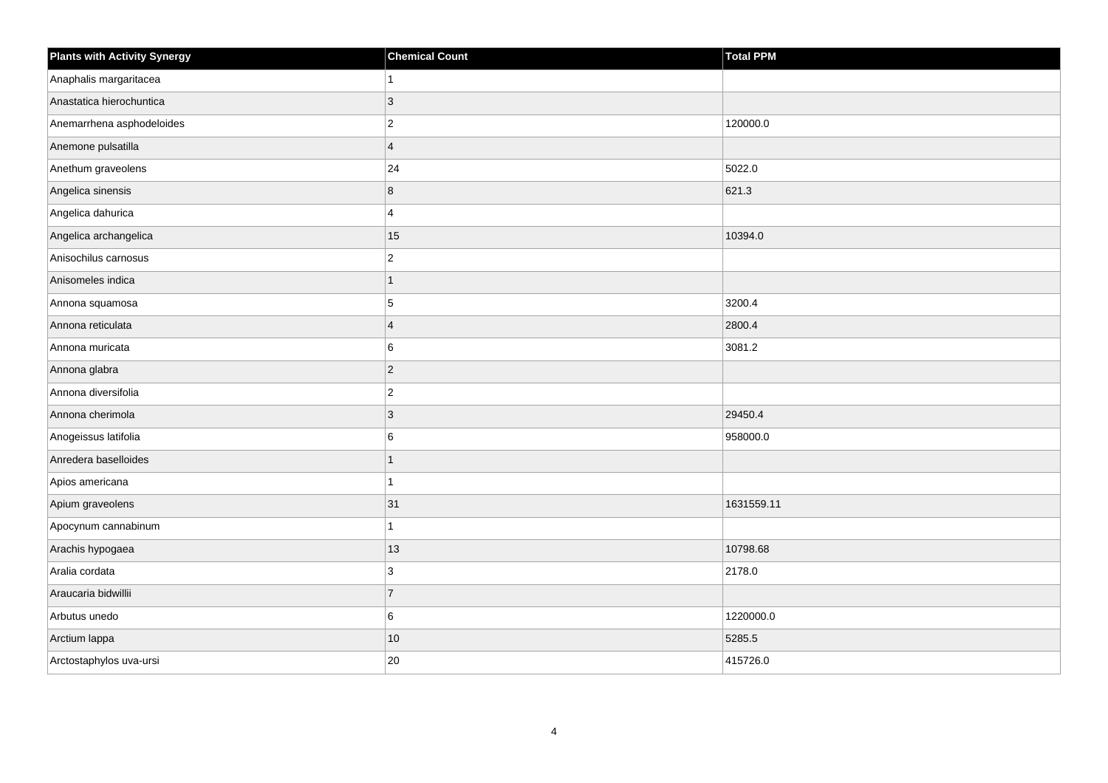| <b>Plants with Activity Synergy</b> | <b>Chemical Count</b> | <b>Total PPM</b> |
|-------------------------------------|-----------------------|------------------|
| Anaphalis margaritacea              |                       |                  |
| Anastatica hierochuntica            | 3                     |                  |
| Anemarrhena asphodeloides           | $\overline{c}$        | 120000.0         |
| Anemone pulsatilla                  | $\overline{4}$        |                  |
| Anethum graveolens                  | 24                    | 5022.0           |
| Angelica sinensis                   | 8                     | 621.3            |
| Angelica dahurica                   | 4                     |                  |
| Angelica archangelica               | 15                    | 10394.0          |
| Anisochilus carnosus                | $\overline{c}$        |                  |
| Anisomeles indica                   | 1                     |                  |
| Annona squamosa                     | 5                     | 3200.4           |
| Annona reticulata                   | $\overline{4}$        | 2800.4           |
| Annona muricata                     | 6                     | 3081.2           |
| Annona glabra                       | $\overline{2}$        |                  |
| Annona diversifolia                 | $\overline{c}$        |                  |
| Annona cherimola                    | $\overline{3}$        | 29450.4          |
| Anogeissus latifolia                | 6                     | 958000.0         |
| Anredera baselloides                |                       |                  |
| Apios americana                     | 1                     |                  |
| Apium graveolens                    | 31                    | 1631559.11       |
| Apocynum cannabinum                 |                       |                  |
| Arachis hypogaea                    | 13                    | 10798.68         |
| Aralia cordata                      | 3                     | 2178.0           |
| Araucaria bidwillii                 | $\overline{7}$        |                  |
| Arbutus unedo                       | 6                     | 1220000.0        |
| Arctium lappa                       | 10                    | 5285.5           |
| Arctostaphylos uva-ursi             | 20                    | 415726.0         |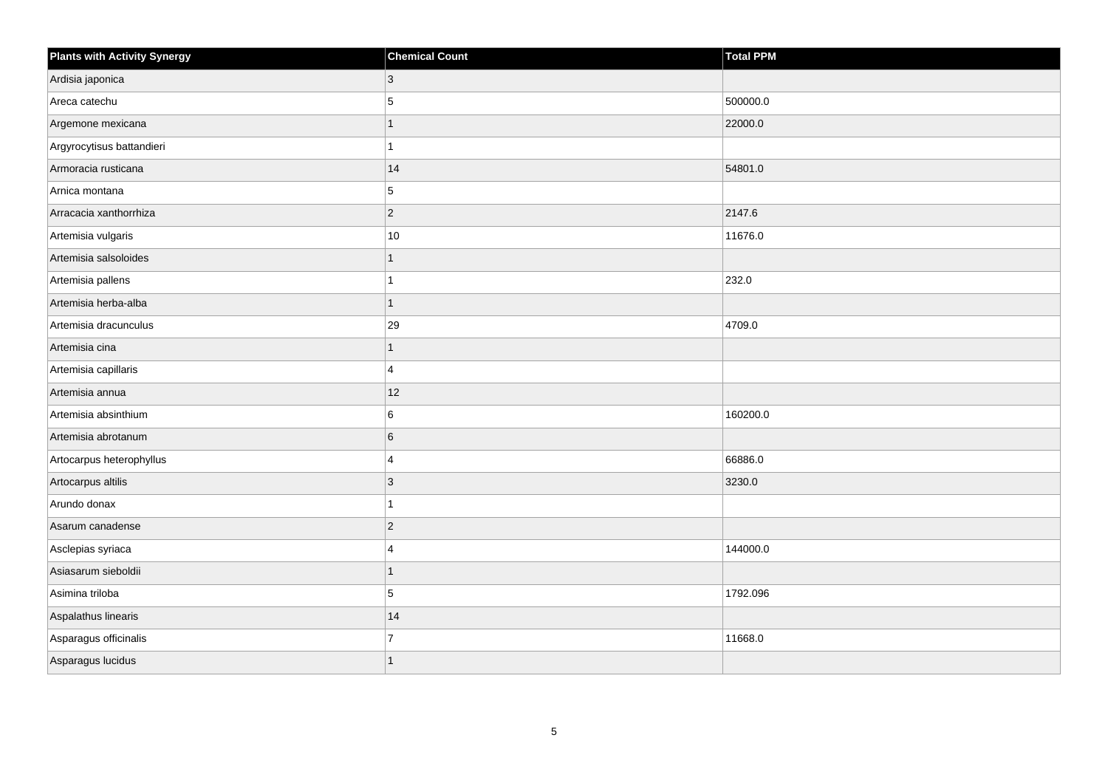| <b>Plants with Activity Synergy</b> | <b>Chemical Count</b> | Total PPM |
|-------------------------------------|-----------------------|-----------|
| Ardisia japonica                    | 3                     |           |
| Areca catechu                       | 5                     | 500000.0  |
| Argemone mexicana                   |                       | 22000.0   |
| Argyrocytisus battandieri           |                       |           |
| Armoracia rusticana                 | 14                    | 54801.0   |
| Arnica montana                      | 5                     |           |
| Arracacia xanthorrhiza              | $\overline{2}$        | 2147.6    |
| Artemisia vulgaris                  | 10                    | 11676.0   |
| Artemisia salsoloides               |                       |           |
| Artemisia pallens                   |                       | 232.0     |
| Artemisia herba-alba                | 1                     |           |
| Artemisia dracunculus               | 29                    | 4709.0    |
| Artemisia cina                      | 1                     |           |
| Artemisia capillaris                | 4                     |           |
| Artemisia annua                     | 12                    |           |
| Artemisia absinthium                | 6                     | 160200.0  |
| Artemisia abrotanum                 | 6                     |           |
| Artocarpus heterophyllus            | 4                     | 66886.0   |
| Artocarpus altilis                  | 3                     | 3230.0    |
| Arundo donax                        |                       |           |
| Asarum canadense                    | $\overline{2}$        |           |
| Asclepias syriaca                   | 4                     | 144000.0  |
| Asiasarum sieboldii                 | 1                     |           |
| Asimina triloba                     | 5                     | 1792.096  |
| Aspalathus linearis                 | 14                    |           |
| Asparagus officinalis               | $\overline{7}$        | 11668.0   |
| Asparagus lucidus                   |                       |           |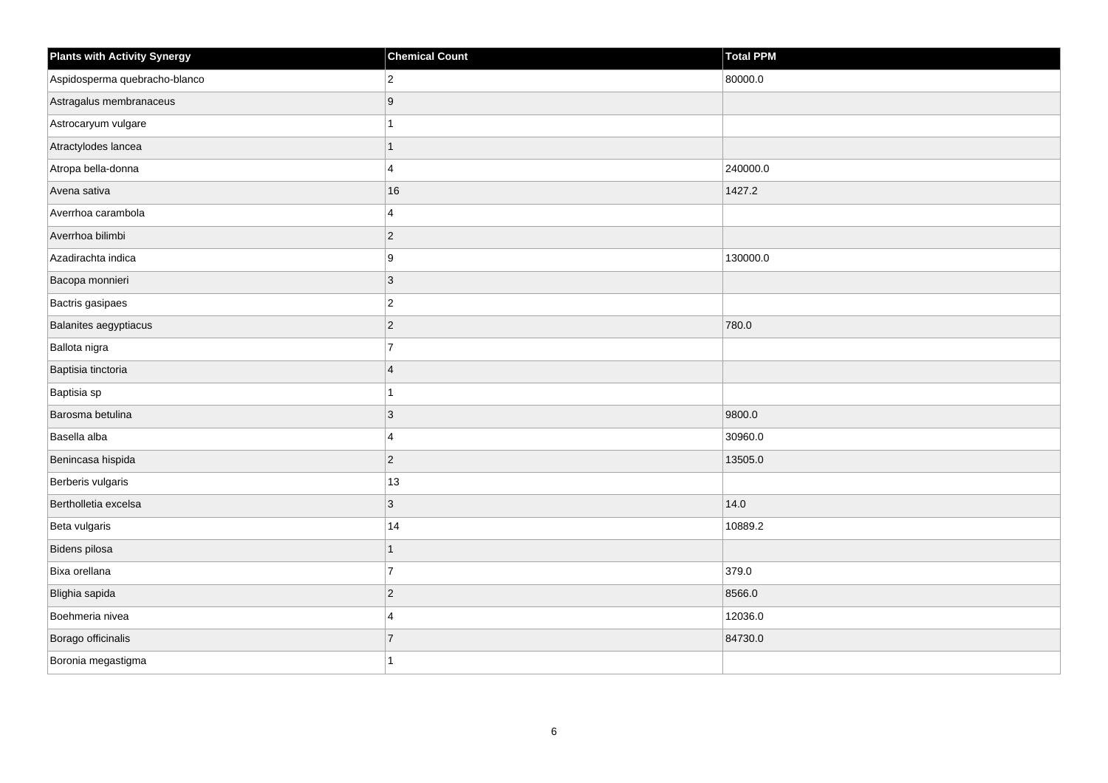| <b>Plants with Activity Synergy</b> | <b>Chemical Count</b> | <b>Total PPM</b> |
|-------------------------------------|-----------------------|------------------|
| Aspidosperma quebracho-blanco       | $ 2\rangle$           | 80000.0          |
| Astragalus membranaceus             | 9                     |                  |
| Astrocaryum vulgare                 |                       |                  |
| Atractylodes lancea                 | 1                     |                  |
| Atropa bella-donna                  | $\overline{4}$        | 240000.0         |
| Avena sativa                        | 16                    | 1427.2           |
| Averrhoa carambola                  | $\overline{4}$        |                  |
| Averrhoa bilimbi                    | $ 2\rangle$           |                  |
| Azadirachta indica                  | 9                     | 130000.0         |
| Bacopa monnieri                     | $ 3\rangle$           |                  |
| Bactris gasipaes                    | $ 2\rangle$           |                  |
| Balanites aegyptiacus               | $\vert$ 2             | 780.0            |
| Ballota nigra                       | $\overline{7}$        |                  |
| Baptisia tinctoria                  | $\overline{4}$        |                  |
| Baptisia sp                         |                       |                  |
| Barosma betulina                    | 3                     | 9800.0           |
| Basella alba                        | $\overline{4}$        | 30960.0          |
| Benincasa hispida                   | $\vert$ 2             | 13505.0          |
| Berberis vulgaris                   | 13                    |                  |
| Bertholletia excelsa                | 3                     | 14.0             |
| Beta vulgaris                       | 14                    | 10889.2          |
| Bidens pilosa                       | 1                     |                  |
| Bixa orellana                       | $\overline{7}$        | 379.0            |
| Blighia sapida                      | $ 2\rangle$           | 8566.0           |
| Boehmeria nivea                     | $\overline{4}$        | 12036.0          |
| Borago officinalis                  | $\overline{7}$        | 84730.0          |
| Boronia megastigma                  |                       |                  |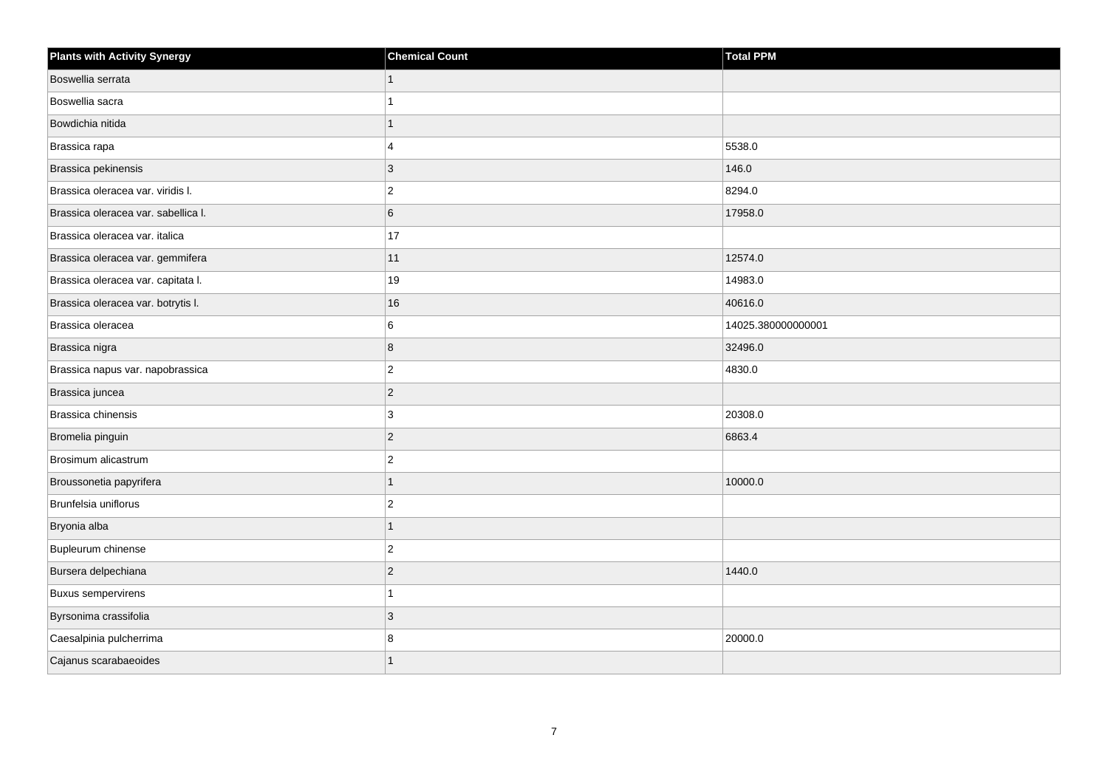| <b>Plants with Activity Synergy</b> | <b>Chemical Count</b> | <b>Total PPM</b>   |
|-------------------------------------|-----------------------|--------------------|
| Boswellia serrata                   | $\mathbf{1}$          |                    |
| Boswellia sacra                     | 1                     |                    |
| Bowdichia nitida                    | $\mathbf{1}$          |                    |
| Brassica rapa                       | $\overline{4}$        | 5538.0             |
| Brassica pekinensis                 | 3                     | 146.0              |
| Brassica oleracea var. viridis I.   | $\overline{2}$        | 8294.0             |
| Brassica oleracea var. sabellica I. | $\overline{6}$        | 17958.0            |
| Brassica oleracea var. italica      | 17                    |                    |
| Brassica oleracea var. gemmifera    | 11                    | 12574.0            |
| Brassica oleracea var. capitata I.  | 19                    | 14983.0            |
| Brassica oleracea var. botrytis I.  | $16\,$                | 40616.0            |
| Brassica oleracea                   | 6                     | 14025.380000000001 |
| Brassica nigra                      | 8                     | 32496.0            |
| Brassica napus var. napobrassica    | $ 2\rangle$           | 4830.0             |
| Brassica juncea                     | $ 2\rangle$           |                    |
| Brassica chinensis                  | 3                     | 20308.0            |
| Bromelia pinguin                    | $ 2\rangle$           | 6863.4             |
| Brosimum alicastrum                 | $\vert$ 2             |                    |
| Broussonetia papyrifera             | 1                     | 10000.0            |
| Brunfelsia uniflorus                | $\overline{2}$        |                    |
| Bryonia alba                        | 1                     |                    |
| Bupleurum chinense                  | $\vert$ 2             |                    |
| Bursera delpechiana                 | $ 2\rangle$           | 1440.0             |
| <b>Buxus sempervirens</b>           | 1                     |                    |
| Byrsonima crassifolia               | 3                     |                    |
| Caesalpinia pulcherrima             | 8                     | 20000.0            |
| Cajanus scarabaeoides               | 1                     |                    |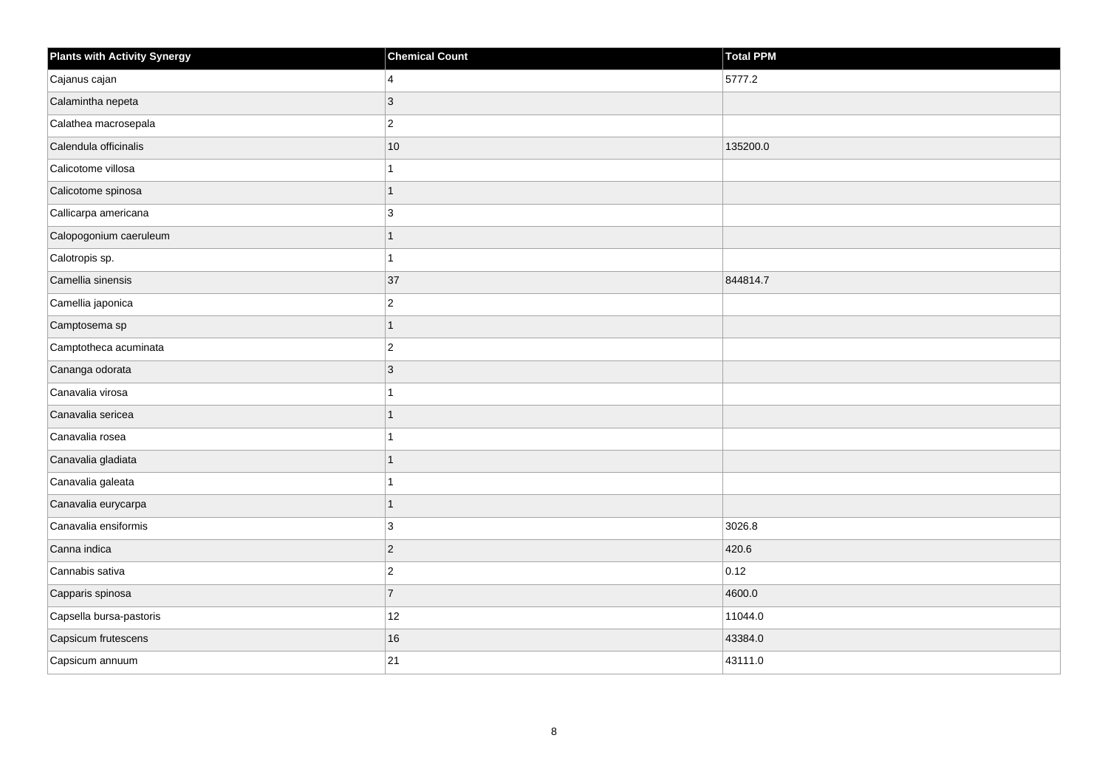| <b>Plants with Activity Synergy</b> | <b>Chemical Count</b> | <b>Total PPM</b> |
|-------------------------------------|-----------------------|------------------|
| Cajanus cajan                       | 4                     | 5777.2           |
| Calamintha nepeta                   | 3                     |                  |
| Calathea macrosepala                | $\overline{c}$        |                  |
| Calendula officinalis               | $10$                  | 135200.0         |
| Calicotome villosa                  |                       |                  |
| Calicotome spinosa                  | 1                     |                  |
| Callicarpa americana                | 3                     |                  |
| Calopogonium caeruleum              |                       |                  |
| Calotropis sp.                      |                       |                  |
| Camellia sinensis                   | 37                    | 844814.7         |
| Camellia japonica                   | $\overline{2}$        |                  |
| Camptosema sp                       | 1                     |                  |
| Camptotheca acuminata               | $\overline{2}$        |                  |
| Cananga odorata                     | 3                     |                  |
| Canavalia virosa                    |                       |                  |
| Canavalia sericea                   | 1                     |                  |
| Canavalia rosea                     |                       |                  |
| Canavalia gladiata                  |                       |                  |
| Canavalia galeata                   |                       |                  |
| Canavalia eurycarpa                 | 1                     |                  |
| Canavalia ensiformis                | 3                     | 3026.8           |
| Canna indica                        | $\overline{c}$        | 420.6            |
| Cannabis sativa                     | $\overline{2}$        | 0.12             |
| Capparis spinosa                    | $\overline{7}$        | 4600.0           |
| Capsella bursa-pastoris             | 12                    | 11044.0          |
| Capsicum frutescens                 | 16                    | 43384.0          |
| Capsicum annuum                     | 21                    | 43111.0          |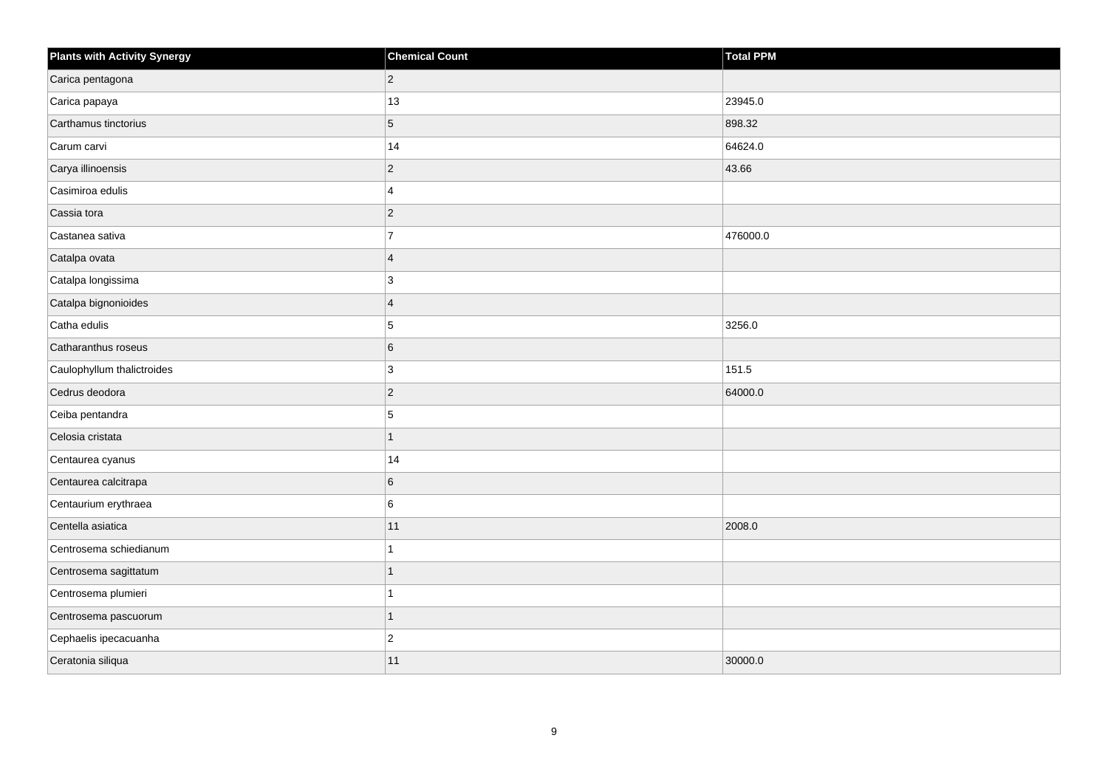| <b>Plants with Activity Synergy</b> | <b>Chemical Count</b> | <b>Total PPM</b> |
|-------------------------------------|-----------------------|------------------|
| Carica pentagona                    | $\overline{2}$        |                  |
| Carica papaya                       | $13$                  | 23945.0          |
| Carthamus tinctorius                | 5                     | 898.32           |
| Carum carvi                         | 14                    | 64624.0          |
| Carya illinoensis                   | $\overline{2}$        | 43.66            |
| Casimiroa edulis                    | 4                     |                  |
| Cassia tora                         | $\overline{2}$        |                  |
| Castanea sativa                     | $\overline{7}$        | 476000.0         |
| Catalpa ovata                       | $\overline{4}$        |                  |
| Catalpa longissima                  | 3                     |                  |
| Catalpa bignonioides                | $\overline{4}$        |                  |
| Catha edulis                        | 5                     | 3256.0           |
| Catharanthus roseus                 | 6                     |                  |
| Caulophyllum thalictroides          | 3                     | 151.5            |
| Cedrus deodora                      | $\overline{2}$        | 64000.0          |
| Ceiba pentandra                     | 5                     |                  |
| Celosia cristata                    | 1                     |                  |
| Centaurea cyanus                    | 14                    |                  |
| Centaurea calcitrapa                | 6                     |                  |
| Centaurium erythraea                | 6                     |                  |
| Centella asiatica                   | 11                    | 2008.0           |
| Centrosema schiedianum              |                       |                  |
| Centrosema sagittatum               | 1                     |                  |
| Centrosema plumieri                 |                       |                  |
| Centrosema pascuorum                | 1                     |                  |
| Cephaelis ipecacuanha               | $\overline{c}$        |                  |
| Ceratonia siliqua                   | 11                    | 30000.0          |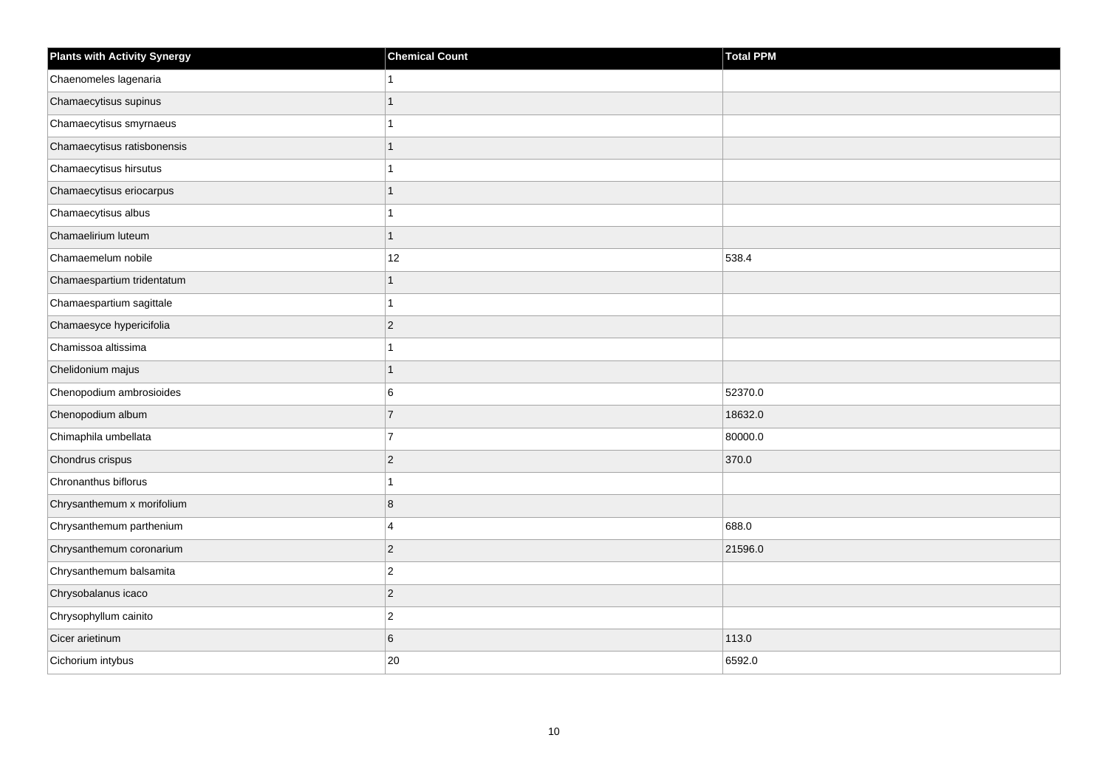| <b>Plants with Activity Synergy</b> | <b>Chemical Count</b> | <b>Total PPM</b> |
|-------------------------------------|-----------------------|------------------|
| Chaenomeles lagenaria               |                       |                  |
| Chamaecytisus supinus               |                       |                  |
| Chamaecytisus smyrnaeus             |                       |                  |
| Chamaecytisus ratisbonensis         | 1                     |                  |
| Chamaecytisus hirsutus              |                       |                  |
| Chamaecytisus eriocarpus            |                       |                  |
| Chamaecytisus albus                 | 1                     |                  |
| Chamaelirium luteum                 | 1                     |                  |
| Chamaemelum nobile                  | 12                    | 538.4            |
| Chamaespartium tridentatum          | 1                     |                  |
| Chamaespartium sagittale            |                       |                  |
| Chamaesyce hypericifolia            | $\overline{2}$        |                  |
| Chamissoa altissima                 | 1                     |                  |
| Chelidonium majus                   | 1                     |                  |
| Chenopodium ambrosioides            | 6                     | 52370.0          |
| Chenopodium album                   | $\overline{7}$        | 18632.0          |
| Chimaphila umbellata                | $\overline{7}$        | 80000.0          |
| Chondrus crispus                    | $\overline{2}$        | 370.0            |
| Chronanthus biflorus                | 1                     |                  |
| Chrysanthemum x morifolium          | 8                     |                  |
| Chrysanthemum parthenium            | 4                     | 688.0            |
| Chrysanthemum coronarium            | $\overline{2}$        | 21596.0          |
| Chrysanthemum balsamita             | $\overline{c}$        |                  |
| Chrysobalanus icaco                 | $\overline{2}$        |                  |
| Chrysophyllum cainito               | $\overline{2}$        |                  |
| Cicer arietinum                     | 6                     | 113.0            |
| Cichorium intybus                   | 20                    | 6592.0           |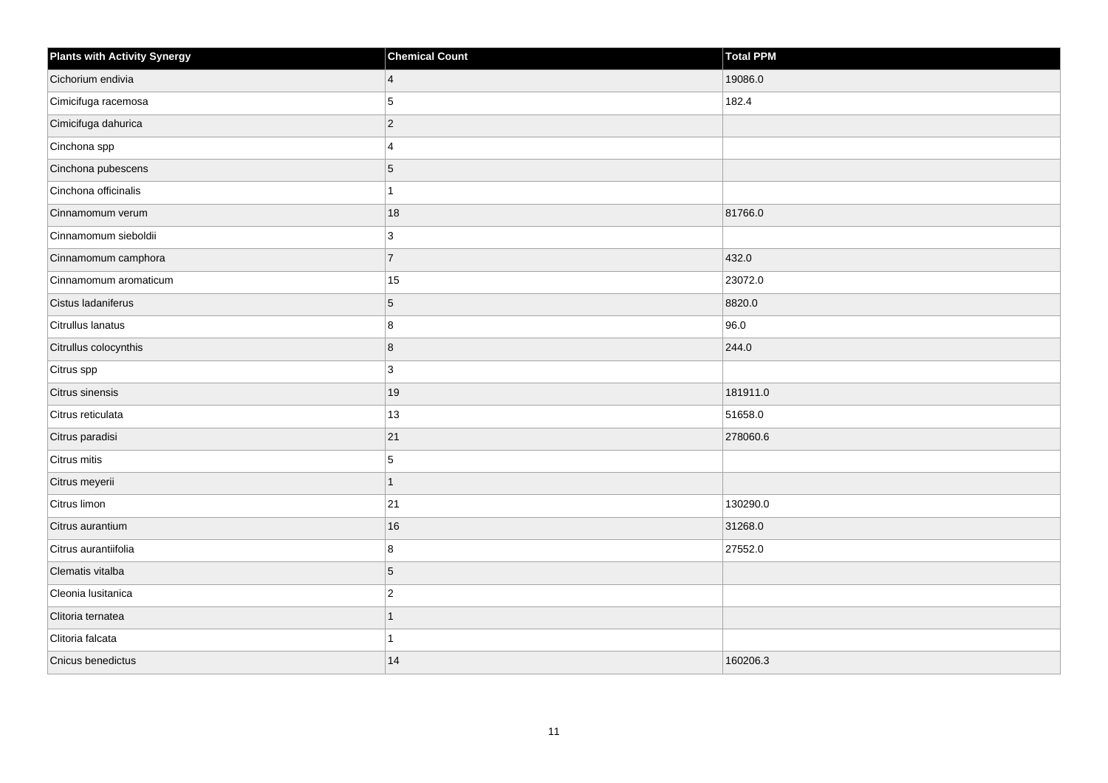| <b>Plants with Activity Synergy</b> | <b>Chemical Count</b> | Total PPM |
|-------------------------------------|-----------------------|-----------|
| Cichorium endivia                   | $\overline{4}$        | 19086.0   |
| Cimicifuga racemosa                 | 5                     | 182.4     |
| Cimicifuga dahurica                 | $\overline{2}$        |           |
| Cinchona spp                        | 4                     |           |
| Cinchona pubescens                  | 5                     |           |
| Cinchona officinalis                |                       |           |
| Cinnamomum verum                    | 18                    | 81766.0   |
| Cinnamomum sieboldii                | 3                     |           |
| Cinnamomum camphora                 | $\boldsymbol{7}$      | 432.0     |
| Cinnamomum aromaticum               | 15                    | 23072.0   |
| Cistus ladaniferus                  | 5                     | 8820.0    |
| Citrullus lanatus                   | 8                     | 96.0      |
| Citrullus colocynthis               | 8                     | 244.0     |
| Citrus spp                          | 3                     |           |
| Citrus sinensis                     | 19                    | 181911.0  |
| Citrus reticulata                   | $13$                  | 51658.0   |
| Citrus paradisi                     | 21                    | 278060.6  |
| Citrus mitis                        | 5                     |           |
| Citrus meyerii                      | $\overline{1}$        |           |
| Citrus limon                        | 21                    | 130290.0  |
| Citrus aurantium                    | 16                    | 31268.0   |
| Citrus aurantiifolia                | 8                     | 27552.0   |
| Clematis vitalba                    | 5                     |           |
| Cleonia lusitanica                  | $\overline{c}$        |           |
| Clitoria ternatea                   | $\overline{1}$        |           |
| Clitoria falcata                    | 1                     |           |
| Cnicus benedictus                   | 14                    | 160206.3  |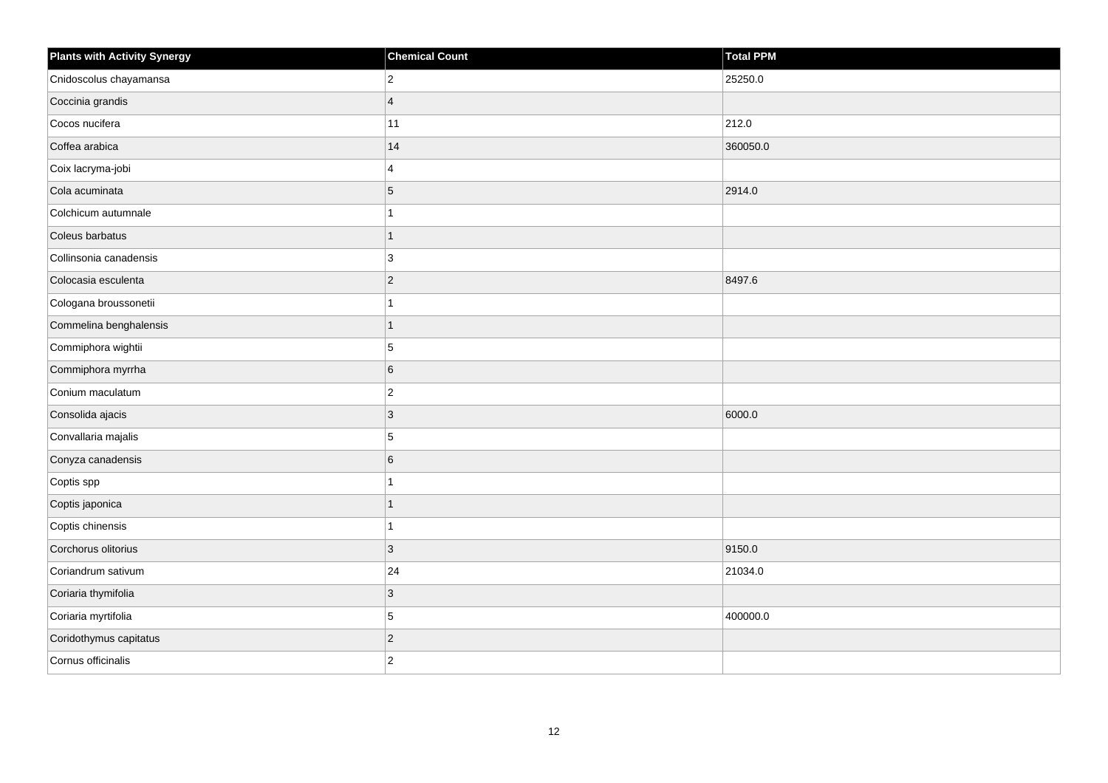| <b>Plants with Activity Synergy</b> | <b>Chemical Count</b> | <b>Total PPM</b> |
|-------------------------------------|-----------------------|------------------|
| Cnidoscolus chayamansa              | $\overline{c}$        | 25250.0          |
| Coccinia grandis                    | $\overline{4}$        |                  |
| Cocos nucifera                      | 11                    | 212.0            |
| Coffea arabica                      | 14                    | 360050.0         |
| Coix lacryma-jobi                   | 4                     |                  |
| Cola acuminata                      | 5                     | 2914.0           |
| Colchicum autumnale                 | 1                     |                  |
| Coleus barbatus                     | $\overline{1}$        |                  |
| Collinsonia canadensis              | 3                     |                  |
| Colocasia esculenta                 | $\overline{2}$        | 8497.6           |
| Cologana broussonetii               | 1                     |                  |
| Commelina benghalensis              | $\overline{1}$        |                  |
| Commiphora wightii                  | 5                     |                  |
| Commiphora myrrha                   | 6                     |                  |
| Conium maculatum                    | $\mathbf 2$           |                  |
| Consolida ajacis                    | 3                     | 6000.0           |
| Convallaria majalis                 | 5                     |                  |
| Conyza canadensis                   | 6                     |                  |
| Coptis spp                          | $\overline{1}$        |                  |
| Coptis japonica                     | 1                     |                  |
| Coptis chinensis                    | 1                     |                  |
| Corchorus olitorius                 | 3                     | 9150.0           |
| Coriandrum sativum                  | 24                    | 21034.0          |
| Coriaria thymifolia                 | $\mathbf{3}$          |                  |
| Coriaria myrtifolia                 | 5                     | 400000.0         |
| Coridothymus capitatus              | $\overline{c}$        |                  |
| Cornus officinalis                  | $\overline{2}$        |                  |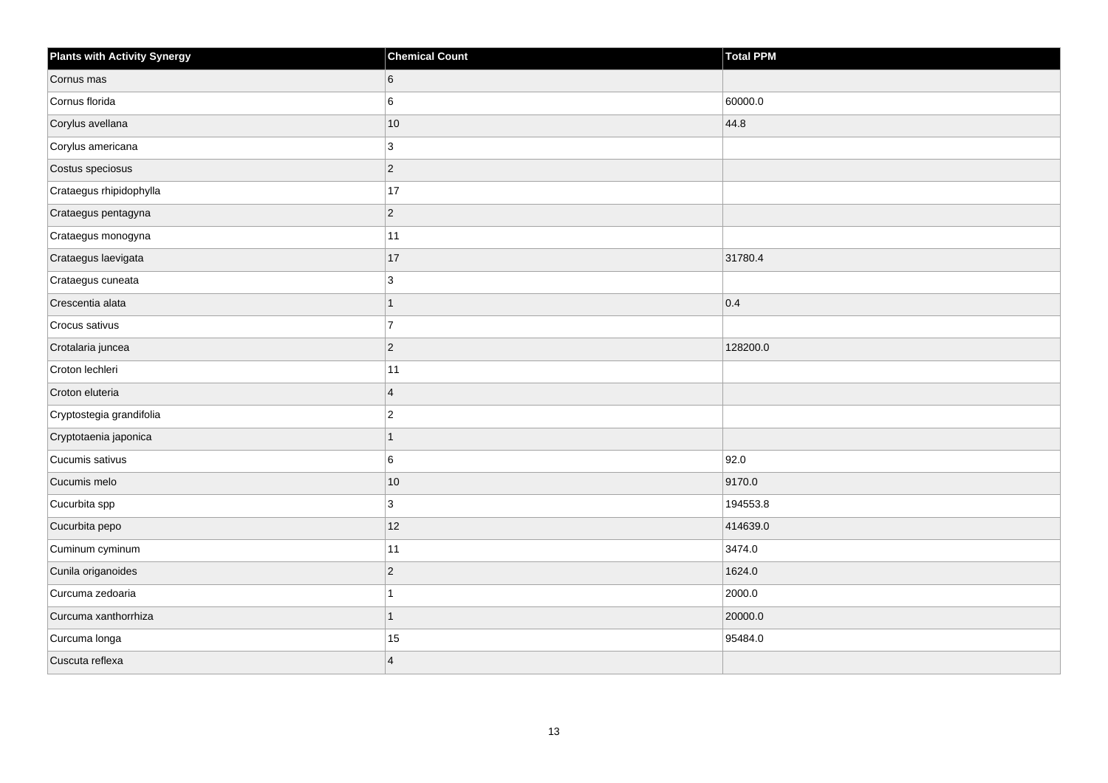| <b>Plants with Activity Synergy</b> | <b>Chemical Count</b>   | Total PPM |
|-------------------------------------|-------------------------|-----------|
| Cornus mas                          | 6                       |           |
| Cornus florida                      | 6                       | 60000.0   |
| Corylus avellana                    | 10                      | 44.8      |
| Corylus americana                   | 3                       |           |
| Costus speciosus                    | $ 2\rangle$             |           |
| Crataegus rhipidophylla             | 17                      |           |
| Crataegus pentagyna                 | $ 2\rangle$             |           |
| Crataegus monogyna                  | 11                      |           |
| Crataegus laevigata                 | 17                      | 31780.4   |
| Crataegus cuneata                   | 3                       |           |
| Crescentia alata                    | 1                       | 0.4       |
| Crocus sativus                      | $\vert$ 7               |           |
| Crotalaria juncea                   | $ 2\rangle$             | 128200.0  |
| Croton lechleri                     | 11                      |           |
| Croton eluteria                     | $\overline{4}$          |           |
| Cryptostegia grandifolia            | $\vert$ <sub>2</sub>    |           |
| Cryptotaenia japonica               | 1                       |           |
| Cucumis sativus                     | 6                       | 92.0      |
| Cucumis melo                        | 10                      | 9170.0    |
| Cucurbita spp                       | 3                       | 194553.8  |
| Cucurbita pepo                      | 12                      | 414639.0  |
| Cuminum cyminum                     | 11                      | 3474.0    |
| Cunila origanoides                  | $ 2\rangle$             | 1624.0    |
| Curcuma zedoaria                    | 1                       | 2000.0    |
| Curcuma xanthorrhiza                | $\mathbf{1}$            | 20000.0   |
| Curcuma longa                       | 15                      | 95484.0   |
| Cuscuta reflexa                     | $\overline{\mathbf{4}}$ |           |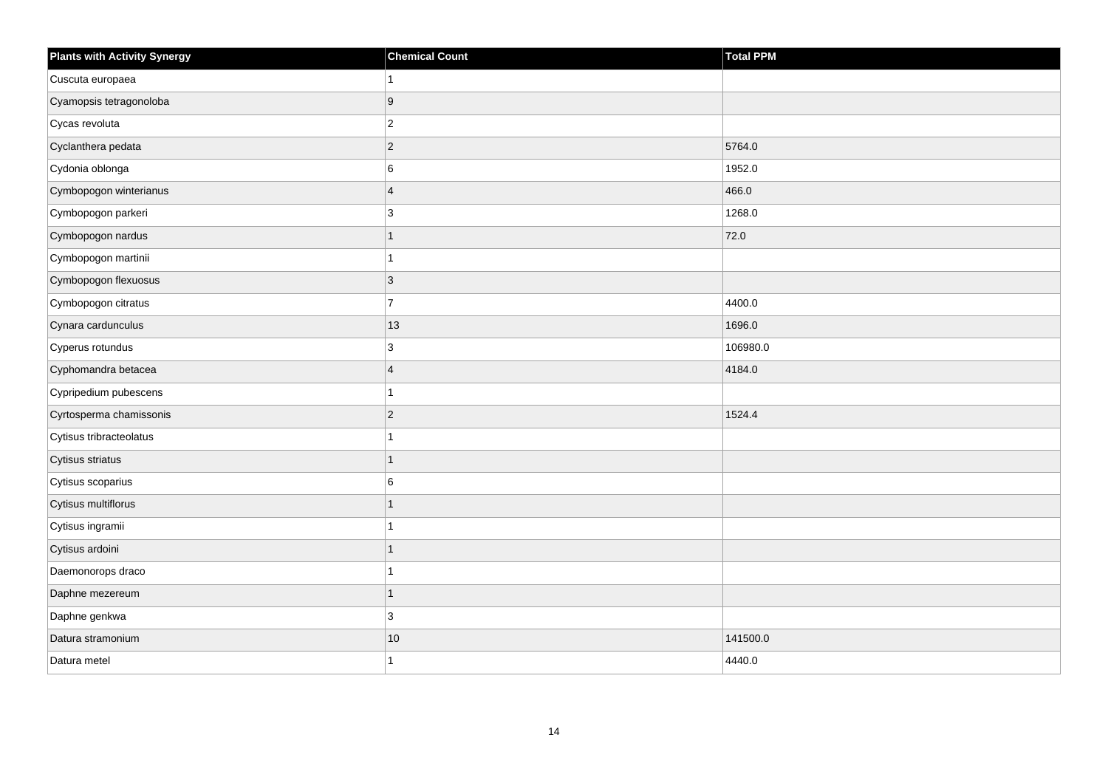| <b>Plants with Activity Synergy</b> | <b>Chemical Count</b> | <b>Total PPM</b> |
|-------------------------------------|-----------------------|------------------|
| Cuscuta europaea                    |                       |                  |
| Cyamopsis tetragonoloba             | 9                     |                  |
| Cycas revoluta                      | $\overline{c}$        |                  |
| Cyclanthera pedata                  | $\overline{2}$        | 5764.0           |
| Cydonia oblonga                     | 6                     | 1952.0           |
| Cymbopogon winterianus              | $\overline{4}$        | 466.0            |
| Cymbopogon parkeri                  | 3                     | 1268.0           |
| Cymbopogon nardus                   |                       | 72.0             |
| Cymbopogon martinii                 |                       |                  |
| Cymbopogon flexuosus                | $\overline{3}$        |                  |
| Cymbopogon citratus                 | $\overline{7}$        | 4400.0           |
| Cynara cardunculus                  | 13                    | 1696.0           |
| Cyperus rotundus                    | 3                     | 106980.0         |
| Cyphomandra betacea                 | $\overline{4}$        | 4184.0           |
| Cypripedium pubescens               |                       |                  |
| Cyrtosperma chamissonis             | $\overline{2}$        | 1524.4           |
| Cytisus tribracteolatus             |                       |                  |
| Cytisus striatus                    |                       |                  |
| Cytisus scoparius                   | 6                     |                  |
| Cytisus multiflorus                 |                       |                  |
| Cytisus ingramii                    |                       |                  |
| Cytisus ardoini                     |                       |                  |
| Daemonorops draco                   |                       |                  |
| Daphne mezereum                     |                       |                  |
| Daphne genkwa                       | 3                     |                  |
| Datura stramonium                   | $10$                  | 141500.0         |
| Datura metel                        |                       | 4440.0           |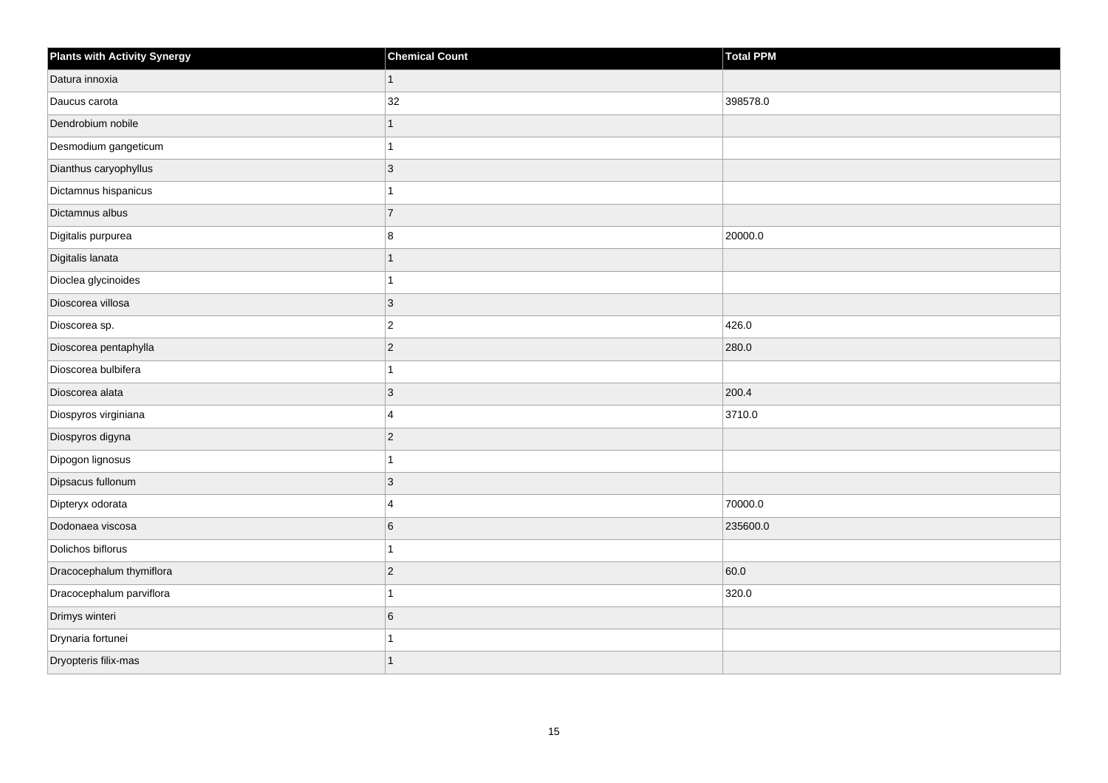| <b>Plants with Activity Synergy</b> | <b>Chemical Count</b> | <b>Total PPM</b> |
|-------------------------------------|-----------------------|------------------|
| Datura innoxia                      | 1                     |                  |
| Daucus carota                       | 32                    | 398578.0         |
| Dendrobium nobile                   |                       |                  |
| Desmodium gangeticum                |                       |                  |
| Dianthus caryophyllus               | 3                     |                  |
| Dictamnus hispanicus                |                       |                  |
| Dictamnus albus                     | $\overline{7}$        |                  |
| Digitalis purpurea                  | 8                     | 20000.0          |
| Digitalis lanata                    |                       |                  |
| Dioclea glycinoides                 |                       |                  |
| Dioscorea villosa                   | 3                     |                  |
| Dioscorea sp.                       | $\overline{2}$        | 426.0            |
| Dioscorea pentaphylla               | $\overline{2}$        | 280.0            |
| Dioscorea bulbifera                 |                       |                  |
| Dioscorea alata                     | $\overline{3}$        | 200.4            |
| Diospyros virginiana                | 4                     | 3710.0           |
| Diospyros digyna                    | $\overline{2}$        |                  |
| Dipogon lignosus                    |                       |                  |
| Dipsacus fullonum                   | $\overline{3}$        |                  |
| Dipteryx odorata                    | $\boldsymbol{\Delta}$ | 70000.0          |
| Dodonaea viscosa                    | 6                     | 235600.0         |
| Dolichos biflorus                   |                       |                  |
| Dracocephalum thymiflora            | $\overline{2}$        | 60.0             |
| Dracocephalum parviflora            |                       | 320.0            |
| Drimys winteri                      | 6                     |                  |
| Drynaria fortunei                   |                       |                  |
| Dryopteris filix-mas                |                       |                  |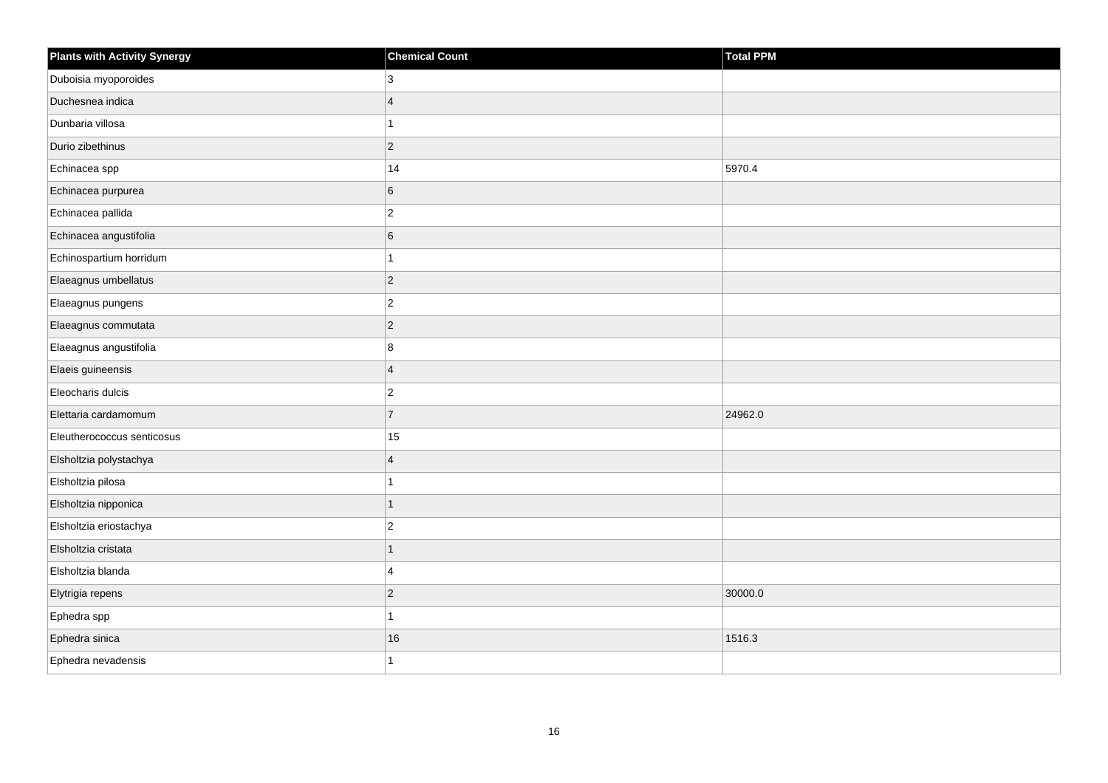| <b>Plants with Activity Synergy</b> | <b>Chemical Count</b>   | <b>Total PPM</b> |
|-------------------------------------|-------------------------|------------------|
| Duboisia myoporoides                | 3                       |                  |
| Duchesnea indica                    | $\overline{A}$          |                  |
| Dunbaria villosa                    | 1                       |                  |
| Durio zibethinus                    | $\overline{2}$          |                  |
| Echinacea spp                       | 14                      | 5970.4           |
| Echinacea purpurea                  | 6                       |                  |
| Echinacea pallida                   | $\mathbf 2$             |                  |
| Echinacea angustifolia              | 6                       |                  |
| Echinospartium horridum             | 1                       |                  |
| Elaeagnus umbellatus                | $\overline{c}$          |                  |
| Elaeagnus pungens                   | $\overline{\mathbf{c}}$ |                  |
| Elaeagnus commutata                 | $\overline{c}$          |                  |
| Elaeagnus angustifolia              | 8                       |                  |
| Elaeis guineensis                   | $\overline{4}$          |                  |
| Eleocharis dulcis                   | $\overline{2}$          |                  |
| Elettaria cardamomum                | $\overline{7}$          | 24962.0          |
| Eleutherococcus senticosus          | 15                      |                  |
| Elsholtzia polystachya              | $\overline{4}$          |                  |
| Elsholtzia pilosa                   | $\overline{1}$          |                  |
| Elsholtzia nipponica                | $\overline{1}$          |                  |
| Elsholtzia eriostachya              | $\overline{2}$          |                  |
| Elsholtzia cristata                 | $\overline{1}$          |                  |
| Elsholtzia blanda                   | $\overline{4}$          |                  |
| Elytrigia repens                    | $\overline{c}$          | 30000.0          |
| Ephedra spp                         | 1                       |                  |
| Ephedra sinica                      | 16                      | 1516.3           |
| Ephedra nevadensis                  | 1                       |                  |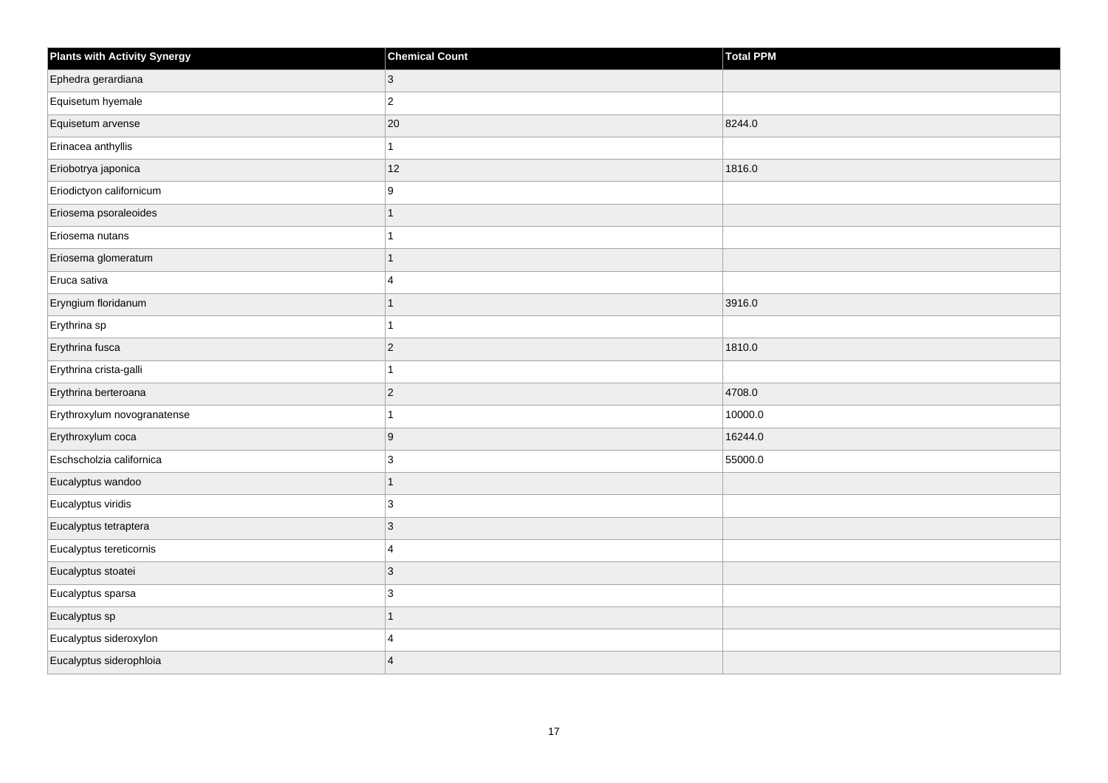| <b>Plants with Activity Synergy</b> | <b>Chemical Count</b>   | <b>Total PPM</b> |
|-------------------------------------|-------------------------|------------------|
| Ephedra gerardiana                  | 3                       |                  |
| Equisetum hyemale                   | $\overline{\mathbf{c}}$ |                  |
| Equisetum arvense                   | $20\,$                  | 8244.0           |
| Erinacea anthyllis                  | 1                       |                  |
| Eriobotrya japonica                 | 12                      | 1816.0           |
| Eriodictyon californicum            | 9                       |                  |
| Eriosema psoraleoides               | $\mathbf{1}$            |                  |
| Eriosema nutans                     |                         |                  |
| Eriosema glomeratum                 | $\overline{1}$          |                  |
| Eruca sativa                        | 4                       |                  |
| Eryngium floridanum                 | 1                       | 3916.0           |
| Erythrina sp                        | 1                       |                  |
| Erythrina fusca                     | $\overline{c}$          | 1810.0           |
| Erythrina crista-galli              | 1                       |                  |
| Erythrina berteroana                | $\overline{c}$          | 4708.0           |
| Erythroxylum novogranatense         | 1                       | 10000.0          |
| Erythroxylum coca                   | 9                       | 16244.0          |
| Eschscholzia californica            | 3                       | 55000.0          |
| Eucalyptus wandoo                   | $\overline{1}$          |                  |
| Eucalyptus viridis                  | 3                       |                  |
| Eucalyptus tetraptera               | $\mathbf{3}$            |                  |
| Eucalyptus tereticornis             | 4                       |                  |
| Eucalyptus stoatei                  | 3                       |                  |
| Eucalyptus sparsa                   | 3                       |                  |
| Eucalyptus sp                       | $\mathbf{1}$            |                  |
| Eucalyptus sideroxylon              | 4                       |                  |
| Eucalyptus siderophloia             | $\overline{4}$          |                  |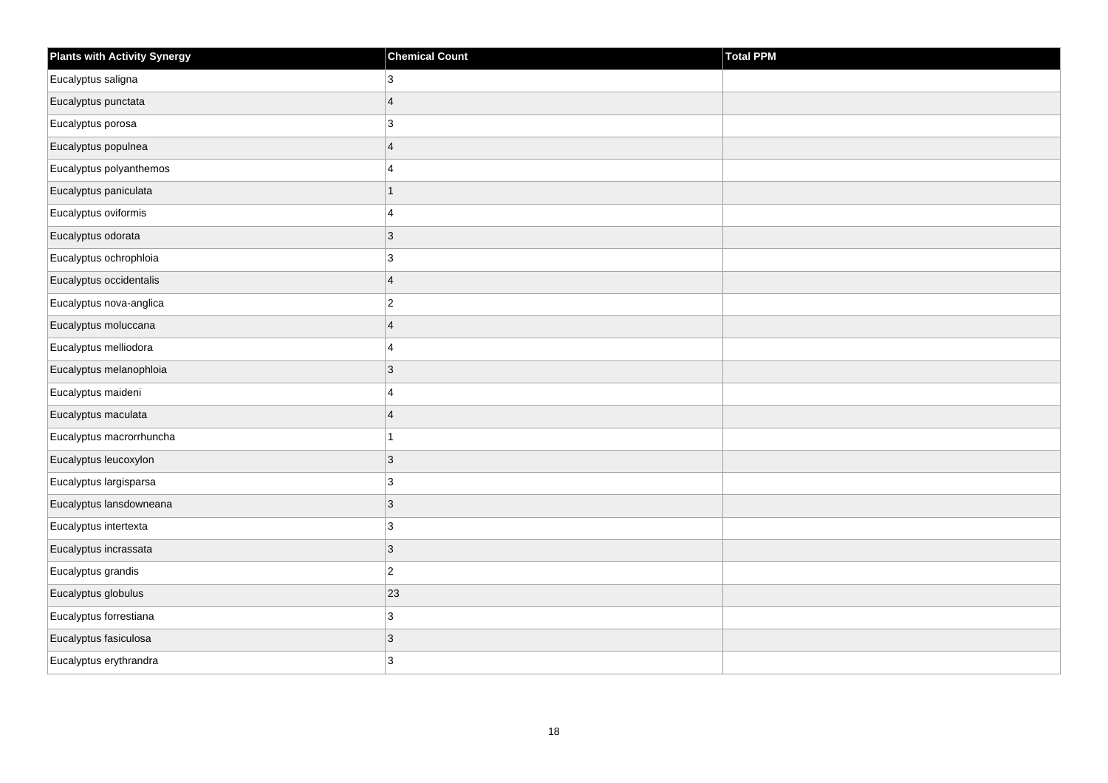| <b>Plants with Activity Synergy</b> | <b>Chemical Count</b>     | Total PPM |
|-------------------------------------|---------------------------|-----------|
| Eucalyptus saligna                  | 3                         |           |
| Eucalyptus punctata                 | $\overline{4}$            |           |
| Eucalyptus porosa                   | 3                         |           |
| Eucalyptus populnea                 | $\overline{4}$            |           |
| Eucalyptus polyanthemos             | $\overline{4}$            |           |
| Eucalyptus paniculata               | $\mathbf{1}$              |           |
| Eucalyptus oviformis                | $\overline{\mathbf{4}}$   |           |
| Eucalyptus odorata                  | $\mathbf{3}$              |           |
| Eucalyptus ochrophloia              | $\mathbf{3}$              |           |
| Eucalyptus occidentalis             | $\overline{4}$            |           |
| Eucalyptus nova-anglica             | $\mathbf 2$               |           |
| Eucalyptus moluccana                | $\overline{4}$            |           |
| Eucalyptus melliodora               | $\overline{4}$            |           |
| Eucalyptus melanophloia             | $\mathbf{3}$              |           |
| Eucalyptus maideni                  | $\overline{4}$            |           |
| Eucalyptus maculata                 | $\overline{4}$            |           |
| Eucalyptus macrorrhuncha            | $\mathbf{1}$              |           |
| Eucalyptus leucoxylon               | $\mathbf{3}$              |           |
| Eucalyptus largisparsa              | 3                         |           |
| Eucalyptus lansdowneana             | $\mathbf{3}$              |           |
| Eucalyptus intertexta               | 3                         |           |
| Eucalyptus incrassata               | $\mathsf 3$               |           |
| Eucalyptus grandis                  | $\overline{c}$            |           |
| Eucalyptus globulus                 | 23                        |           |
| Eucalyptus forrestiana              | $\mathbf{3}$              |           |
| Eucalyptus fasiculosa               | $\ensuremath{\mathsf{3}}$ |           |
| Eucalyptus erythrandra              | 3                         |           |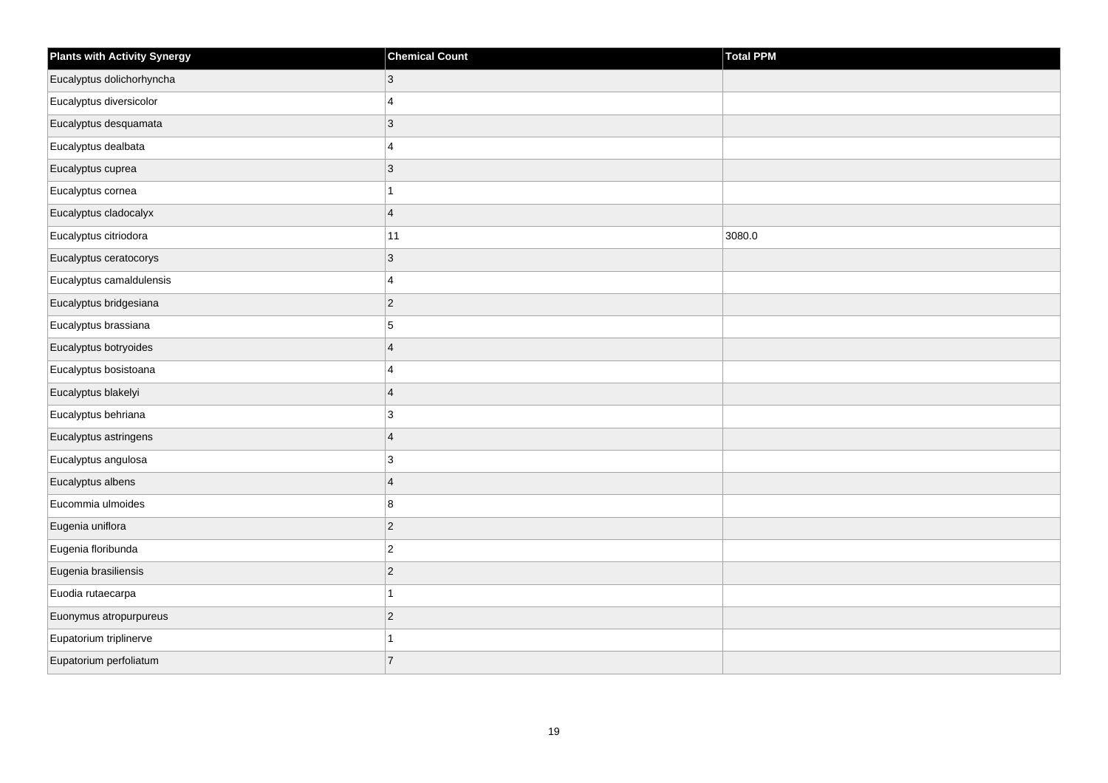| <b>Plants with Activity Synergy</b> | <b>Chemical Count</b>     | Total PPM |
|-------------------------------------|---------------------------|-----------|
| Eucalyptus dolichorhyncha           | $\mathbf{3}$              |           |
| Eucalyptus diversicolor             | $\overline{4}$            |           |
| Eucalyptus desquamata               | $\sqrt{3}$                |           |
| Eucalyptus dealbata                 | $\overline{4}$            |           |
| Eucalyptus cuprea                   | $\mathbf{3}$              |           |
| Eucalyptus cornea                   | $\mathbf{1}$              |           |
| Eucalyptus cladocalyx               | $\overline{4}$            |           |
| Eucalyptus citriodora               | 11                        | 3080.0    |
| Eucalyptus ceratocorys              | $\ensuremath{\mathsf{3}}$ |           |
| Eucalyptus camaldulensis            | $\overline{4}$            |           |
| Eucalyptus bridgesiana              | $\mathbf 2$               |           |
| Eucalyptus brassiana                | 5                         |           |
| Eucalyptus botryoides               | $\overline{4}$            |           |
| Eucalyptus bosistoana               | $\overline{4}$            |           |
| Eucalyptus blakelyi                 | $\overline{4}$            |           |
| Eucalyptus behriana                 | $\mathbf{3}$              |           |
| Eucalyptus astringens               | $\overline{4}$            |           |
| Eucalyptus angulosa                 | 3                         |           |
| Eucalyptus albens                   | $\overline{4}$            |           |
| Eucommia ulmoides                   | 8                         |           |
| Eugenia uniflora                    | $\vert$ 2                 |           |
| Eugenia floribunda                  | $\overline{c}$            |           |
| Eugenia brasiliensis                | $\mathbf 2$               |           |
| Euodia rutaecarpa                   | $\mathbf{1}$              |           |
| Euonymus atropurpureus              | $\sqrt{2}$                |           |
| Eupatorium triplinerve              | $\mathbf{1}$              |           |
| Eupatorium perfoliatum              | $\overline{7}$            |           |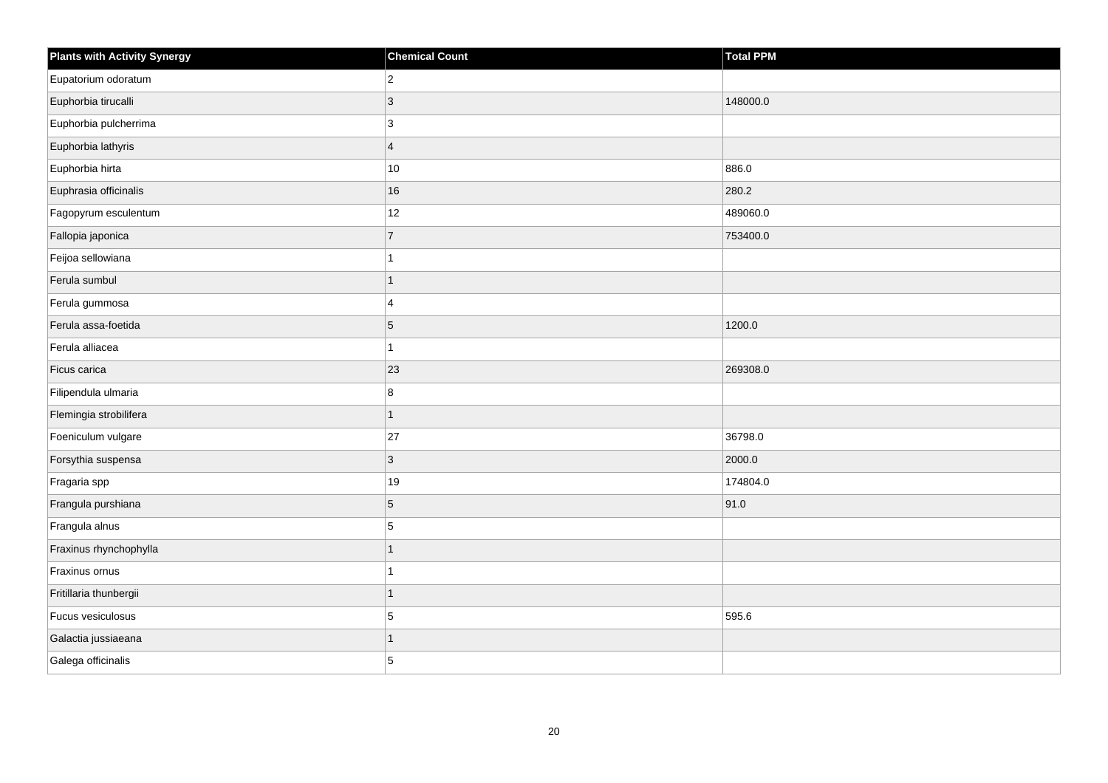| <b>Plants with Activity Synergy</b> | <b>Chemical Count</b>   | <b>Total PPM</b> |
|-------------------------------------|-------------------------|------------------|
| Eupatorium odoratum                 | $\overline{2}$          |                  |
| Euphorbia tirucalli                 | 3                       | 148000.0         |
| Euphorbia pulcherrima               | 3                       |                  |
| Euphorbia lathyris                  | $\overline{\mathbf{4}}$ |                  |
| Euphorbia hirta                     | $10$                    | 886.0            |
| Euphrasia officinalis               | 16                      | 280.2            |
| Fagopyrum esculentum                | 12                      | 489060.0         |
| Fallopia japonica                   | $\overline{7}$          | 753400.0         |
| Feijoa sellowiana                   | 1                       |                  |
| Ferula sumbul                       | $\mathbf{1}$            |                  |
| Ferula gummosa                      | 4                       |                  |
| Ferula assa-foetida                 | 5                       | 1200.0           |
| Ferula alliacea                     | 1                       |                  |
| Ficus carica                        | 23                      | 269308.0         |
| Filipendula ulmaria                 | 8                       |                  |
| Flemingia strobilifera              | $\mathbf{1}$            |                  |
| Foeniculum vulgare                  | 27                      | 36798.0          |
| Forsythia suspensa                  | 3                       | 2000.0           |
| Fragaria spp                        | $19$                    | 174804.0         |
| Frangula purshiana                  | 5                       | 91.0             |
| Frangula alnus                      | 5                       |                  |
| Fraxinus rhynchophylla              | $\overline{1}$          |                  |
| Fraxinus ornus                      | 1                       |                  |
| Fritillaria thunbergii              | $\overline{1}$          |                  |
| Fucus vesiculosus                   | 5                       | 595.6            |
| Galactia jussiaeana                 | $\overline{1}$          |                  |
| Galega officinalis                  | 5                       |                  |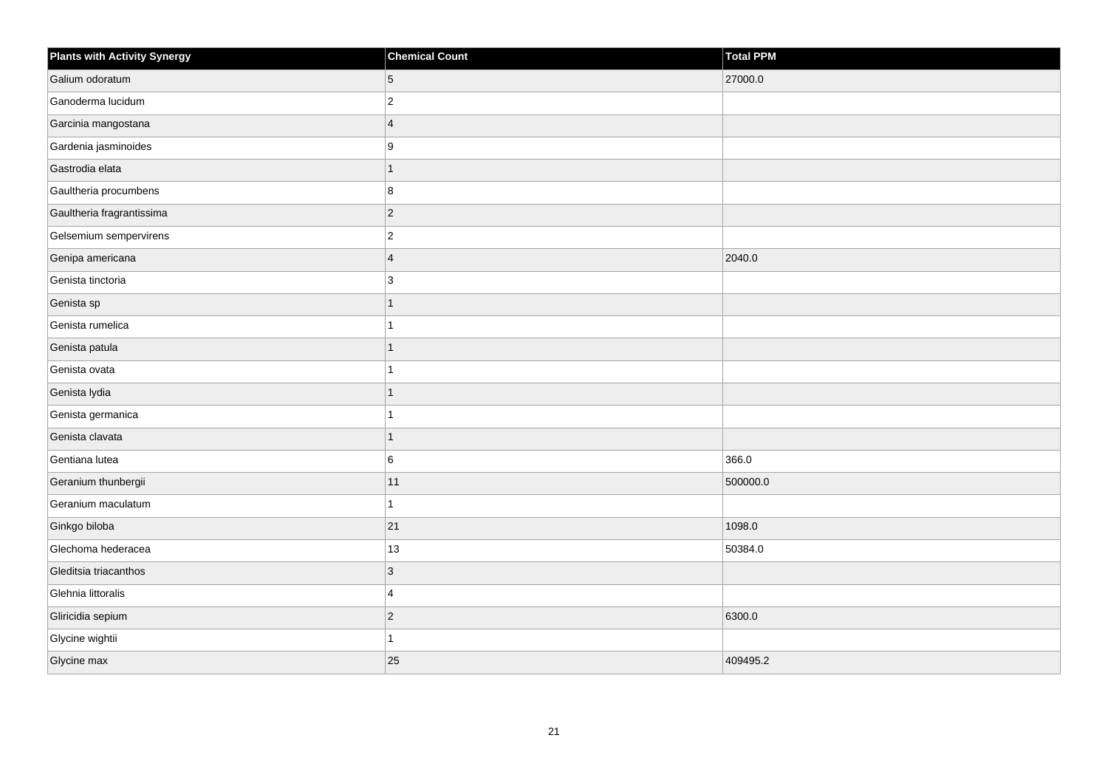| <b>Plants with Activity Synergy</b> | <b>Chemical Count</b>   | Total PPM |
|-------------------------------------|-------------------------|-----------|
| Galium odoratum                     | 5                       | 27000.0   |
| Ganoderma lucidum                   | $\overline{2}$          |           |
| Garcinia mangostana                 | $\overline{\mathbf{4}}$ |           |
| Gardenia jasminoides                | 9                       |           |
| Gastrodia elata                     | 1                       |           |
| Gaultheria procumbens               | 8                       |           |
| Gaultheria fragrantissima           | $ 2\rangle$             |           |
| Gelsemium sempervirens              | $\overline{c}$          |           |
| Genipa americana                    | $\overline{\mathbf{4}}$ | 2040.0    |
| Genista tinctoria                   | 3                       |           |
| Genista sp                          | 1                       |           |
| Genista rumelica                    | 1                       |           |
| Genista patula                      | 1                       |           |
| Genista ovata                       | 1                       |           |
| Genista lydia                       | 1                       |           |
| Genista germanica                   | 1                       |           |
| Genista clavata                     | 1                       |           |
| Gentiana lutea                      | 6                       | 366.0     |
| Geranium thunbergii                 | 11                      | 500000.0  |
| Geranium maculatum                  | 1                       |           |
| Ginkgo biloba                       | 21                      | 1098.0    |
| Glechoma hederacea                  | 13                      | 50384.0   |
| Gleditsia triacanthos               | 3                       |           |
| Glehnia littoralis                  | 4                       |           |
| Gliricidia sepium                   | $ 2\rangle$             | 6300.0    |
| Glycine wightii                     | 1                       |           |
| Glycine max                         | 25                      | 409495.2  |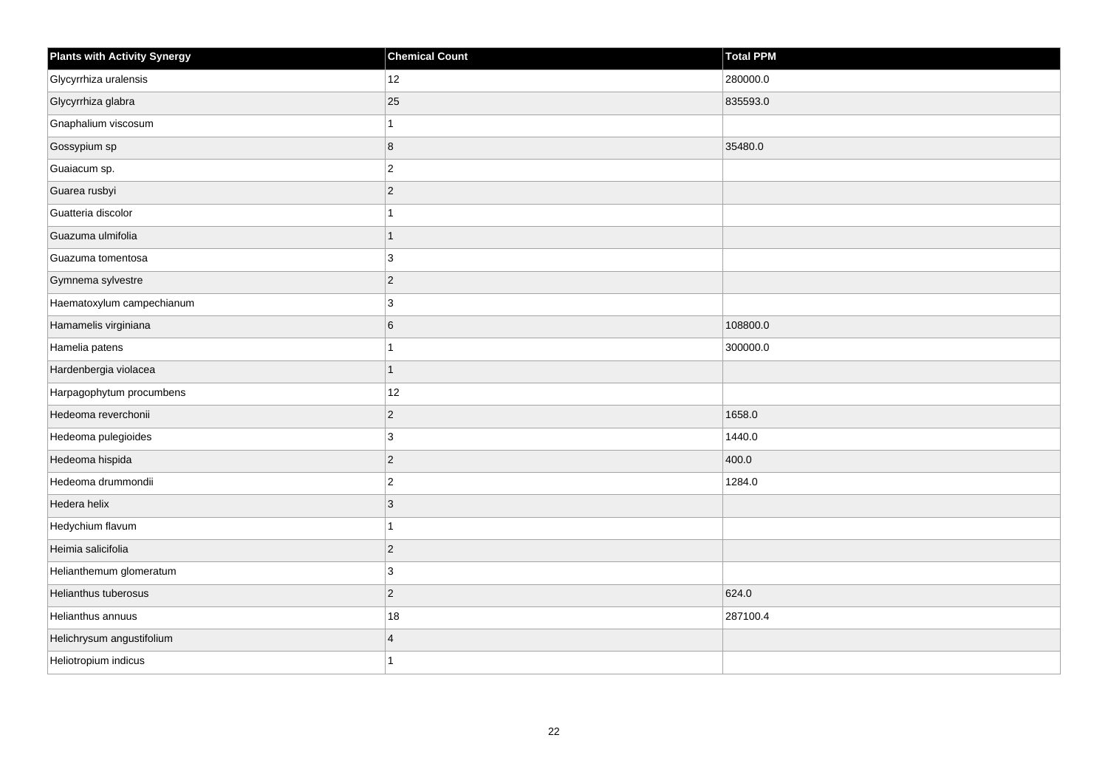| <b>Plants with Activity Synergy</b> | <b>Chemical Count</b> | Total PPM |
|-------------------------------------|-----------------------|-----------|
| Glycyrrhiza uralensis               | 12                    | 280000.0  |
| Glycyrrhiza glabra                  | 25                    | 835593.0  |
| Gnaphalium viscosum                 | 1                     |           |
| Gossypium sp                        | 8                     | 35480.0   |
| Guaiacum sp.                        | $\overline{2}$        |           |
| Guarea rusbyi                       | $\vert$ 2             |           |
| Guatteria discolor                  | 1                     |           |
| Guazuma ulmifolia                   | 1                     |           |
| Guazuma tomentosa                   | 3                     |           |
| Gymnema sylvestre                   | $\vert$ 2             |           |
| Haematoxylum campechianum           | 3                     |           |
| Hamamelis virginiana                | 6                     | 108800.0  |
| Hamelia patens                      | 1                     | 300000.0  |
| Hardenbergia violacea               | 1                     |           |
| Harpagophytum procumbens            | 12                    |           |
| Hedeoma reverchonii                 | $\vert$ 2             | 1658.0    |
| Hedeoma pulegioides                 | 3                     | 1440.0    |
| Hedeoma hispida                     | $\vert$ 2             | 400.0     |
| Hedeoma drummondii                  | $\vert$ 2             | 1284.0    |
| Hedera helix                        | 3                     |           |
| Hedychium flavum                    | 1                     |           |
| Heimia salicifolia                  | $\sqrt{2}$            |           |
| Helianthemum glomeratum             | $\mathbf{3}$          |           |
| Helianthus tuberosus                | $\vert$ 2             | 624.0     |
| Helianthus annuus                   | $18\,$                | 287100.4  |
| Helichrysum angustifolium           | $\overline{4}$        |           |
| Heliotropium indicus                | 1                     |           |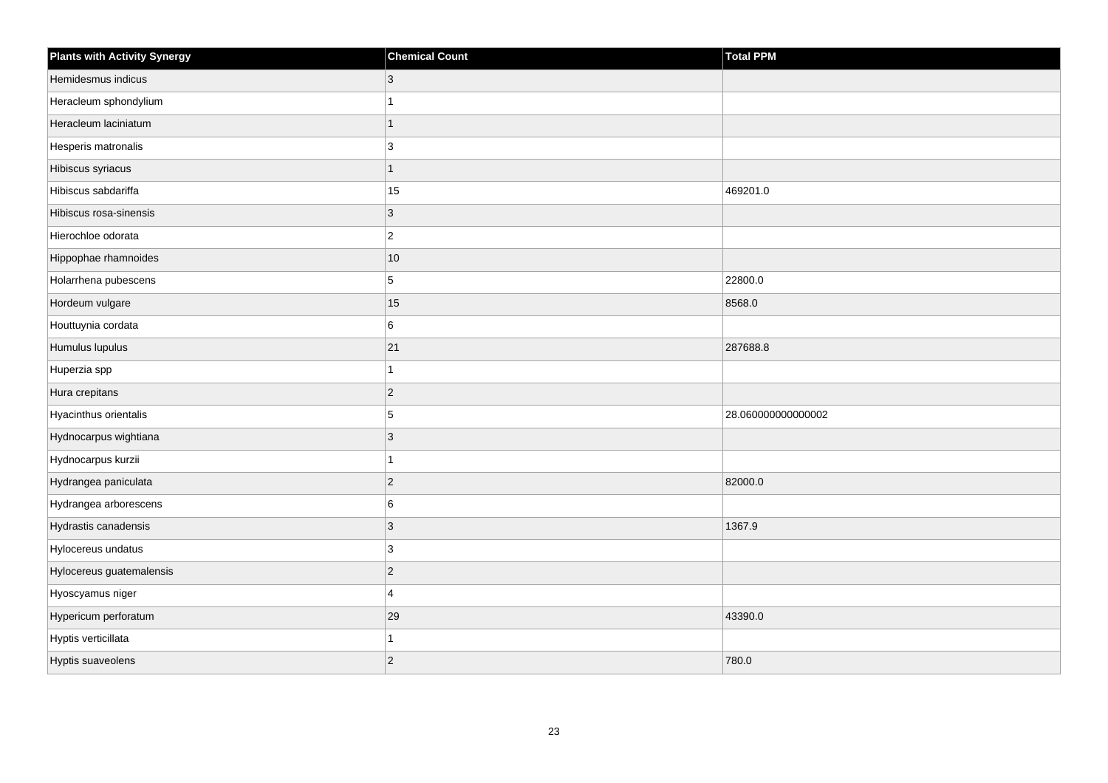| <b>Plants with Activity Synergy</b> | <b>Chemical Count</b> | Total PPM          |
|-------------------------------------|-----------------------|--------------------|
| Hemidesmus indicus                  | 3                     |                    |
| Heracleum sphondylium               |                       |                    |
| Heracleum laciniatum                | 1                     |                    |
| Hesperis matronalis                 | 3                     |                    |
| Hibiscus syriacus                   | 1                     |                    |
| Hibiscus sabdariffa                 | 15                    | 469201.0           |
| Hibiscus rosa-sinensis              | 3                     |                    |
| Hierochloe odorata                  | $\overline{c}$        |                    |
| Hippophae rhamnoides                | 10                    |                    |
| Holarrhena pubescens                | 5                     | 22800.0            |
| Hordeum vulgare                     | 15                    | 8568.0             |
| Houttuynia cordata                  | 6                     |                    |
| Humulus lupulus                     | 21                    | 287688.8           |
| Huperzia spp                        |                       |                    |
| Hura crepitans                      | $\overline{c}$        |                    |
| Hyacinthus orientalis               | 5                     | 28.060000000000002 |
| Hydnocarpus wightiana               | 3                     |                    |
| Hydnocarpus kurzii                  |                       |                    |
| Hydrangea paniculata                | $\overline{2}$        | 82000.0            |
| Hydrangea arborescens               | 6                     |                    |
| Hydrastis canadensis                | 3                     | 1367.9             |
| Hylocereus undatus                  | $\mathbf{3}$          |                    |
| Hylocereus guatemalensis            | $\overline{c}$        |                    |
| Hyoscyamus niger                    | 4                     |                    |
| Hypericum perforatum                | 29                    | 43390.0            |
| Hyptis verticillata                 |                       |                    |
| Hyptis suaveolens                   | $\overline{2}$        | 780.0              |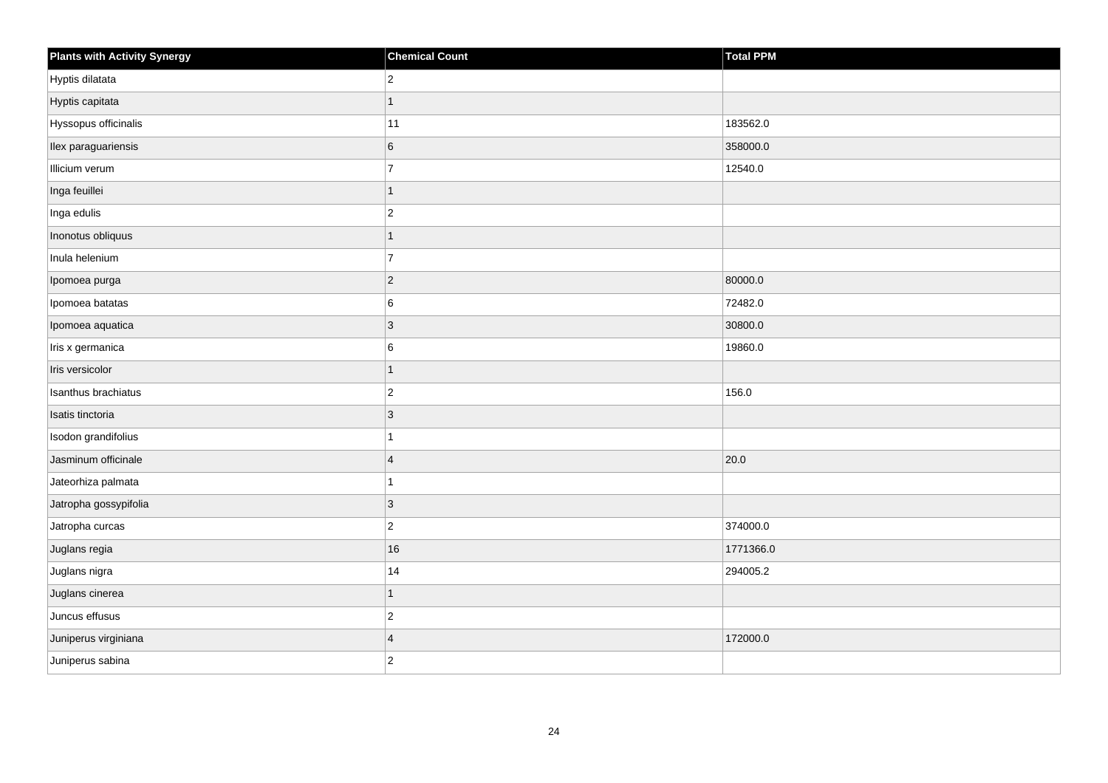| <b>Plants with Activity Synergy</b> | <b>Chemical Count</b> | Total PPM |
|-------------------------------------|-----------------------|-----------|
| Hyptis dilatata                     | $\vert$ 2             |           |
| Hyptis capitata                     | 1                     |           |
| Hyssopus officinalis                | 11                    | 183562.0  |
| Ilex paraguariensis                 | 6                     | 358000.0  |
| Illicium verum                      | $\overline{7}$        | 12540.0   |
| Inga feuillei                       | $\overline{1}$        |           |
| Inga edulis                         | $\vert$ 2             |           |
| Inonotus obliquus                   | $\mathbf{1}$          |           |
| Inula helenium                      | $\overline{7}$        |           |
| Ipomoea purga                       | $ 2\rangle$           | 80000.0   |
| Ipomoea batatas                     | 6                     | 72482.0   |
| Ipomoea aquatica                    | 3                     | 30800.0   |
| Iris x germanica                    | 6                     | 19860.0   |
| Iris versicolor                     | $\mathbf{1}$          |           |
| Isanthus brachiatus                 | $\vert$ 2             | 156.0     |
| Isatis tinctoria                    | $ 3\rangle$           |           |
| Isodon grandifolius                 | 1                     |           |
| Jasminum officinale                 | $\overline{4}$        | 20.0      |
| Jateorhiza palmata                  | $\mathbf{1}$          |           |
| Jatropha gossypifolia               | $ 3\rangle$           |           |
| Jatropha curcas                     | $ 2\rangle$           | 374000.0  |
| Juglans regia                       | $16\,$                | 1771366.0 |
| Juglans nigra                       | 14                    | 294005.2  |
| Juglans cinerea                     | $\mathbf{1}$          |           |
| Juncus effusus                      | $ 2\rangle$           |           |
| Juniperus virginiana                | $\overline{4}$        | 172000.0  |
| Juniperus sabina                    | $ 2\rangle$           |           |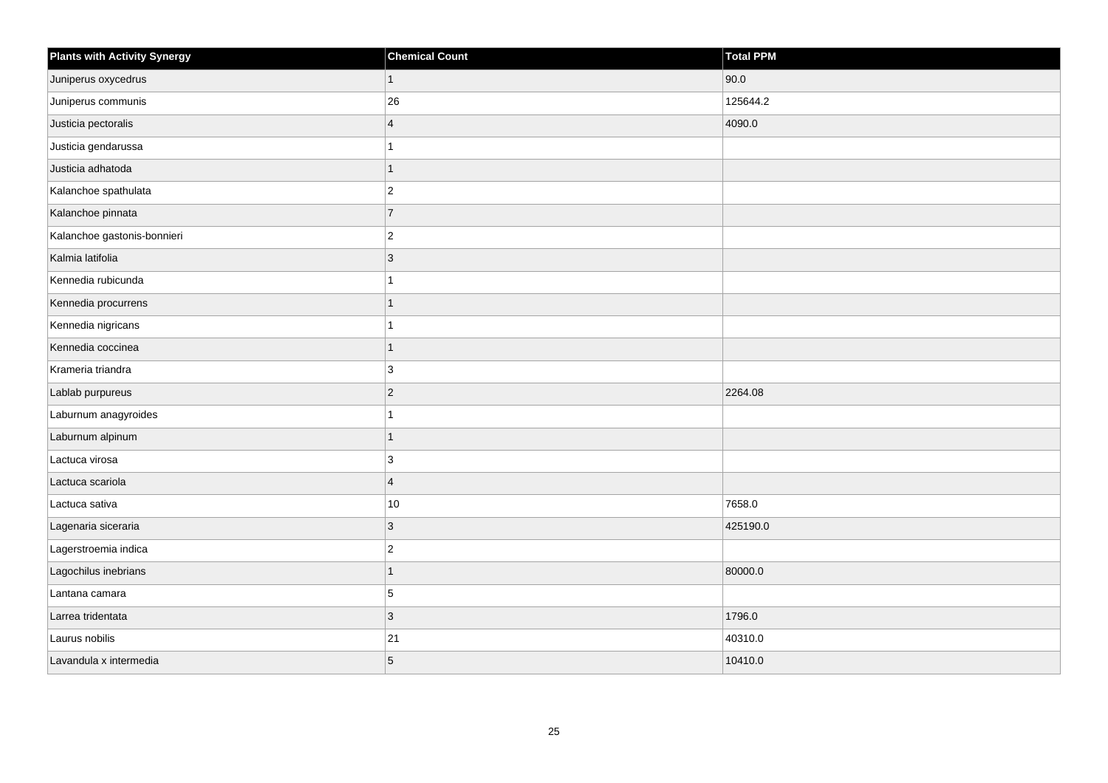| <b>Plants with Activity Synergy</b> | <b>Chemical Count</b> | Total PPM |
|-------------------------------------|-----------------------|-----------|
| Juniperus oxycedrus                 | $\mathbf{1}$          | 90.0      |
| Juniperus communis                  | 26                    | 125644.2  |
| Justicia pectoralis                 | $\overline{4}$        | 4090.0    |
| Justicia gendarussa                 | 1                     |           |
| Justicia adhatoda                   | 1                     |           |
| Kalanchoe spathulata                | $ 2\rangle$           |           |
| Kalanchoe pinnata                   | 7                     |           |
| Kalanchoe gastonis-bonnieri         | $ 2\rangle$           |           |
| Kalmia latifolia                    | $ 3\rangle$           |           |
| Kennedia rubicunda                  | 1                     |           |
| Kennedia procurrens                 | 1                     |           |
| Kennedia nigricans                  | 1                     |           |
| Kennedia coccinea                   | 1                     |           |
| Krameria triandra                   | 3                     |           |
| Lablab purpureus                    | $ 2\rangle$           | 2264.08   |
| Laburnum anagyroides                | 1                     |           |
| Laburnum alpinum                    | 1                     |           |
| Lactuca virosa                      | 3                     |           |
| Lactuca scariola                    | $\overline{4}$        |           |
| Lactuca sativa                      | 10                    | 7658.0    |
| Lagenaria siceraria                 | 3                     | 425190.0  |
| Lagerstroemia indica                | $\vert$ <sub>2</sub>  |           |
| Lagochilus inebrians                | 1                     | 80000.0   |
| Lantana camara                      | 5                     |           |
| Larrea tridentata                   | $ 3\rangle$           | 1796.0    |
| Laurus nobilis                      | 21                    | 40310.0   |
| Lavandula x intermedia              | 5                     | 10410.0   |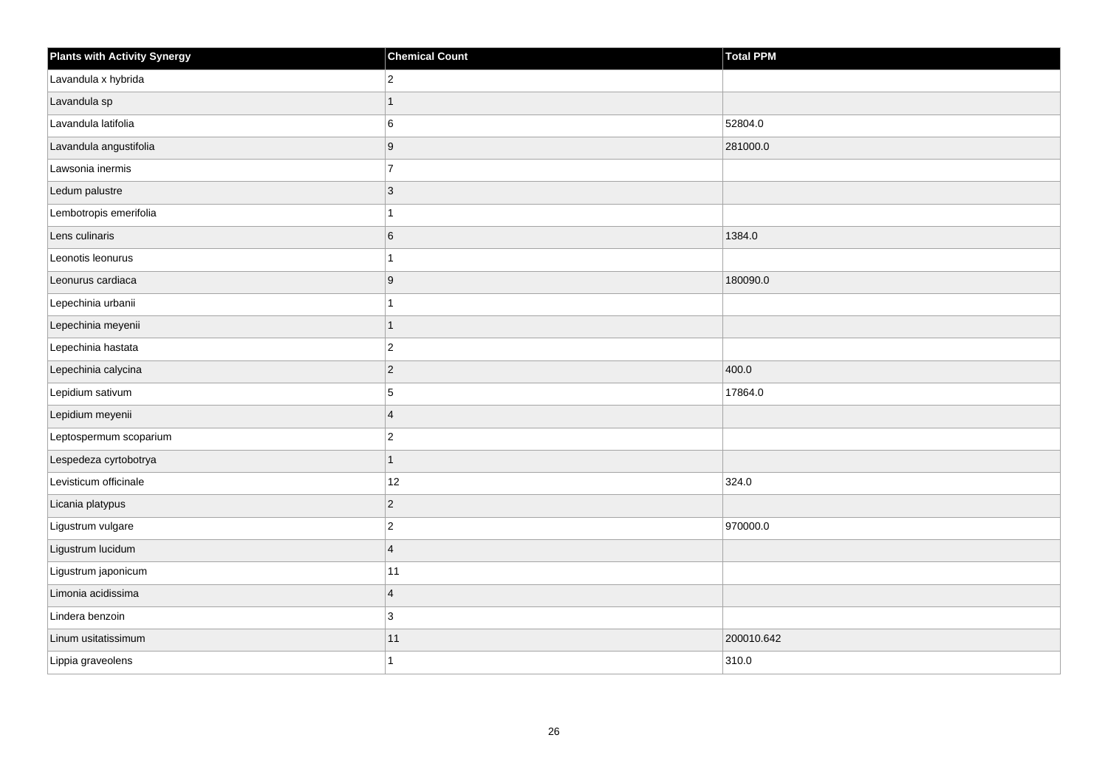| <b>Plants with Activity Synergy</b> | <b>Chemical Count</b> | <b>Total PPM</b> |
|-------------------------------------|-----------------------|------------------|
| Lavandula x hybrida                 | $\overline{2}$        |                  |
| Lavandula sp                        |                       |                  |
| Lavandula latifolia                 | 6                     | 52804.0          |
| Lavandula angustifolia              | 9                     | 281000.0         |
| Lawsonia inermis                    | $\overline{7}$        |                  |
| Ledum palustre                      | $\overline{3}$        |                  |
| Lembotropis emerifolia              |                       |                  |
| Lens culinaris                      | 6                     | 1384.0           |
| Leonotis leonurus                   |                       |                  |
| Leonurus cardiaca                   | 9                     | 180090.0         |
| Lepechinia urbanii                  |                       |                  |
| Lepechinia meyenii                  | 1                     |                  |
| Lepechinia hastata                  | $\overline{2}$        |                  |
| Lepechinia calycina                 | $\overline{2}$        | 400.0            |
| Lepidium sativum                    | 5                     | 17864.0          |
| Lepidium meyenii                    | $\overline{4}$        |                  |
| Leptospermum scoparium              | $\overline{c}$        |                  |
| Lespedeza cyrtobotrya               | 1                     |                  |
| Levisticum officinale               | 12                    | 324.0            |
| Licania platypus                    | $\overline{c}$        |                  |
| Ligustrum vulgare                   | $\overline{a}$        | 970000.0         |
| Ligustrum lucidum                   | $\overline{4}$        |                  |
| Ligustrum japonicum                 | 11                    |                  |
| Limonia acidissima                  | $\overline{4}$        |                  |
| Lindera benzoin                     | 3                     |                  |
| Linum usitatissimum                 | $11$                  | 200010.642       |
| Lippia graveolens                   |                       | 310.0            |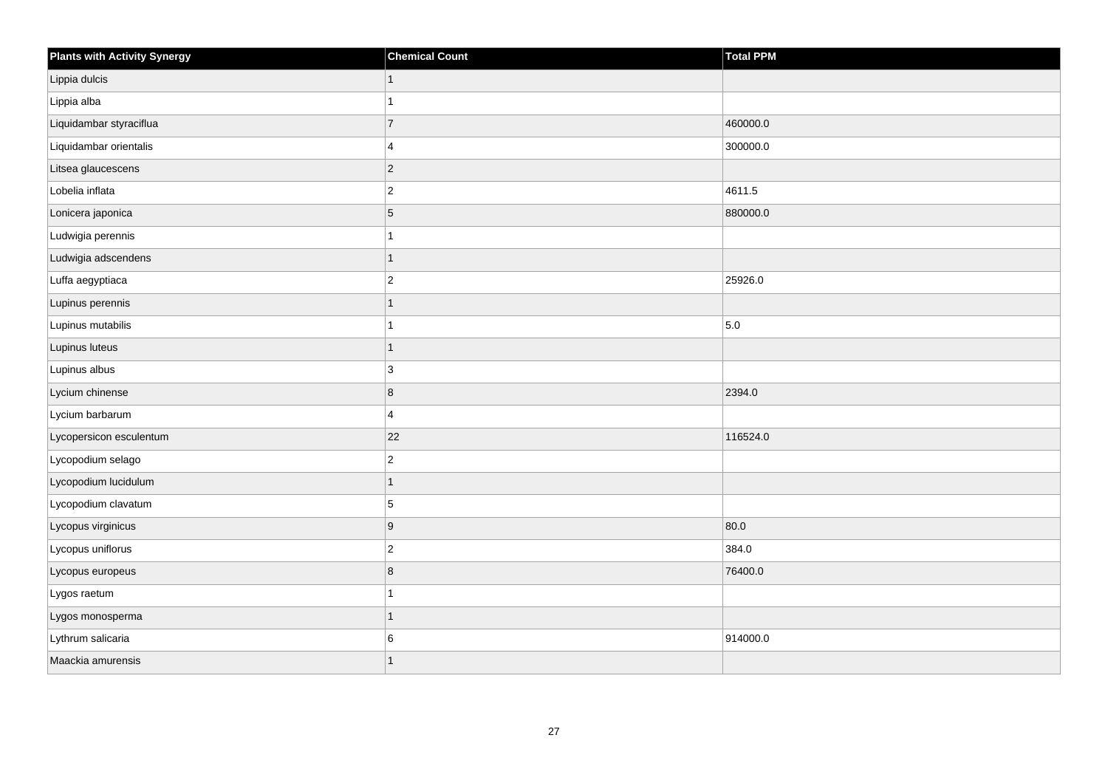| <b>Plants with Activity Synergy</b> | <b>Chemical Count</b> | Total PPM |
|-------------------------------------|-----------------------|-----------|
| Lippia dulcis                       | $\mathbf{1}$          |           |
| Lippia alba                         | 1                     |           |
| Liquidambar styraciflua             | $\overline{7}$        | 460000.0  |
| Liquidambar orientalis              | $\overline{4}$        | 300000.0  |
| Litsea glaucescens                  | $ 2\rangle$           |           |
| Lobelia inflata                     | $\vert$ 2             | 4611.5    |
| Lonicera japonica                   | $\overline{5}$        | 880000.0  |
| Ludwigia perennis                   | 1                     |           |
| Ludwigia adscendens                 | 1                     |           |
| Luffa aegyptiaca                    | $\vert$ 2             | 25926.0   |
| Lupinus perennis                    | $\mathbf{1}$          |           |
| Lupinus mutabilis                   | 1                     | 5.0       |
| Lupinus luteus                      | $\overline{1}$        |           |
| Lupinus albus                       | 3                     |           |
| Lycium chinense                     | 8                     | 2394.0    |
| Lycium barbarum                     | $\overline{4}$        |           |
| Lycopersicon esculentum             | 22                    | 116524.0  |
| Lycopodium selago                   | $\overline{2}$        |           |
| Lycopodium lucidulum                | 1                     |           |
| Lycopodium clavatum                 | $\overline{5}$        |           |
| Lycopus virginicus                  | 9                     | 80.0      |
| Lycopus uniflorus                   | $\vert$ 2             | 384.0     |
| Lycopus europeus                    | $\bf 8$               | 76400.0   |
| Lygos raetum                        | 1                     |           |
| Lygos monosperma                    | $\overline{1}$        |           |
| Lythrum salicaria                   | 6                     | 914000.0  |
| Maackia amurensis                   | 1                     |           |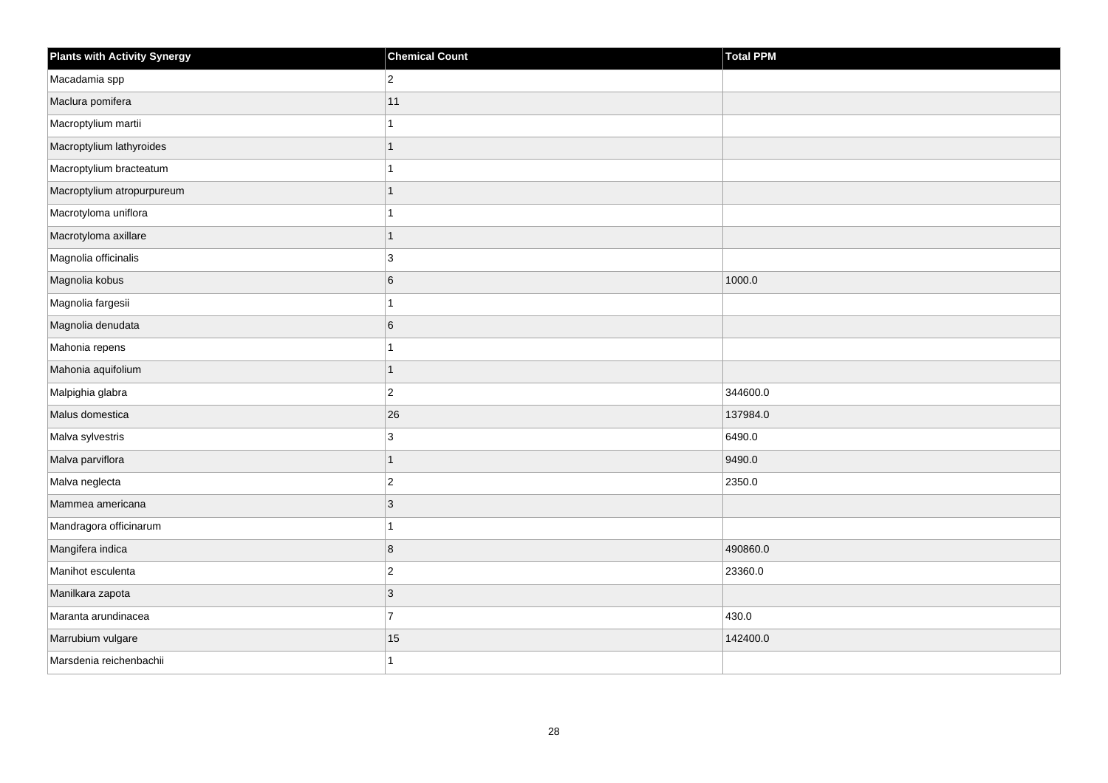| <b>Plants with Activity Synergy</b> | <b>Chemical Count</b> | Total PPM |
|-------------------------------------|-----------------------|-----------|
| Macadamia spp                       | $\overline{2}$        |           |
| Maclura pomifera                    | 11                    |           |
| Macroptylium martii                 |                       |           |
| Macroptylium lathyroides            | 1                     |           |
| Macroptylium bracteatum             |                       |           |
| Macroptylium atropurpureum          |                       |           |
| Macrotyloma uniflora                |                       |           |
| Macrotyloma axillare                | 1                     |           |
| Magnolia officinalis                | 3                     |           |
| Magnolia kobus                      | 6                     | 1000.0    |
| Magnolia fargesii                   |                       |           |
| Magnolia denudata                   | 6                     |           |
| Mahonia repens                      | 1                     |           |
| Mahonia aquifolium                  | 1                     |           |
| Malpighia glabra                    | $\overline{2}$        | 344600.0  |
| Malus domestica                     | 26                    | 137984.0  |
| Malva sylvestris                    | 3                     | 6490.0    |
| Malva parviflora                    | 1                     | 9490.0    |
| Malva neglecta                      | $\overline{c}$        | 2350.0    |
| Mammea americana                    | 3                     |           |
| Mandragora officinarum              |                       |           |
| Mangifera indica                    | 8                     | 490860.0  |
| Manihot esculenta                   | $\overline{2}$        | 23360.0   |
| Manilkara zapota                    | 3                     |           |
| Maranta arundinacea                 | $\overline{7}$        | 430.0     |
| Marrubium vulgare                   | 15                    | 142400.0  |
| Marsdenia reichenbachii             |                       |           |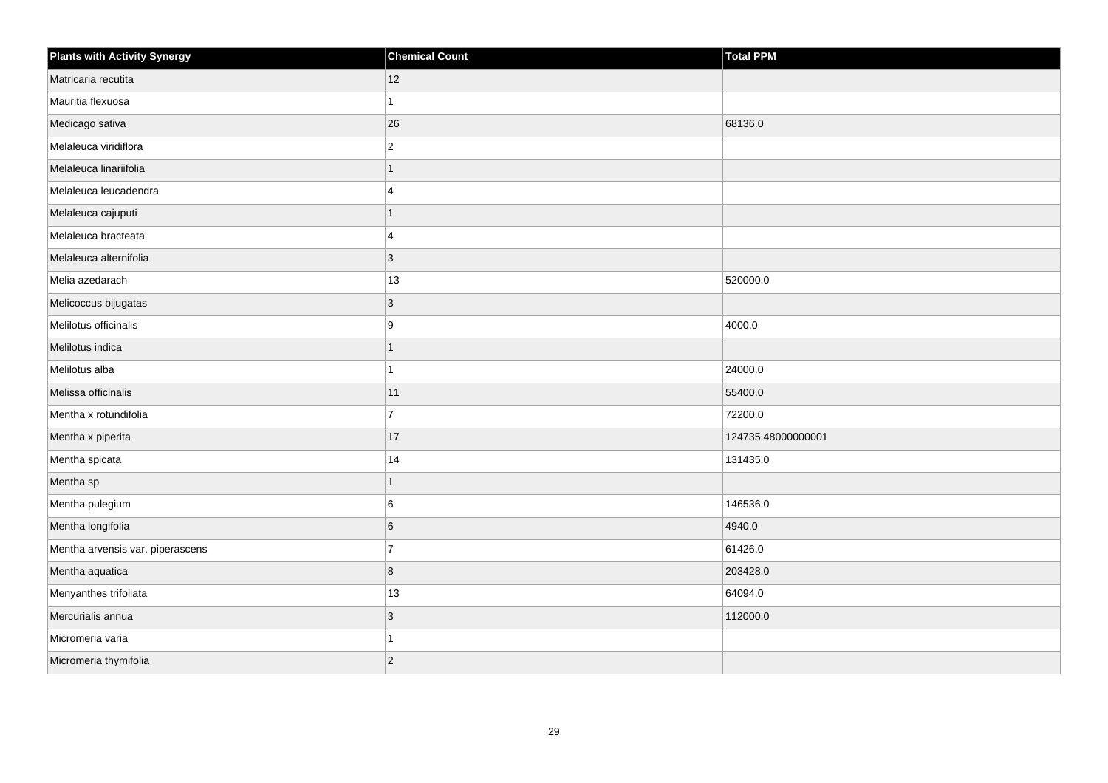| <b>Plants with Activity Synergy</b> | <b>Chemical Count</b> | <b>Total PPM</b>   |
|-------------------------------------|-----------------------|--------------------|
| Matricaria recutita                 | 12                    |                    |
| Mauritia flexuosa                   |                       |                    |
| Medicago sativa                     | 26                    | 68136.0            |
| Melaleuca viridiflora               | $\overline{2}$        |                    |
| Melaleuca linariifolia              |                       |                    |
| Melaleuca leucadendra               | 4                     |                    |
| Melaleuca cajuputi                  | 1                     |                    |
| Melaleuca bracteata                 | 4                     |                    |
| Melaleuca alternifolia              | $\overline{3}$        |                    |
| Melia azedarach                     | 13                    | 520000.0           |
| Melicoccus bijugatas                | 3                     |                    |
| Melilotus officinalis               | 9                     | 4000.0             |
| Melilotus indica                    | 1                     |                    |
| Melilotus alba                      |                       | 24000.0            |
| Melissa officinalis                 | 11                    | 55400.0            |
| Mentha x rotundifolia               | $\overline{7}$        | 72200.0            |
| Mentha x piperita                   | 17                    | 124735.48000000001 |
| Mentha spicata                      | 14                    | 131435.0           |
| Mentha sp                           | 1                     |                    |
| Mentha pulegium                     | 6                     | 146536.0           |
| Mentha longifolia                   | 6                     | 4940.0             |
| Mentha arvensis var. piperascens    | $\overline{7}$        | 61426.0            |
| Mentha aquatica                     | 8                     | 203428.0           |
| Menyanthes trifoliata               | $13$                  | 64094.0            |
| Mercurialis annua                   | 3                     | 112000.0           |
| Micromeria varia                    |                       |                    |
| Micromeria thymifolia               | $\overline{2}$        |                    |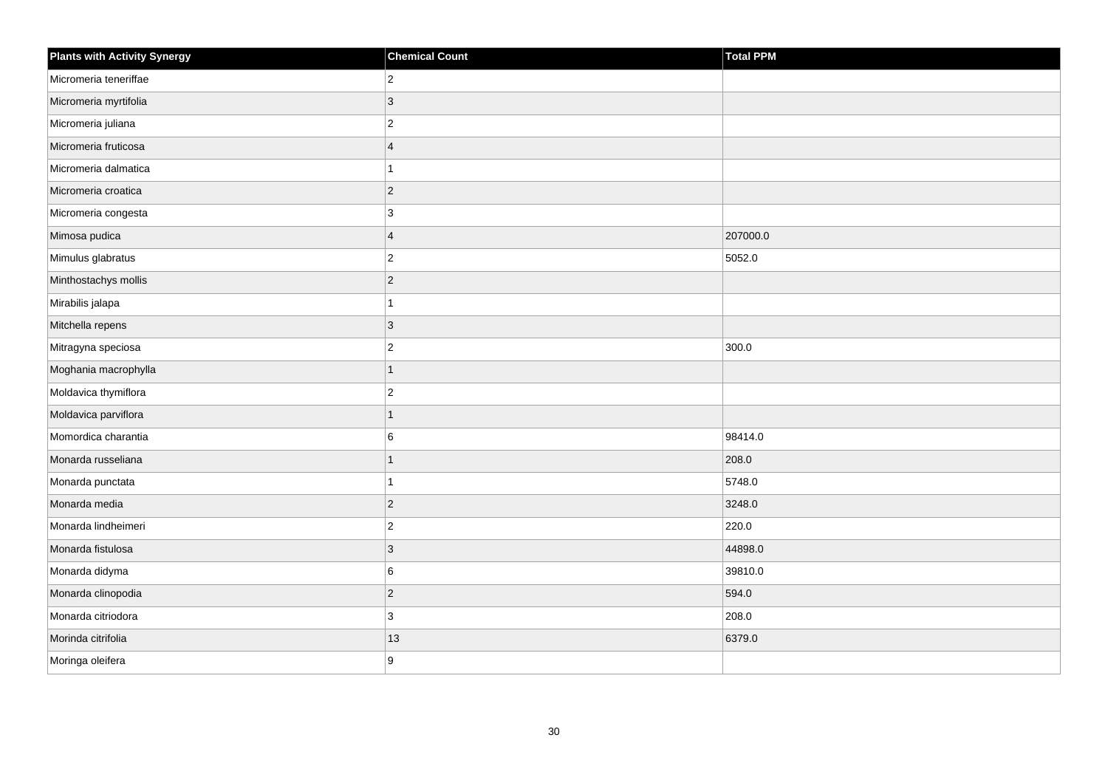| Plants with Activity Synergy | <b>Chemical Count</b> | <b>Total PPM</b> |
|------------------------------|-----------------------|------------------|
| Micromeria teneriffae        | $\mathbf 2$           |                  |
| Micromeria myrtifolia        | $\mathbf{3}$          |                  |
| Micromeria juliana           | $\overline{c}$        |                  |
| Micromeria fruticosa         | $\overline{4}$        |                  |
| Micromeria dalmatica         | 1                     |                  |
| Micromeria croatica          | $\vert$ 2             |                  |
| Micromeria congesta          | 3                     |                  |
| Mimosa pudica                | $\overline{4}$        | 207000.0         |
| Mimulus glabratus            | $\overline{2}$        | 5052.0           |
| Minthostachys mollis         | $\vert$ 2             |                  |
| Mirabilis jalapa             | $\mathbf{1}$          |                  |
| Mitchella repens             | $ 3\rangle$           |                  |
| Mitragyna speciosa           | $\overline{c}$        | 300.0            |
| Moghania macrophylla         | $\mathbf{1}$          |                  |
| Moldavica thymiflora         | $\overline{2}$        |                  |
| Moldavica parviflora         | $\mathbf{1}$          |                  |
| Momordica charantia          | 6                     | 98414.0          |
| Monarda russeliana           | $\overline{1}$        | 208.0            |
| Monarda punctata             | $\mathbf{1}$          | 5748.0           |
| Monarda media                | $\vert$ 2             | 3248.0           |
| Monarda lindheimeri          | $\overline{2}$        | 220.0            |
| Monarda fistulosa            | $\mathbf{3}$          | 44898.0          |
| Monarda didyma               | 6                     | 39810.0          |
| Monarda clinopodia           | $\vert$ 2             | 594.0            |
| Monarda citriodora           | 3                     | 208.0            |
| Morinda citrifolia           | 13                    | 6379.0           |
| Moringa oleifera             | 9                     |                  |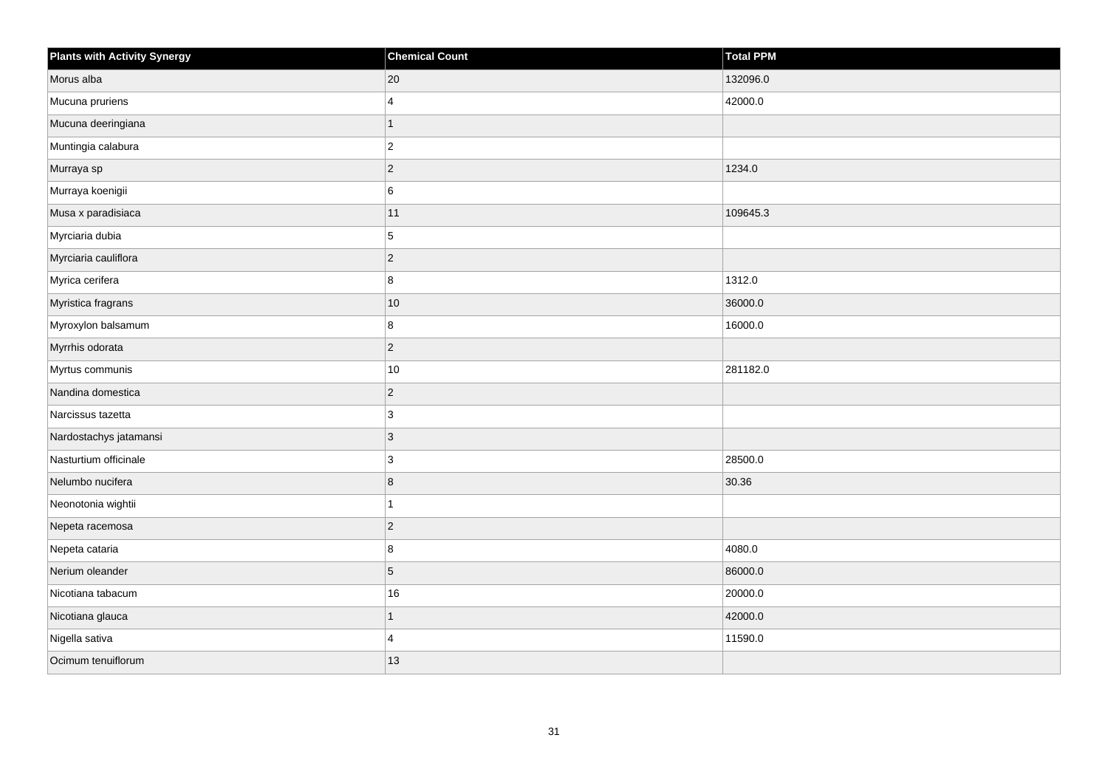| <b>Plants with Activity Synergy</b> | <b>Chemical Count</b> | Total PPM |
|-------------------------------------|-----------------------|-----------|
| Morus alba                          | 20                    | 132096.0  |
| Mucuna pruriens                     | $\boldsymbol{\Delta}$ | 42000.0   |
| Mucuna deeringiana                  | 1                     |           |
| Muntingia calabura                  | $\overline{2}$        |           |
| Murraya sp                          | $\overline{2}$        | 1234.0    |
| Murraya koenigii                    | 6                     |           |
| Musa x paradisiaca                  | 11                    | 109645.3  |
| Myrciaria dubia                     | 5                     |           |
| Myrciaria cauliflora                | $\overline{2}$        |           |
| Myrica cerifera                     | 8                     | 1312.0    |
| Myristica fragrans                  | $10$                  | 36000.0   |
| Myroxylon balsamum                  | 8                     | 16000.0   |
| Myrrhis odorata                     | $\overline{2}$        |           |
| Myrtus communis                     | 10                    | 281182.0  |
| Nandina domestica                   | $\overline{c}$        |           |
| Narcissus tazetta                   | 3                     |           |
| Nardostachys jatamansi              | 3                     |           |
| Nasturtium officinale               | 3                     | 28500.0   |
| Nelumbo nucifera                    | 8                     | 30.36     |
| Neonotonia wightii                  |                       |           |
| Nepeta racemosa                     | $\overline{c}$        |           |
| Nepeta cataria                      | 8                     | 4080.0    |
| Nerium oleander                     | 5                     | 86000.0   |
| Nicotiana tabacum                   | 16                    | 20000.0   |
| Nicotiana glauca                    | $\overline{1}$        | 42000.0   |
| Nigella sativa                      | 4                     | 11590.0   |
| Ocimum tenuiflorum                  | 13                    |           |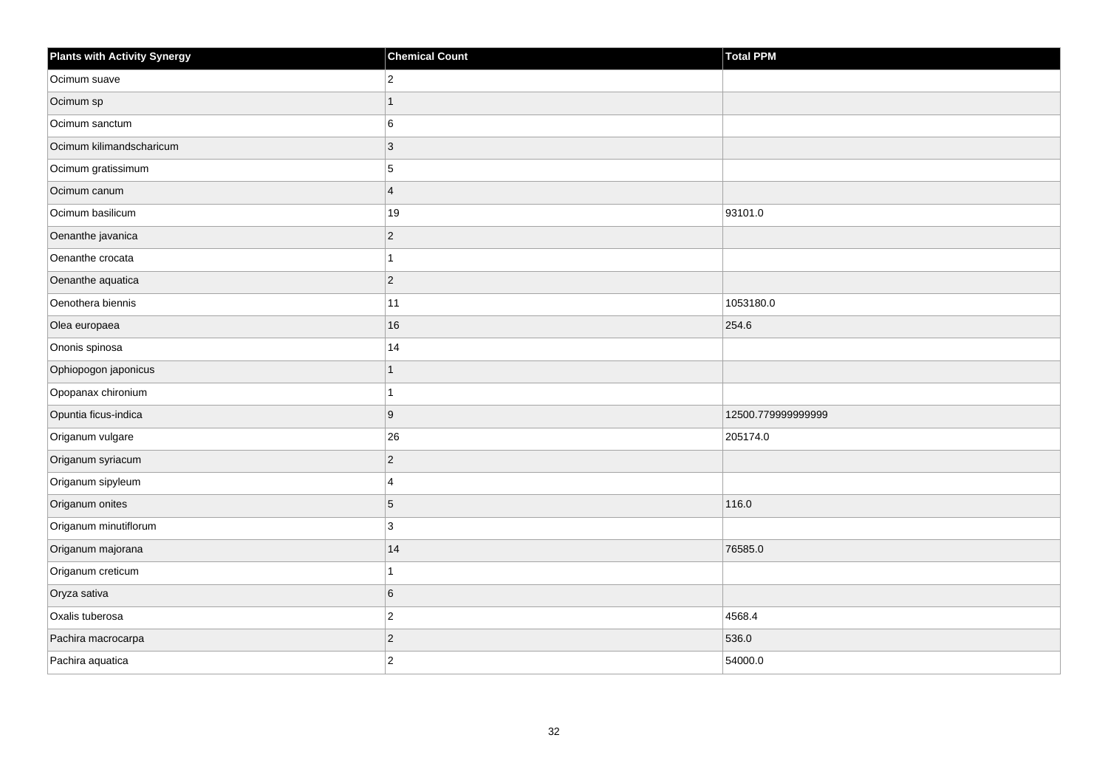| <b>Plants with Activity Synergy</b> | <b>Chemical Count</b> | Total PPM          |
|-------------------------------------|-----------------------|--------------------|
| Ocimum suave                        | $\overline{2}$        |                    |
| Ocimum sp                           | 1                     |                    |
| Ocimum sanctum                      | 6                     |                    |
| Ocimum kilimandscharicum            | $\overline{3}$        |                    |
| Ocimum gratissimum                  | 5                     |                    |
| Ocimum canum                        | $\overline{4}$        |                    |
| Ocimum basilicum                    | 19                    | 93101.0            |
| Oenanthe javanica                   | $\overline{c}$        |                    |
| Oenanthe crocata                    |                       |                    |
| Oenanthe aquatica                   | $\overline{2}$        |                    |
| Oenothera biennis                   | 11                    | 1053180.0          |
| Olea europaea                       | 16                    | 254.6              |
| Ononis spinosa                      | 14                    |                    |
| Ophiopogon japonicus                | 1                     |                    |
| Opopanax chironium                  |                       |                    |
| Opuntia ficus-indica                | 9                     | 12500.779999999999 |
| Origanum vulgare                    | 26                    | 205174.0           |
| Origanum syriacum                   | $\overline{2}$        |                    |
| Origanum sipyleum                   | 4                     |                    |
| Origanum onites                     | 5                     | 116.0              |
| Origanum minutiflorum               | 3                     |                    |
| Origanum majorana                   | 14                    | 76585.0            |
| Origanum creticum                   |                       |                    |
| Oryza sativa                        | 6                     |                    |
| Oxalis tuberosa                     | $\overline{2}$        | 4568.4             |
| Pachira macrocarpa                  | $\overline{c}$        | 536.0              |
| Pachira aquatica                    | $\overline{2}$        | 54000.0            |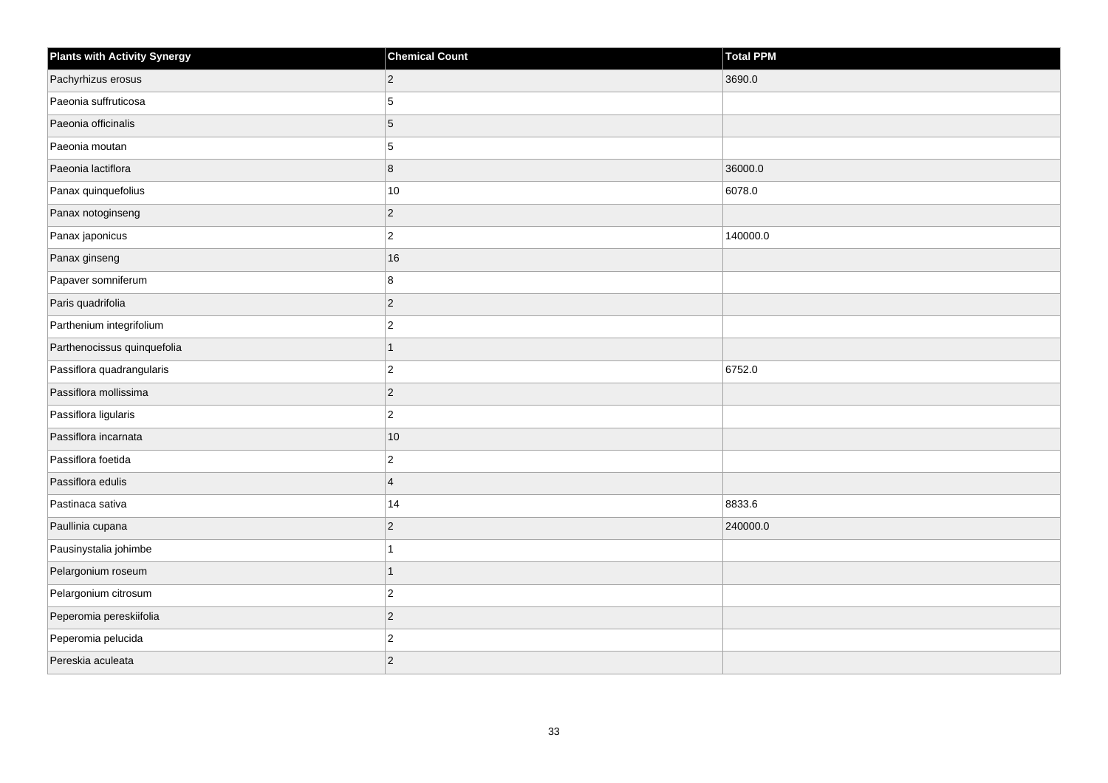| <b>Plants with Activity Synergy</b> | <b>Chemical Count</b>   | <b>Total PPM</b> |
|-------------------------------------|-------------------------|------------------|
| Pachyrhizus erosus                  | $\overline{2}$          | 3690.0           |
| Paeonia suffruticosa                | 5                       |                  |
| Paeonia officinalis                 | 5                       |                  |
| Paeonia moutan                      | 5                       |                  |
| Paeonia lactiflora                  | 8                       | 36000.0          |
| Panax quinquefolius                 | $10$                    | 6078.0           |
| Panax notoginseng                   | $\overline{c}$          |                  |
| Panax japonicus                     | $\overline{2}$          | 140000.0         |
| Panax ginseng                       | 16                      |                  |
| Papaver somniferum                  | 8                       |                  |
| Paris quadrifolia                   | $\overline{c}$          |                  |
| Parthenium integrifolium            | $\overline{c}$          |                  |
| Parthenocissus quinquefolia         | $\mathbf{1}$            |                  |
| Passiflora quadrangularis           | $\overline{\mathbf{c}}$ | 6752.0           |
| Passiflora mollissima               | $\overline{c}$          |                  |
| Passiflora ligularis                | $\overline{2}$          |                  |
| Passiflora incarnata                | 10                      |                  |
| Passiflora foetida                  | $\overline{c}$          |                  |
| Passiflora edulis                   | $\overline{4}$          |                  |
| Pastinaca sativa                    | 14                      | 8833.6           |
| Paullinia cupana                    | $\overline{c}$          | 240000.0         |
| Pausinystalia johimbe               | 1                       |                  |
| Pelargonium roseum                  | $\overline{1}$          |                  |
| Pelargonium citrosum                | $\overline{c}$          |                  |
| Peperomia pereskiifolia             | $\overline{c}$          |                  |
| Peperomia pelucida                  | $\overline{c}$          |                  |
| Pereskia aculeata                   | $\overline{2}$          |                  |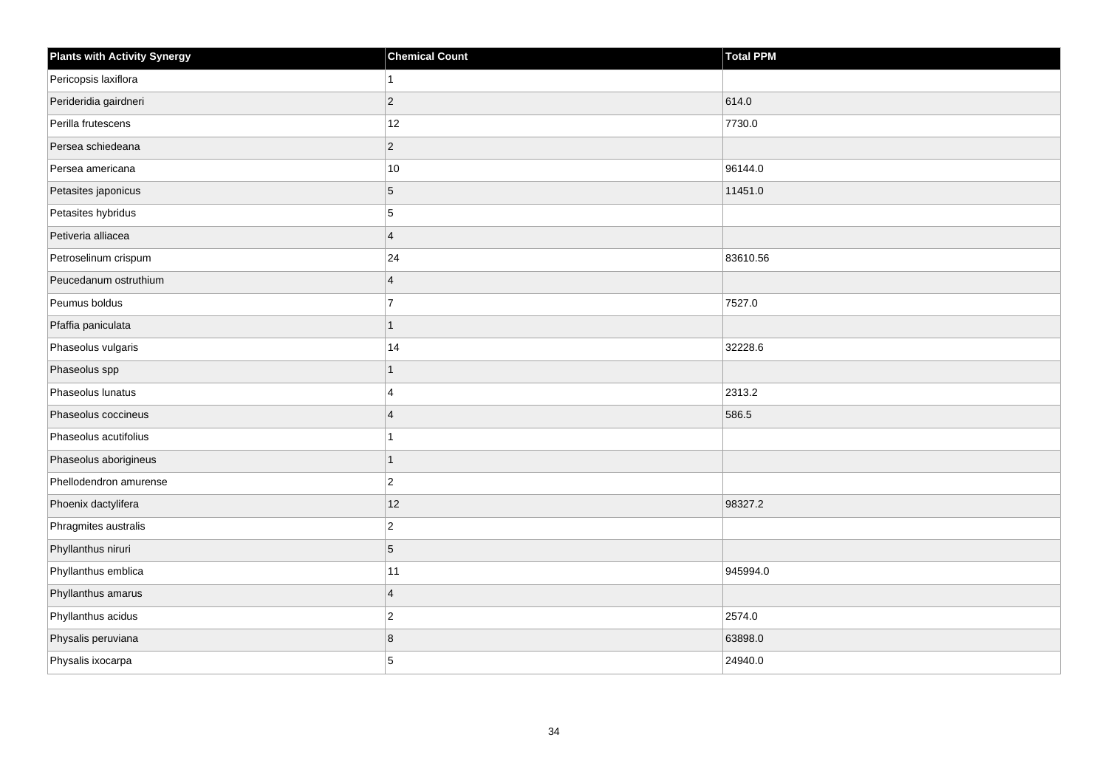| <b>Plants with Activity Synergy</b> | <b>Chemical Count</b> | <b>Total PPM</b> |
|-------------------------------------|-----------------------|------------------|
| Pericopsis laxiflora                | $\mathbf{1}$          |                  |
| Perideridia gairdneri               | $\overline{2}$        | 614.0            |
| Perilla frutescens                  | 12                    | 7730.0           |
| Persea schiedeana                   | $\vert$ 2             |                  |
| Persea americana                    | 10                    | 96144.0          |
| Petasites japonicus                 | $\sqrt{5}$            | 11451.0          |
| Petasites hybridus                  | 5                     |                  |
| Petiveria alliacea                  | $\overline{4}$        |                  |
| Petroselinum crispum                | 24                    | 83610.56         |
| Peucedanum ostruthium               | $\overline{4}$        |                  |
| Peumus boldus                       | $\overline{7}$        | 7527.0           |
| Pfaffia paniculata                  | $\mathbf{1}$          |                  |
| Phaseolus vulgaris                  | 14                    | 32228.6          |
| Phaseolus spp                       | $\mathbf{1}$          |                  |
| Phaseolus lunatus                   | $\overline{4}$        | 2313.2           |
| Phaseolus coccineus                 | $\overline{4}$        | 586.5            |
| Phaseolus acutifolius               | $\mathbf{1}$          |                  |
| Phaseolus aborigineus               | $\mathbf{1}$          |                  |
| Phellodendron amurense              | $\overline{c}$        |                  |
| Phoenix dactylifera                 | 12                    | 98327.2          |
| Phragmites australis                | $\mathbf 2$           |                  |
| Phyllanthus niruri                  | $\sqrt{5}$            |                  |
| Phyllanthus emblica                 | 11                    | 945994.0         |
| Phyllanthus amarus                  | $\overline{4}$        |                  |
| Phyllanthus acidus                  | $\mathbf 2$           | 2574.0           |
| Physalis peruviana                  | 8                     | 63898.0          |
| Physalis ixocarpa                   | 5                     | 24940.0          |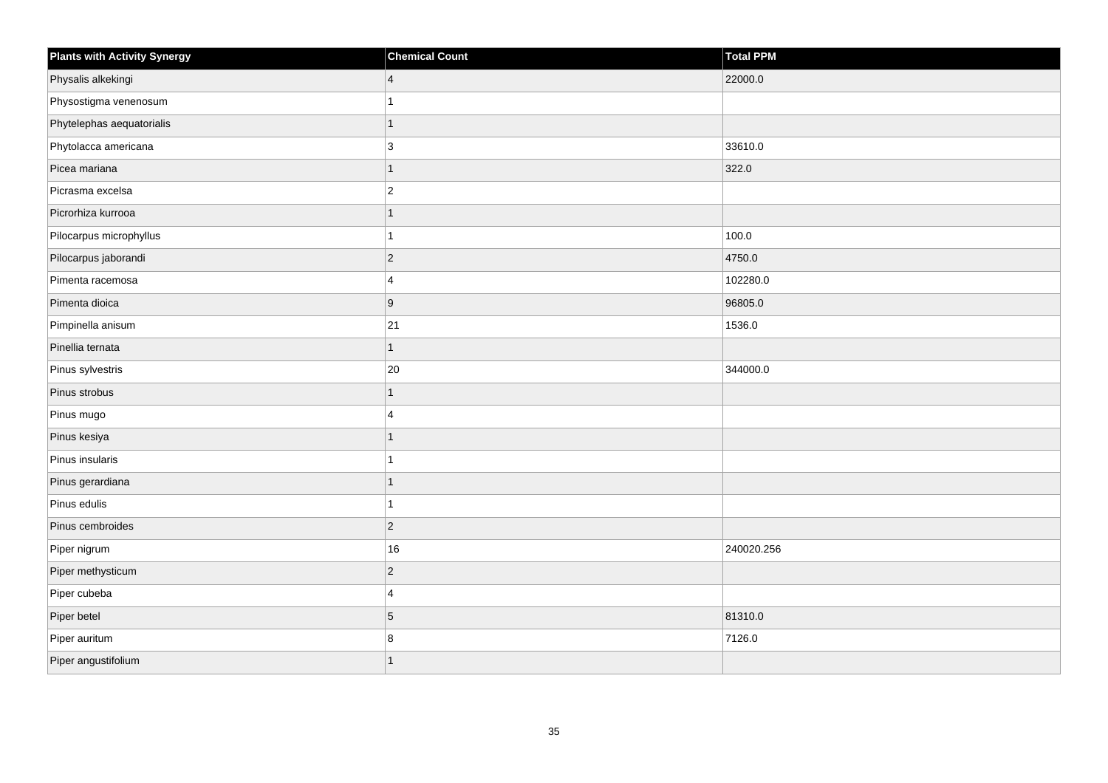| <b>Plants with Activity Synergy</b> | <b>Chemical Count</b> | <b>Total PPM</b> |
|-------------------------------------|-----------------------|------------------|
| Physalis alkekingi                  | $\overline{4}$        | 22000.0          |
| Physostigma venenosum               |                       |                  |
| Phytelephas aequatorialis           | $\overline{1}$        |                  |
| Phytolacca americana                | 3                     | 33610.0          |
| Picea mariana                       | 1                     | 322.0            |
| Picrasma excelsa                    | $\overline{c}$        |                  |
| Picrorhiza kurrooa                  | $\mathbf{1}$          |                  |
| Pilocarpus microphyllus             | 1                     | 100.0            |
| Pilocarpus jaborandi                | $\overline{c}$        | 4750.0           |
| Pimenta racemosa                    | $\overline{4}$        | 102280.0         |
| Pimenta dioica                      | 9                     | 96805.0          |
| Pimpinella anisum                   | 21                    | 1536.0           |
| Pinellia ternata                    | $\mathbf{1}$          |                  |
| Pinus sylvestris                    | 20                    | 344000.0         |
| Pinus strobus                       | $\overline{1}$        |                  |
| Pinus mugo                          | 4                     |                  |
| Pinus kesiya                        | 1                     |                  |
| Pinus insularis                     | 1                     |                  |
| Pinus gerardiana                    | $\overline{1}$        |                  |
| Pinus edulis                        | 1                     |                  |
| Pinus cembroides                    | $\overline{c}$        |                  |
| Piper nigrum                        | 16                    | 240020.256       |
| Piper methysticum                   | $\overline{c}$        |                  |
| Piper cubeba                        | 4                     |                  |
| Piper betel                         | 5                     | 81310.0          |
| Piper auritum                       | 8                     | 7126.0           |
| Piper angustifolium                 | $\overline{1}$        |                  |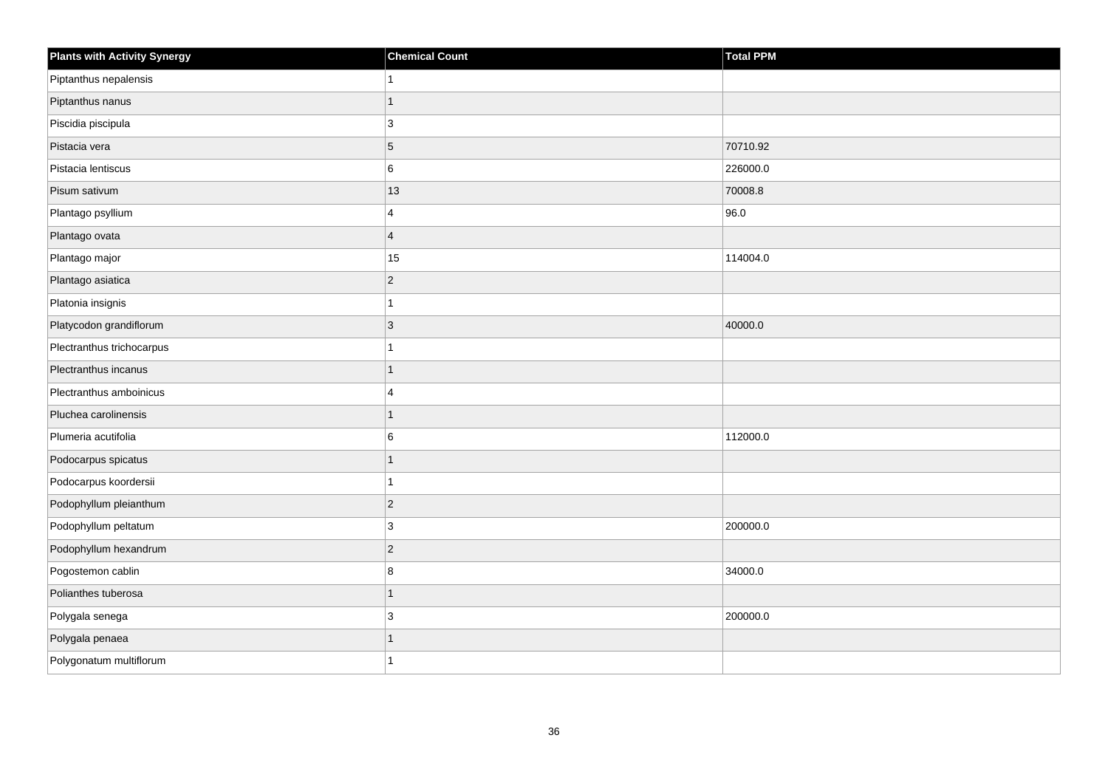| <b>Plants with Activity Synergy</b> | <b>Chemical Count</b> | <b>Total PPM</b> |
|-------------------------------------|-----------------------|------------------|
| Piptanthus nepalensis               |                       |                  |
| Piptanthus nanus                    |                       |                  |
| Piscidia piscipula                  | 3                     |                  |
| Pistacia vera                       | 5                     | 70710.92         |
| Pistacia lentiscus                  | 6                     | 226000.0         |
| Pisum sativum                       | 13                    | 70008.8          |
| Plantago psyllium                   | 4                     | 96.0             |
| Plantago ovata                      | $\overline{4}$        |                  |
| Plantago major                      | 15                    | 114004.0         |
| Plantago asiatica                   | $\overline{2}$        |                  |
| Platonia insignis                   |                       |                  |
| Platycodon grandiflorum             | 3                     | 40000.0          |
| Plectranthus trichocarpus           | 1                     |                  |
| Plectranthus incanus                |                       |                  |
| Plectranthus amboinicus             | $\Delta$              |                  |
| Pluchea carolinensis                | 1                     |                  |
| Plumeria acutifolia                 | 6                     | 112000.0         |
| Podocarpus spicatus                 |                       |                  |
| Podocarpus koordersii               | 1                     |                  |
| Podophyllum pleianthum              | $\overline{2}$        |                  |
| Podophyllum peltatum                | 3                     | 200000.0         |
| Podophyllum hexandrum               | $\overline{2}$        |                  |
| Pogostemon cablin                   | 8                     | 34000.0          |
| Polianthes tuberosa                 | 1                     |                  |
| Polygala senega                     | 3                     | 200000.0         |
| Polygala penaea                     |                       |                  |
| Polygonatum multiflorum             |                       |                  |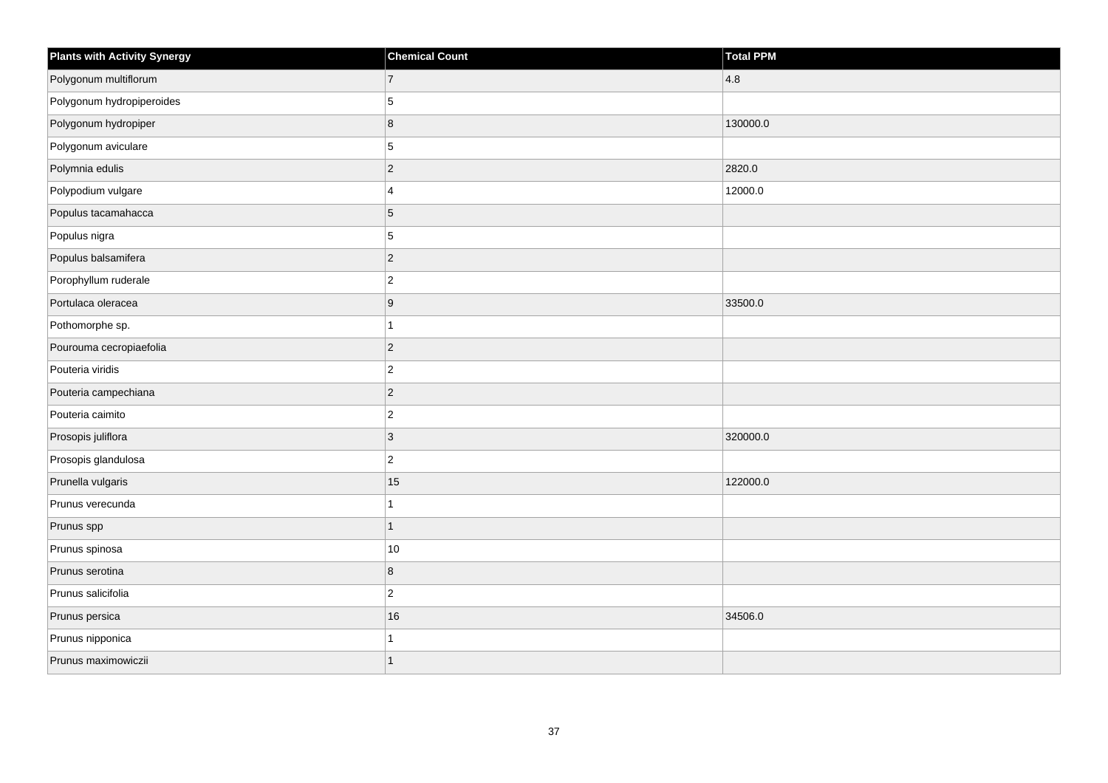| <b>Plants with Activity Synergy</b> | <b>Chemical Count</b> | <b>Total PPM</b> |
|-------------------------------------|-----------------------|------------------|
| Polygonum multiflorum               | $\overline{7}$        | 4.8              |
| Polygonum hydropiperoides           | 5                     |                  |
| Polygonum hydropiper                | 8                     | 130000.0         |
| Polygonum aviculare                 | 5                     |                  |
| Polymnia edulis                     | $\overline{2}$        | 2820.0           |
| Polypodium vulgare                  | 4                     | 12000.0          |
| Populus tacamahacca                 | 5                     |                  |
| Populus nigra                       | 5                     |                  |
| Populus balsamifera                 | $\overline{2}$        |                  |
| Porophyllum ruderale                | $\overline{2}$        |                  |
| Portulaca oleracea                  | 9                     | 33500.0          |
| Pothomorphe sp.                     | 1                     |                  |
| Pourouma cecropiaefolia             | $\overline{2}$        |                  |
| Pouteria viridis                    | $\overline{c}$        |                  |
| Pouteria campechiana                | $\overline{c}$        |                  |
| Pouteria caimito                    | $\overline{2}$        |                  |
| Prosopis juliflora                  | 3                     | 320000.0         |
| Prosopis glandulosa                 | $\overline{c}$        |                  |
| Prunella vulgaris                   | 15                    | 122000.0         |
| Prunus verecunda                    |                       |                  |
| Prunus spp                          | $\overline{1}$        |                  |
| Prunus spinosa                      | $10$                  |                  |
| Prunus serotina                     | 8                     |                  |
| Prunus salicifolia                  | $\overline{a}$        |                  |
| Prunus persica                      | 16                    | 34506.0          |
| Prunus nipponica                    |                       |                  |
| Prunus maximowiczii                 | $\overline{1}$        |                  |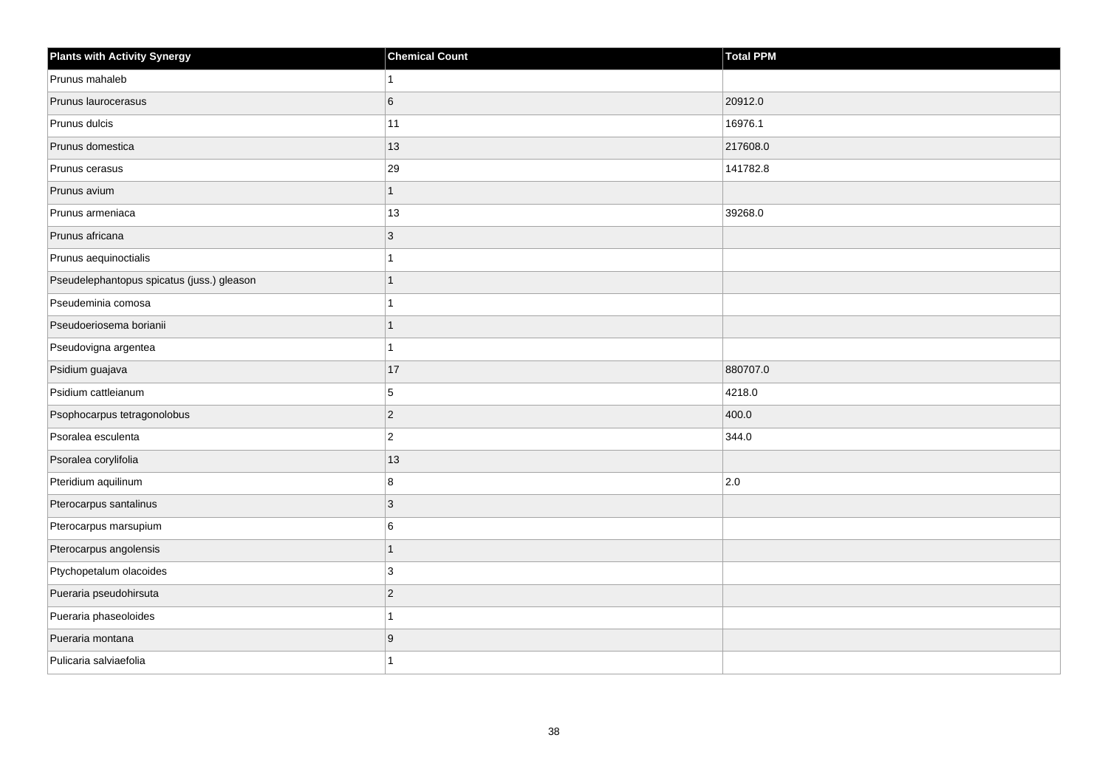| <b>Plants with Activity Synergy</b>        | <b>Chemical Count</b> | <b>Total PPM</b> |
|--------------------------------------------|-----------------------|------------------|
| Prunus mahaleb                             |                       |                  |
| Prunus laurocerasus                        | 6                     | 20912.0          |
| Prunus dulcis                              | 11                    | 16976.1          |
| Prunus domestica                           | 13                    | 217608.0         |
| Prunus cerasus                             | 29                    | 141782.8         |
| Prunus avium                               | 1                     |                  |
| Prunus armeniaca                           | 13                    | 39268.0          |
| Prunus africana                            | 3                     |                  |
| Prunus aequinoctialis                      |                       |                  |
| Pseudelephantopus spicatus (juss.) gleason |                       |                  |
| Pseudeminia comosa                         |                       |                  |
| Pseudoeriosema borianii                    |                       |                  |
| Pseudovigna argentea                       |                       |                  |
| Psidium guajava                            | 17                    | 880707.0         |
| Psidium cattleianum                        | 5                     | 4218.0           |
| Psophocarpus tetragonolobus                | $\overline{2}$        | 400.0            |
| Psoralea esculenta                         | $\overline{c}$        | 344.0            |
| Psoralea corylifolia                       | 13                    |                  |
| Pteridium aquilinum                        | 8                     | 2.0              |
| Pterocarpus santalinus                     | 3                     |                  |
| Pterocarpus marsupium                      | 6                     |                  |
| Pterocarpus angolensis                     | $\overline{1}$        |                  |
| Ptychopetalum olacoides                    | 3                     |                  |
| Pueraria pseudohirsuta                     | $\overline{2}$        |                  |
| Pueraria phaseoloides                      | 1                     |                  |
| Pueraria montana                           | 9                     |                  |
| Pulicaria salviaefolia                     |                       |                  |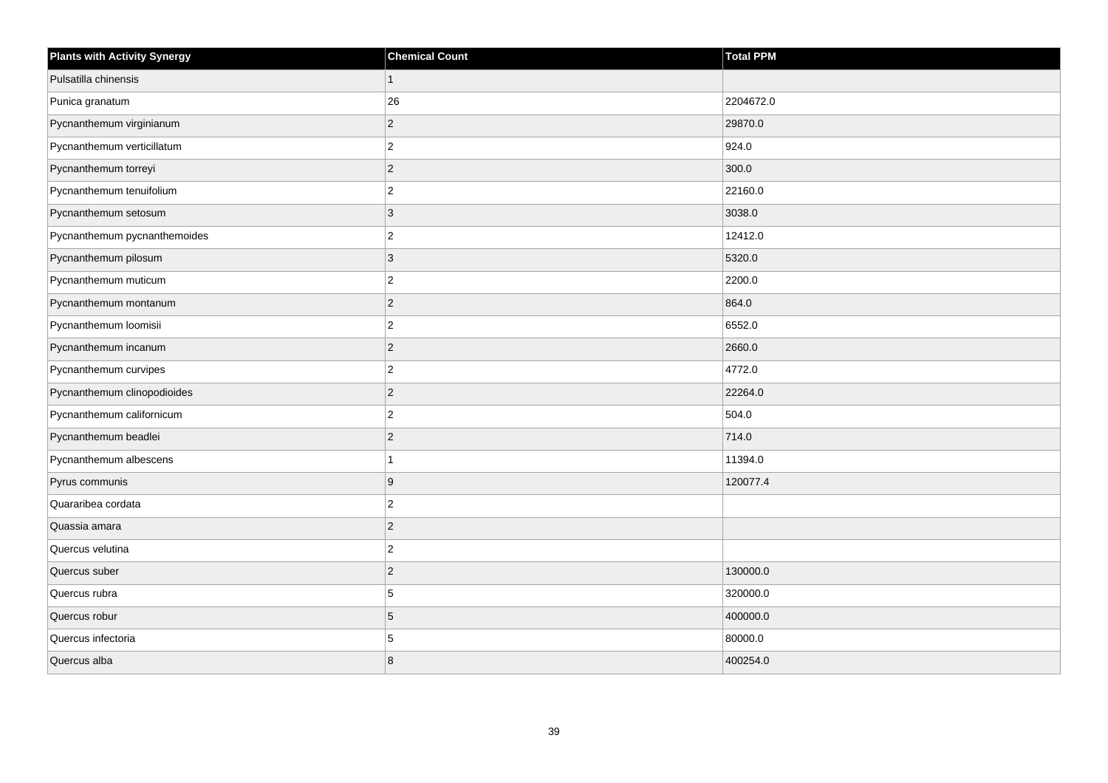| <b>Plants with Activity Synergy</b> | <b>Chemical Count</b> | <b>Total PPM</b> |
|-------------------------------------|-----------------------|------------------|
| Pulsatilla chinensis                | $\mathbf{1}$          |                  |
| Punica granatum                     | 26                    | 2204672.0        |
| Pycnanthemum virginianum            | $\vert$ 2             | 29870.0          |
| Pycnanthemum verticillatum          | $\overline{2}$        | 924.0            |
| Pycnanthemum torreyi                | $\overline{c}$        | 300.0            |
| Pycnanthemum tenuifolium            | $\overline{c}$        | 22160.0          |
| Pycnanthemum setosum                | $\mathbf{3}$          | 3038.0           |
| Pycnanthemum pycnanthemoides        | $\overline{c}$        | 12412.0          |
| Pycnanthemum pilosum                | $\mathbf{3}$          | 5320.0           |
| Pycnanthemum muticum                | $\overline{c}$        | 2200.0           |
| Pycnanthemum montanum               | $\mathbf 2$           | 864.0            |
| Pycnanthemum loomisii               | $\mathbf 2$           | 6552.0           |
| Pycnanthemum incanum                | $\vert$ 2             | 2660.0           |
| Pycnanthemum curvipes               | $\overline{2}$        | 4772.0           |
| Pycnanthemum clinopodioides         | $\vert$ 2             | 22264.0          |
| Pycnanthemum californicum           | $\overline{c}$        | 504.0            |
| Pycnanthemum beadlei                | $\overline{2}$        | 714.0            |
| Pycnanthemum albescens              | $\mathbf{1}$          | 11394.0          |
| Pyrus communis                      | 9                     | 120077.4         |
| Quararibea cordata                  | $\mathbf 2$           |                  |
| Quassia amara                       | $\vert$ 2             |                  |
| Quercus velutina                    | $\overline{2}$        |                  |
| Quercus suber                       | $\mathbf 2$           | 130000.0         |
| Quercus rubra                       | 5                     | 320000.0         |
| Quercus robur                       | $\sqrt{5}$            | 400000.0         |
| Quercus infectoria                  | 5                     | 80000.0          |
| Quercus alba                        | 8                     | 400254.0         |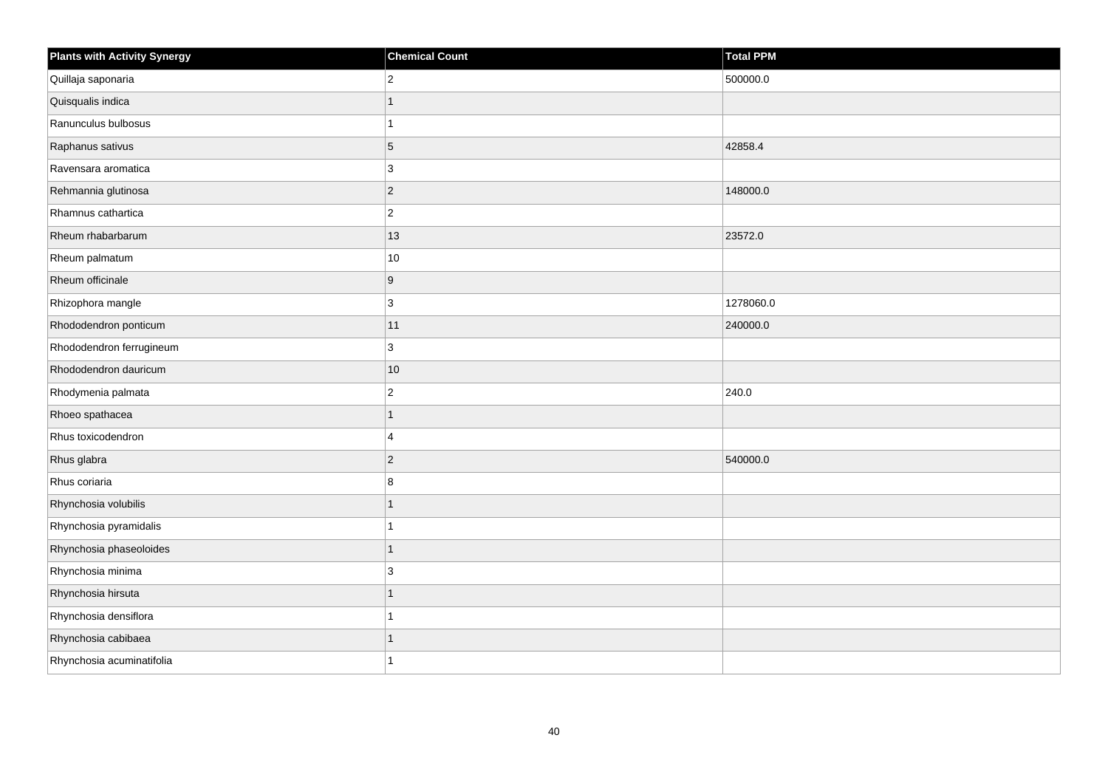| <b>Plants with Activity Synergy</b> | <b>Chemical Count</b> | Total PPM |
|-------------------------------------|-----------------------|-----------|
| Quillaja saponaria                  | $\overline{2}$        | 500000.0  |
| Quisqualis indica                   | $\overline{1}$        |           |
| Ranunculus bulbosus                 | $\overline{ }$        |           |
| Raphanus sativus                    | 5                     | 42858.4   |
| Ravensara aromatica                 | 3                     |           |
| Rehmannia glutinosa                 | $\overline{c}$        | 148000.0  |
| Rhamnus cathartica                  | $\overline{2}$        |           |
| Rheum rhabarbarum                   | 13                    | 23572.0   |
| Rheum palmatum                      | $10$                  |           |
| Rheum officinale                    | 9                     |           |
| Rhizophora mangle                   | 3                     | 1278060.0 |
| Rhododendron ponticum               | 11                    | 240000.0  |
| Rhododendron ferrugineum            | 3                     |           |
| Rhododendron dauricum               | 10                    |           |
| Rhodymenia palmata                  | $\overline{2}$        | 240.0     |
| Rhoeo spathacea                     | $\overline{1}$        |           |
| Rhus toxicodendron                  | 4                     |           |
| Rhus glabra                         | $\overline{2}$        | 540000.0  |
| Rhus coriaria                       | 8                     |           |
| Rhynchosia volubilis                | 1                     |           |
| Rhynchosia pyramidalis              |                       |           |
| Rhynchosia phaseoloides             | $\overline{1}$        |           |
| Rhynchosia minima                   | 3                     |           |
| Rhynchosia hirsuta                  | 1                     |           |
| Rhynchosia densiflora               | 1                     |           |
| Rhynchosia cabibaea                 | 1                     |           |
| Rhynchosia acuminatifolia           | 1                     |           |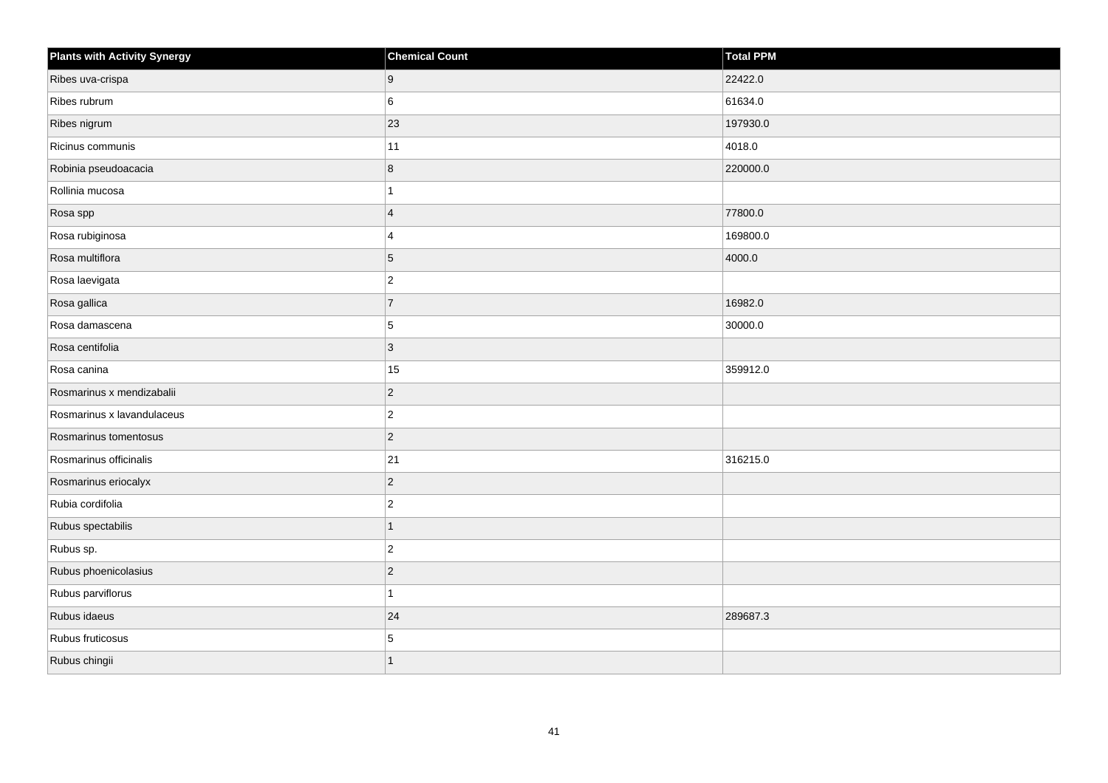| <b>Plants with Activity Synergy</b> | <b>Chemical Count</b>   | Total PPM |
|-------------------------------------|-------------------------|-----------|
| Ribes uva-crispa                    | 9                       | 22422.0   |
| Ribes rubrum                        | 6                       | 61634.0   |
| Ribes nigrum                        | 23                      | 197930.0  |
| Ricinus communis                    | 11                      | 4018.0    |
| Robinia pseudoacacia                | 8                       | 220000.0  |
| Rollinia mucosa                     | $\mathbf{1}$            |           |
| Rosa spp                            | $\overline{4}$          | 77800.0   |
| Rosa rubiginosa                     | $\overline{\mathbf{A}}$ | 169800.0  |
| Rosa multiflora                     | $\vert 5 \vert$         | 4000.0    |
| Rosa laevigata                      | $ 2\rangle$             |           |
| Rosa gallica                        | $\overline{7}$          | 16982.0   |
| Rosa damascena                      | 5                       | 30000.0   |
| Rosa centifolia                     | $ 3\rangle$             |           |
| Rosa canina                         | 15                      | 359912.0  |
| Rosmarinus x mendizabalii           | $ 2\rangle$             |           |
| Rosmarinus x lavandulaceus          | $ 2\rangle$             |           |
| Rosmarinus tomentosus               | $ 2\rangle$             |           |
| Rosmarinus officinalis              | 21                      | 316215.0  |
| Rosmarinus eriocalyx                | $ 2\rangle$             |           |
| Rubia cordifolia                    | $ 2\rangle$             |           |
| Rubus spectabilis                   | 1                       |           |
| Rubus sp.                           | $ 2\rangle$             |           |
| Rubus phoenicolasius                | $\overline{2}$          |           |
| Rubus parviflorus                   | $\mathbf{1}$            |           |
| Rubus idaeus                        | 24                      | 289687.3  |
| Rubus fruticosus                    | 5                       |           |
| Rubus chingii                       | $\overline{1}$          |           |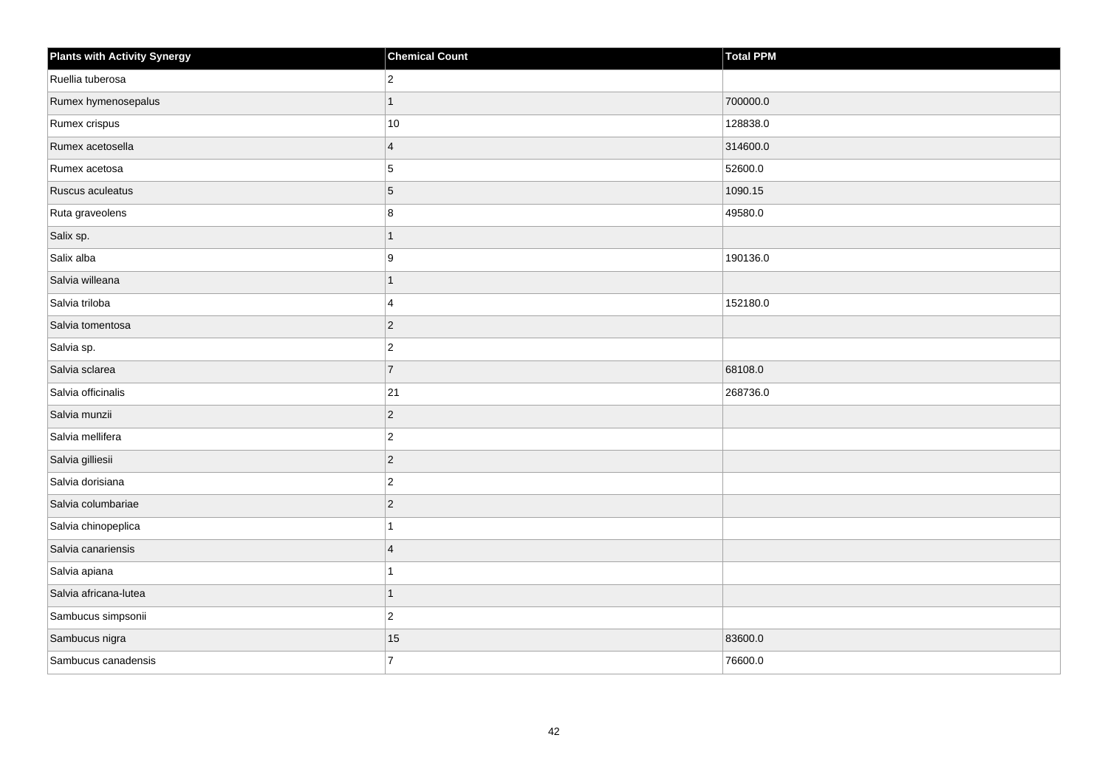| <b>Plants with Activity Synergy</b> | <b>Chemical Count</b> | <b>Total PPM</b> |
|-------------------------------------|-----------------------|------------------|
| Ruellia tuberosa                    | $\mathbf 2$           |                  |
| Rumex hymenosepalus                 | $\mathbf{1}$          | 700000.0         |
| Rumex crispus                       | 10                    | 128838.0         |
| Rumex acetosella                    | $\overline{4}$        | 314600.0         |
| Rumex acetosa                       | 5                     | 52600.0          |
| Ruscus aculeatus                    | $\sqrt{5}$            | 1090.15          |
| Ruta graveolens                     | 8                     | 49580.0          |
| Salix sp.                           | $\mathbf{1}$          |                  |
| Salix alba                          | 9                     | 190136.0         |
| Salvia willeana                     | $\mathbf{1}$          |                  |
| Salvia triloba                      | 4                     | 152180.0         |
| Salvia tomentosa                    | $\vert$ 2             |                  |
| Salvia sp.                          | $\vert$ 2             |                  |
| Salvia sclarea                      | $\overline{7}$        | 68108.0          |
| Salvia officinalis                  | 21                    | 268736.0         |
| Salvia munzii                       | $\mathbf 2$           |                  |
| Salvia mellifera                    | $\mathbf 2$           |                  |
| Salvia gilliesii                    | $\vert$ 2             |                  |
| Salvia dorisiana                    | $\vert$ 2             |                  |
| Salvia columbariae                  | $\mathbf 2$           |                  |
| Salvia chinopeplica                 | $\overline{1}$        |                  |
| Salvia canariensis                  | $\overline{4}$        |                  |
| Salvia apiana                       | $\mathbf{1}$          |                  |
| Salvia africana-lutea               | $\mathbf{1}$          |                  |
| Sambucus simpsonii                  | $\overline{c}$        |                  |
| Sambucus nigra                      | 15                    | 83600.0          |
| Sambucus canadensis                 | $\overline{7}$        | 76600.0          |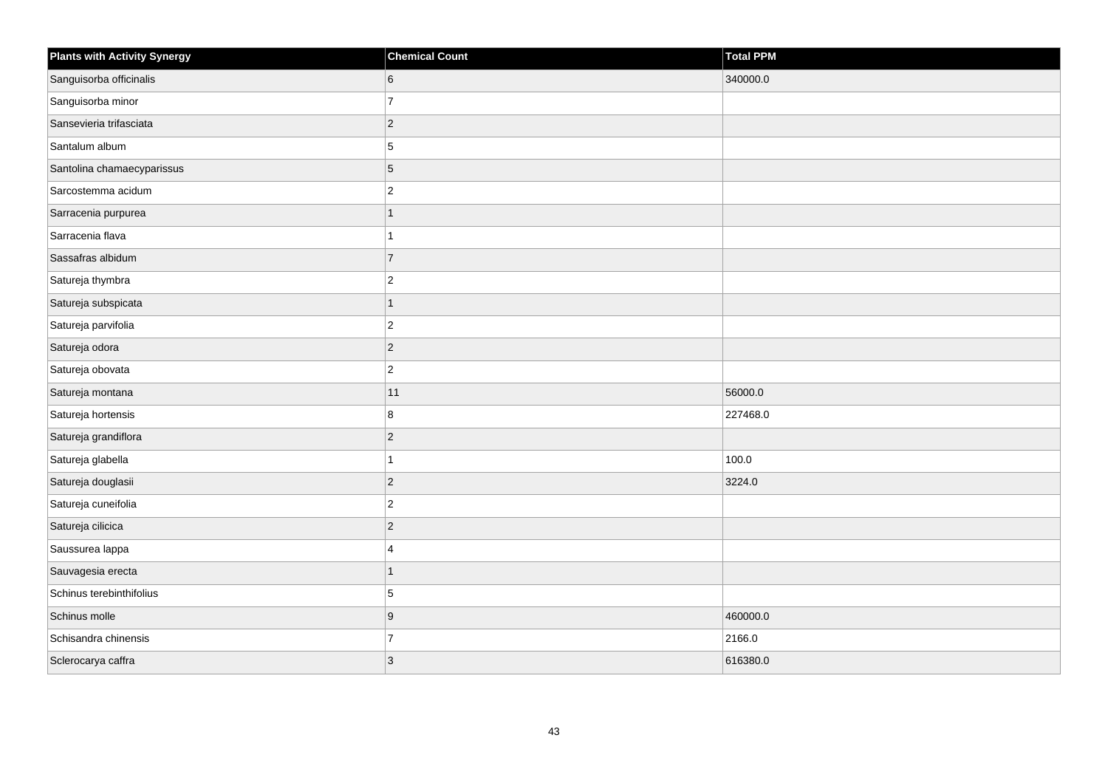| <b>Plants with Activity Synergy</b> | <b>Chemical Count</b> | <b>Total PPM</b> |
|-------------------------------------|-----------------------|------------------|
| Sanguisorba officinalis             | 6                     | 340000.0         |
| Sanguisorba minor                   | $\overline{7}$        |                  |
| Sansevieria trifasciata             | $\overline{2}$        |                  |
| Santalum album                      | 5                     |                  |
| Santolina chamaecyparissus          | 5                     |                  |
| Sarcostemma acidum                  | $\overline{c}$        |                  |
| Sarracenia purpurea                 | $\overline{1}$        |                  |
| Sarracenia flava                    |                       |                  |
| Sassafras albidum                   | $\overline{7}$        |                  |
| Satureja thymbra                    | $\overline{2}$        |                  |
| Satureja subspicata                 | 1                     |                  |
| Satureja parvifolia                 | $\overline{2}$        |                  |
| Satureja odora                      | $\overline{2}$        |                  |
| Satureja obovata                    | $\overline{2}$        |                  |
| Satureja montana                    | 11                    | 56000.0          |
| Satureja hortensis                  | 8                     | 227468.0         |
| Satureja grandiflora                | $\overline{c}$        |                  |
| Satureja glabella                   |                       | 100.0            |
| Satureja douglasii                  | $\overline{2}$        | 3224.0           |
| Satureja cuneifolia                 | $\overline{c}$        |                  |
| Satureja cilicica                   | $\overline{2}$        |                  |
| Saussurea lappa                     | 4                     |                  |
| Sauvagesia erecta                   | 1                     |                  |
| Schinus terebinthifolius            | 5                     |                  |
| Schinus molle                       | 9                     | 460000.0         |
| Schisandra chinensis                | $\overline{7}$        | 2166.0           |
| Sclerocarya caffra                  | 3                     | 616380.0         |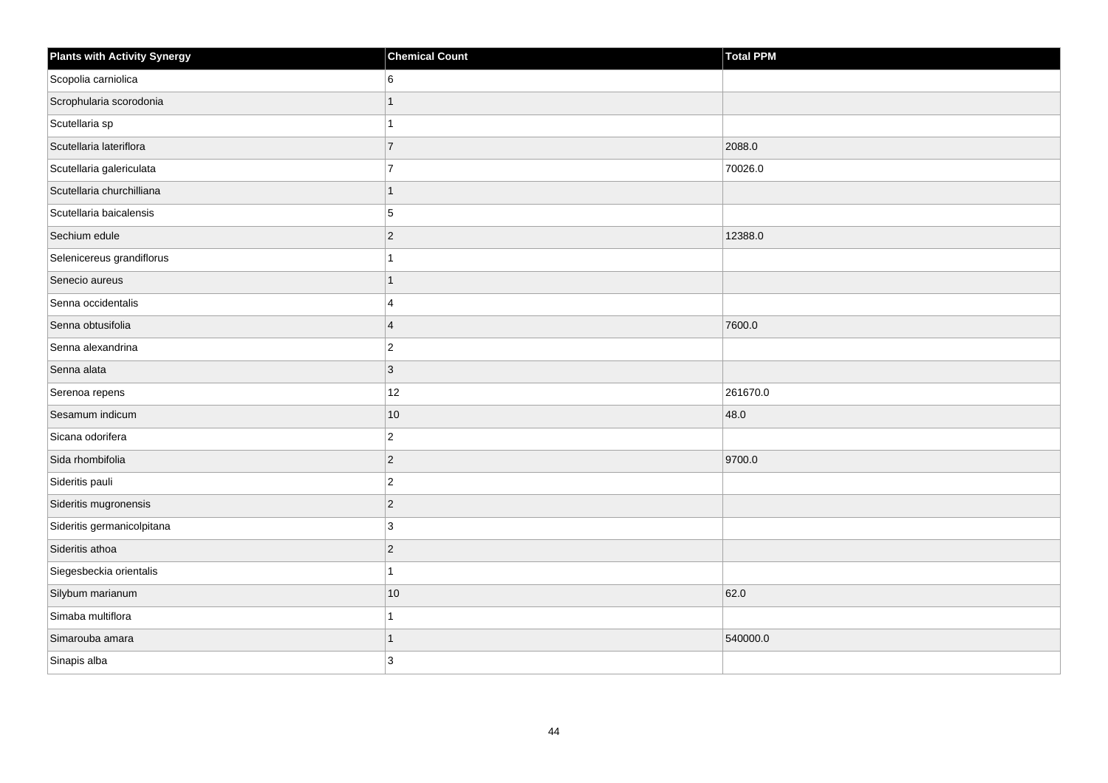| <b>Plants with Activity Synergy</b> | <b>Chemical Count</b> | <b>Total PPM</b> |
|-------------------------------------|-----------------------|------------------|
| Scopolia carniolica                 | 6                     |                  |
| Scrophularia scorodonia             |                       |                  |
| Scutellaria sp                      |                       |                  |
| Scutellaria lateriflora             | $\overline{7}$        | 2088.0           |
| Scutellaria galericulata            | $\overline{7}$        | 70026.0          |
| Scutellaria churchilliana           | 1                     |                  |
| Scutellaria baicalensis             | 5                     |                  |
| Sechium edule                       | $\overline{2}$        | 12388.0          |
| Selenicereus grandiflorus           |                       |                  |
| Senecio aureus                      | 1                     |                  |
| Senna occidentalis                  | 4                     |                  |
| Senna obtusifolia                   | $\overline{4}$        | 7600.0           |
| Senna alexandrina                   | $\overline{2}$        |                  |
| Senna alata                         | 3                     |                  |
| Serenoa repens                      | 12                    | 261670.0         |
| Sesamum indicum                     | 10                    | 48.0             |
| Sicana odorifera                    | $\overline{c}$        |                  |
| Sida rhombifolia                    | $\overline{2}$        | 9700.0           |
| Sideritis pauli                     | $\overline{2}$        |                  |
| Sideritis mugronensis               | $\overline{2}$        |                  |
| Sideritis germanicolpitana          | 3                     |                  |
| Sideritis athoa                     | $\overline{2}$        |                  |
| Siegesbeckia orientalis             |                       |                  |
| Silybum marianum                    | $10$                  | 62.0             |
| Simaba multiflora                   |                       |                  |
| Simarouba amara                     |                       | 540000.0         |
| Sinapis alba                        | 3                     |                  |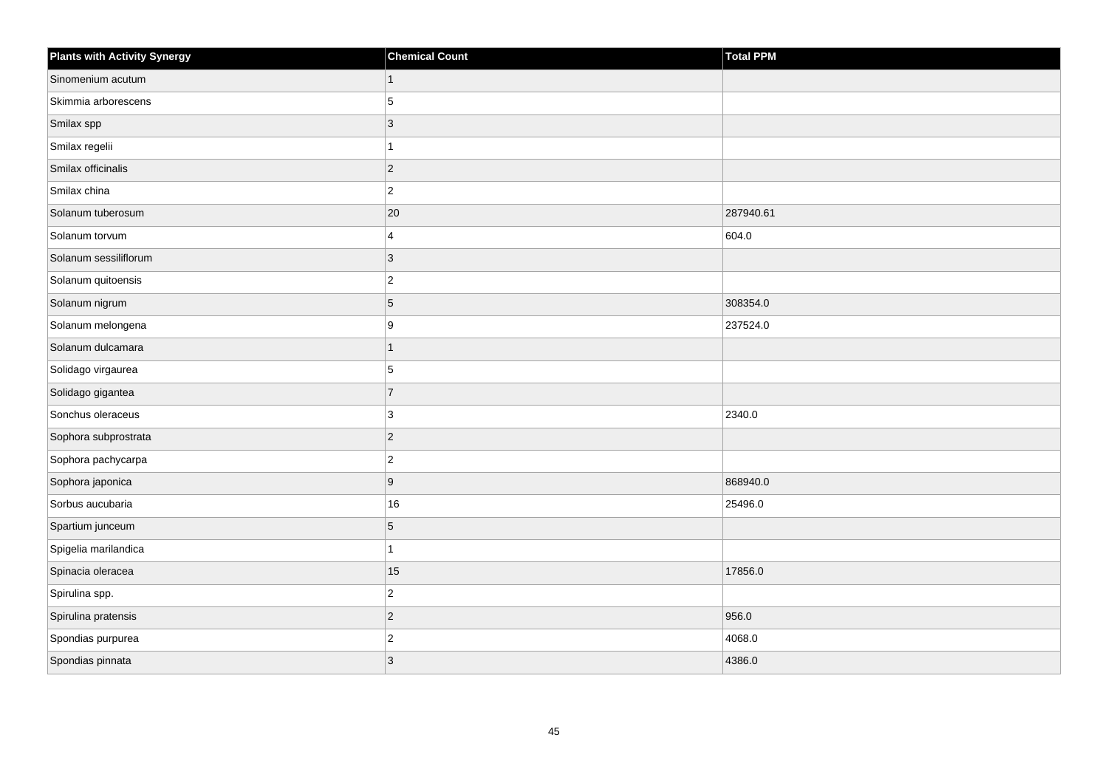| <b>Plants with Activity Synergy</b> | <b>Chemical Count</b> | Total PPM |
|-------------------------------------|-----------------------|-----------|
| Sinomenium acutum                   | $\mathbf{1}$          |           |
| Skimmia arborescens                 | 5                     |           |
| Smilax spp                          | $ 3\rangle$           |           |
| Smilax regelii                      | $\mathbf{1}$          |           |
| Smilax officinalis                  | $ 2\rangle$           |           |
| Smilax china                        | $ 2\rangle$           |           |
| Solanum tuberosum                   | 20                    | 287940.61 |
| Solanum torvum                      | 4                     | 604.0     |
| Solanum sessiliflorum               | 3                     |           |
| Solanum quitoensis                  | $ 2\rangle$           |           |
| Solanum nigrum                      | $\overline{5}$        | 308354.0  |
| Solanum melongena                   | 9                     | 237524.0  |
| Solanum dulcamara                   | $\overline{1}$        |           |
| Solidago virgaurea                  | 5                     |           |
| Solidago gigantea                   | $\overline{7}$        |           |
| Sonchus oleraceus                   | $ 3\rangle$           | 2340.0    |
| Sophora subprostrata                | $ 2\rangle$           |           |
| Sophora pachycarpa                  | $\overline{2}$        |           |
| Sophora japonica                    | 9                     | 868940.0  |
| Sorbus aucubaria                    | 16                    | 25496.0   |
| Spartium junceum                    | $\overline{5}$        |           |
| Spigelia marilandica                | $\mathbf{1}$          |           |
| Spinacia oleracea                   | 15                    | 17856.0   |
| Spirulina spp.                      | $ 2\rangle$           |           |
| Spirulina pratensis                 | $ 2\rangle$           | 956.0     |
| Spondias purpurea                   | $ 2\rangle$           | 4068.0    |
| Spondias pinnata                    | 3                     | 4386.0    |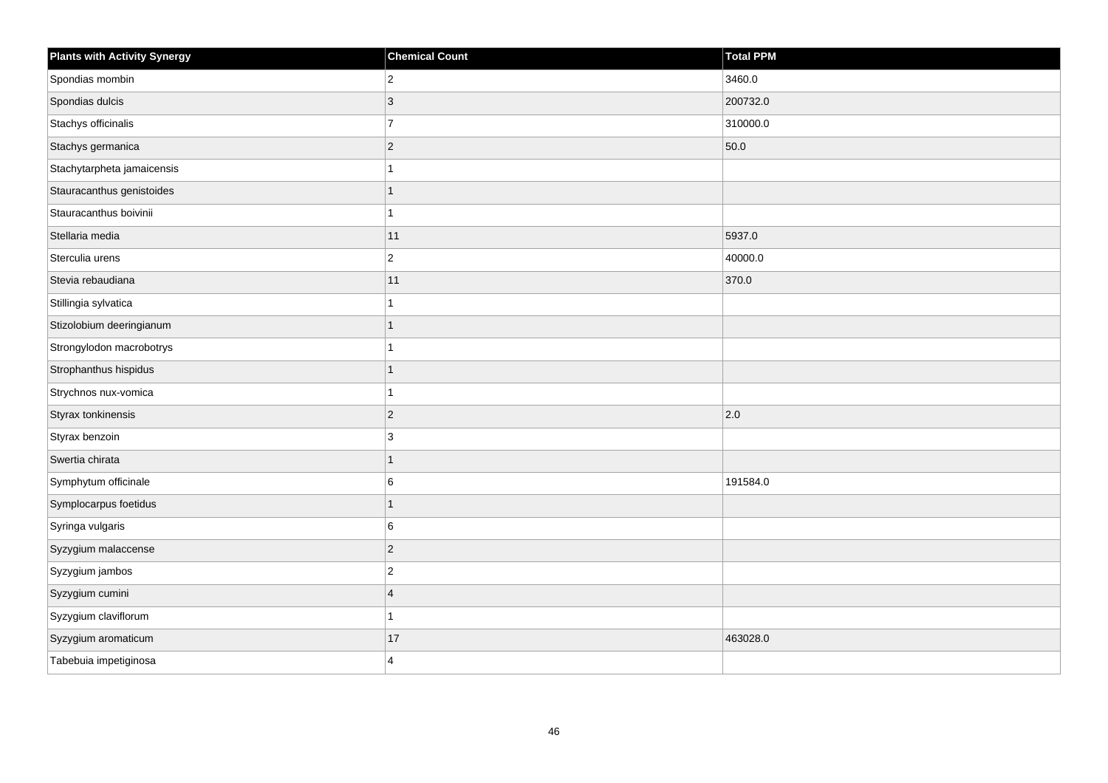| <b>Plants with Activity Synergy</b> | <b>Chemical Count</b> | Total PPM |
|-------------------------------------|-----------------------|-----------|
| Spondias mombin                     | $\overline{2}$        | 3460.0    |
| Spondias dulcis                     | 3                     | 200732.0  |
| Stachys officinalis                 | $\overline{7}$        | 310000.0  |
| Stachys germanica                   | $\overline{2}$        | 50.0      |
| Stachytarpheta jamaicensis          |                       |           |
| Stauracanthus genistoides           |                       |           |
| Stauracanthus boivinii              | 1                     |           |
| Stellaria media                     | 11                    | 5937.0    |
| Sterculia urens                     | $\overline{2}$        | 40000.0   |
| Stevia rebaudiana                   | 11                    | 370.0     |
| Stillingia sylvatica                |                       |           |
| Stizolobium deeringianum            |                       |           |
| Strongylodon macrobotrys            | 1                     |           |
| Strophanthus hispidus               | 1                     |           |
| Strychnos nux-vomica                |                       |           |
| Styrax tonkinensis                  | $\overline{c}$        | 2.0       |
| Styrax benzoin                      | 3                     |           |
| Swertia chirata                     | 1                     |           |
| Symphytum officinale                | 6                     | 191584.0  |
| Symplocarpus foetidus               | 1                     |           |
| Syringa vulgaris                    | 6                     |           |
| Syzygium malaccense                 | $\overline{2}$        |           |
| Syzygium jambos                     | $\overline{c}$        |           |
| Syzygium cumini                     | $\overline{4}$        |           |
| Syzygium claviflorum                |                       |           |
| Syzygium aromaticum                 | 17                    | 463028.0  |
| Tabebuia impetiginosa               | 4                     |           |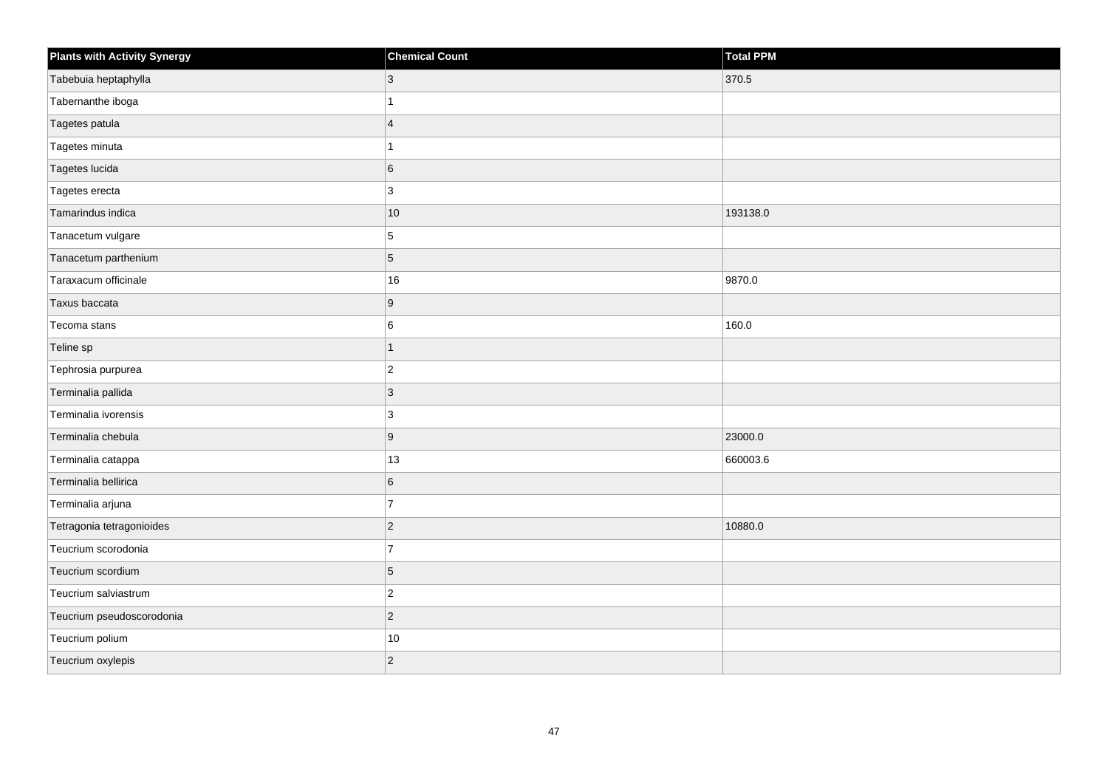| <b>Plants with Activity Synergy</b> | <b>Chemical Count</b> | Total PPM |
|-------------------------------------|-----------------------|-----------|
| Tabebuia heptaphylla                | 3                     | 370.5     |
| Tabernanthe iboga                   |                       |           |
| Tagetes patula                      | $\overline{4}$        |           |
| Tagetes minuta                      | 1                     |           |
| Tagetes lucida                      | 6                     |           |
| Tagetes erecta                      | 3                     |           |
| Tamarindus indica                   | $10$                  | 193138.0  |
| Tanacetum vulgare                   | 5                     |           |
| Tanacetum parthenium                | $5\phantom{.0}$       |           |
| Taraxacum officinale                | $16\,$                | 9870.0    |
| Taxus baccata                       | $9\,$                 |           |
| Tecoma stans                        | 6                     | 160.0     |
| Teline sp                           | $\mathbf{1}$          |           |
| Tephrosia purpurea                  | $ 2\rangle$           |           |
| Terminalia pallida                  | $ 3\rangle$           |           |
| Terminalia ivorensis                | 3                     |           |
| Terminalia chebula                  | 9                     | 23000.0   |
| Terminalia catappa                  | 13                    | 660003.6  |
| Terminalia bellirica                | $6\phantom{.}$        |           |
| Terminalia arjuna                   | $\overline{7}$        |           |
| Tetragonia tetragonioides           | $ 2\rangle$           | 10880.0   |
| Teucrium scorodonia                 | $\overline{7}$        |           |
| Teucrium scordium                   | $\overline{5}$        |           |
| Teucrium salviastrum                | $\overline{c}$        |           |
| Teucrium pseudoscorodonia           | $ 2\rangle$           |           |
| Teucrium polium                     | $10\,$                |           |
| Teucrium oxylepis                   | $\overline{c}$        |           |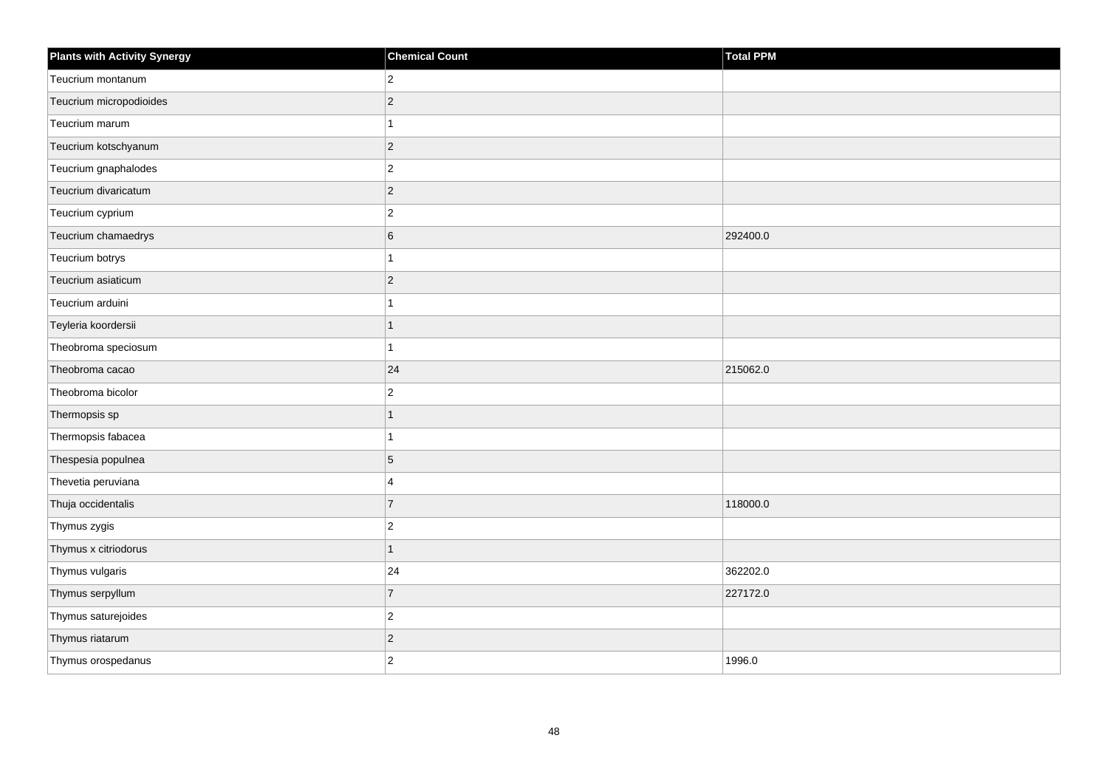| <b>Plants with Activity Synergy</b> | <b>Chemical Count</b> | <b>Total PPM</b> |
|-------------------------------------|-----------------------|------------------|
| Teucrium montanum                   | $ 2\rangle$           |                  |
| Teucrium micropodioides             | $\mathbf 2$           |                  |
| Teucrium marum                      | $\mathbf{1}$          |                  |
| Teucrium kotschyanum                | $\overline{2}$        |                  |
| Teucrium gnaphalodes                | $\overline{c}$        |                  |
| Teucrium divaricatum                | $\vert$ 2             |                  |
| Teucrium cyprium                    | $\vert$ 2             |                  |
| Teucrium chamaedrys                 | $\,6$                 | 292400.0         |
| Teucrium botrys                     | $\mathbf{1}$          |                  |
| Teucrium asiaticum                  | $\vert$ 2             |                  |
| Teucrium arduini                    | $\mathbf{1}$          |                  |
| Teyleria koordersii                 | $\mathbf{1}$          |                  |
| Theobroma speciosum                 | $\mathbf{1}$          |                  |
| Theobroma cacao                     | 24                    | 215062.0         |
| Theobroma bicolor                   | $\overline{c}$        |                  |
| Thermopsis sp                       | $\mathbf{1}$          |                  |
| Thermopsis fabacea                  | $\mathbf{1}$          |                  |
| Thespesia populnea                  | $\overline{5}$        |                  |
| Thevetia peruviana                  | $\overline{4}$        |                  |
| Thuja occidentalis                  | $\overline{7}$        | 118000.0         |
| Thymus zygis                        | $\overline{2}$        |                  |
| Thymus x citriodorus                | $\mathbf{1}$          |                  |
| Thymus vulgaris                     | 24                    | 362202.0         |
| Thymus serpyllum                    | $\overline{7}$        | 227172.0         |
| Thymus saturejoides                 | $\overline{2}$        |                  |
| Thymus riatarum                     | $\sqrt{2}$            |                  |
| Thymus orospedanus                  | $\overline{2}$        | 1996.0           |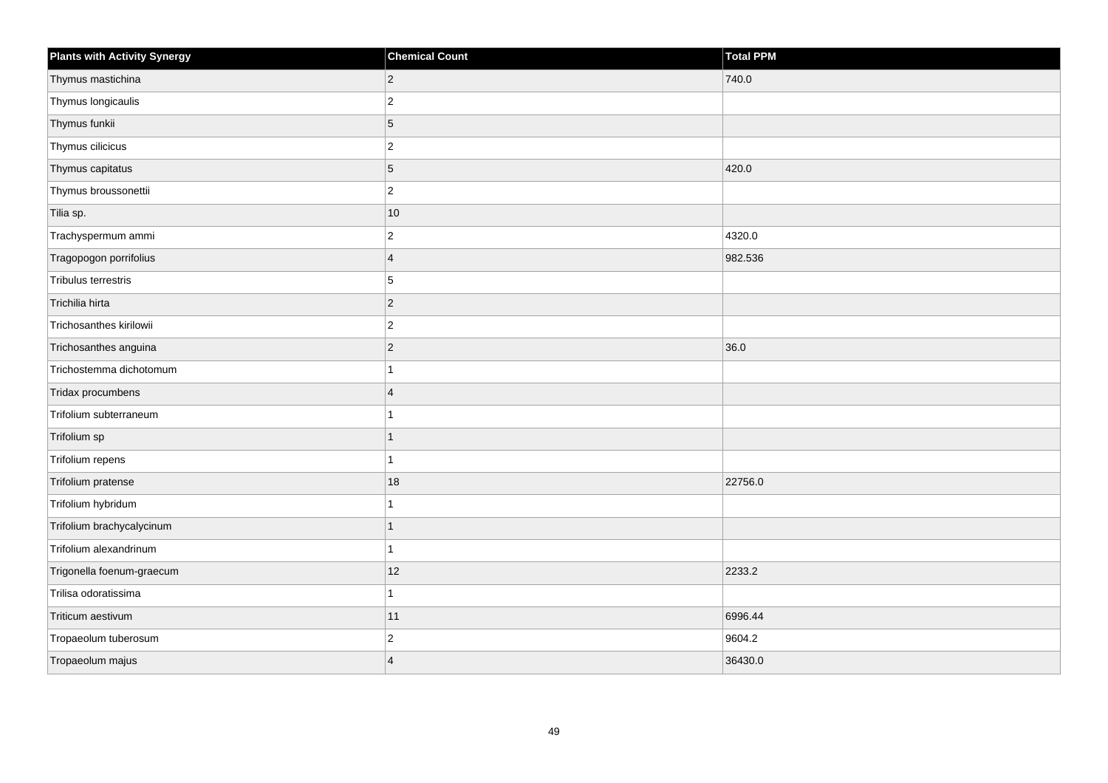| <b>Plants with Activity Synergy</b> | <b>Chemical Count</b> | <b>Total PPM</b> |
|-------------------------------------|-----------------------|------------------|
| Thymus mastichina                   | $\overline{2}$        | 740.0            |
| Thymus longicaulis                  | $\overline{2}$        |                  |
| Thymus funkii                       | 5                     |                  |
| Thymus cilicicus                    | $\overline{2}$        |                  |
| Thymus capitatus                    | 5                     | 420.0            |
| Thymus broussonettii                | $\overline{2}$        |                  |
| Tilia sp.                           | 10                    |                  |
| Trachyspermum ammi                  | $\overline{c}$        | 4320.0           |
| Tragopogon porrifolius              | $\overline{4}$        | 982.536          |
| Tribulus terrestris                 | 5                     |                  |
| Trichilia hirta                     | $\overline{2}$        |                  |
| Trichosanthes kirilowii             | $\overline{c}$        |                  |
| Trichosanthes anguina               | $\overline{2}$        | 36.0             |
| Trichostemma dichotomum             |                       |                  |
| Tridax procumbens                   | $\overline{4}$        |                  |
| Trifolium subterraneum              |                       |                  |
| Trifolium sp                        | 1                     |                  |
| Trifolium repens                    |                       |                  |
| Trifolium pratense                  | 18                    | 22756.0          |
| Trifolium hybridum                  |                       |                  |
| Trifolium brachycalycinum           |                       |                  |
| Trifolium alexandrinum              | 1                     |                  |
| Trigonella foenum-graecum           | 12                    | 2233.2           |
| Trilisa odoratissima                |                       |                  |
| Triticum aestivum                   | 11                    | 6996.44          |
| Tropaeolum tuberosum                | $\overline{c}$        | 9604.2           |
| Tropaeolum majus                    | $\overline{A}$        | 36430.0          |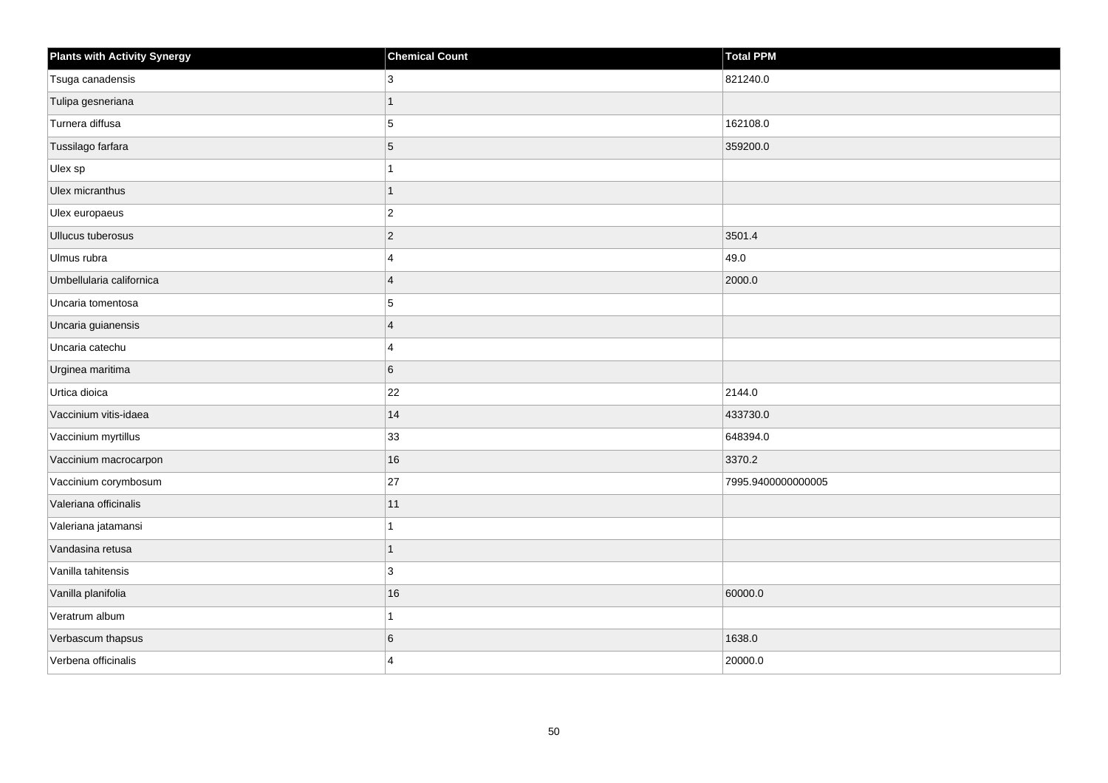| <b>Plants with Activity Synergy</b> | <b>Chemical Count</b>   | <b>Total PPM</b>   |
|-------------------------------------|-------------------------|--------------------|
| Tsuga canadensis                    | 3                       | 821240.0           |
| Tulipa gesneriana                   | 1                       |                    |
| Turnera diffusa                     | $\overline{5}$          | 162108.0           |
| Tussilago farfara                   | $\overline{5}$          | 359200.0           |
| Ulex sp                             | 1                       |                    |
| Ulex micranthus                     | $\overline{1}$          |                    |
| Ulex europaeus                      | $ 2\rangle$             |                    |
| Ullucus tuberosus                   | $ 2\rangle$             | 3501.4             |
| Ulmus rubra                         | 4                       | 49.0               |
| Umbellularia californica            | $\overline{4}$          | 2000.0             |
| Uncaria tomentosa                   | 5                       |                    |
| Uncaria guianensis                  | $\overline{4}$          |                    |
| Uncaria catechu                     | $\overline{4}$          |                    |
| Urginea maritima                    | $\,6$                   |                    |
| Urtica dioica                       | 22                      | 2144.0             |
| Vaccinium vitis-idaea               | 14                      | 433730.0           |
| Vaccinium myrtillus                 | 33                      | 648394.0           |
| Vaccinium macrocarpon               | 16                      | 3370.2             |
| Vaccinium corymbosum                | 27                      | 7995.9400000000005 |
| Valeriana officinalis               | 11                      |                    |
| Valeriana jatamansi                 | 1                       |                    |
| Vandasina retusa                    | $\mathbf{1}$            |                    |
| Vanilla tahitensis                  | 3                       |                    |
| Vanilla planifolia                  | $16\,$                  | 60000.0            |
| Veratrum album                      | $\mathbf{1}$            |                    |
| Verbascum thapsus                   | 6                       | 1638.0             |
| Verbena officinalis                 | $\overline{\mathbf{A}}$ | 20000.0            |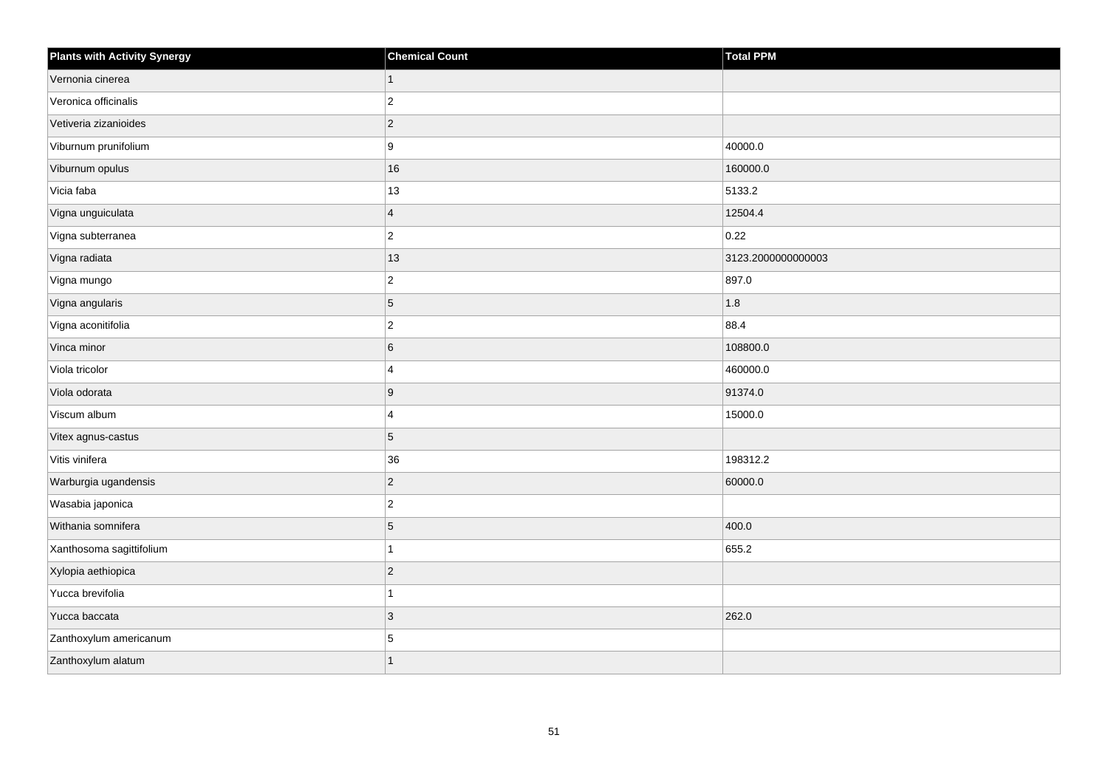| <b>Plants with Activity Synergy</b> | <b>Chemical Count</b>   | Total PPM         |
|-------------------------------------|-------------------------|-------------------|
| Vernonia cinerea                    | $\mathbf{1}$            |                   |
| Veronica officinalis                | $ 2\rangle$             |                   |
| Vetiveria zizanioides               | $ 2\rangle$             |                   |
| Viburnum prunifolium                | 9                       | 40000.0           |
| Viburnum opulus                     | 16                      | 160000.0          |
| Vicia faba                          | 13                      | 5133.2            |
| Vigna unguiculata                   | $\vert 4 \vert$         | 12504.4           |
| Vigna subterranea                   | $ 2\rangle$             | 0.22              |
| Vigna radiata                       | $13$                    | 3123.200000000003 |
| Vigna mungo                         | $ 2\rangle$             | 897.0             |
| Vigna angularis                     | 5                       | 1.8               |
| Vigna aconitifolia                  | $ 2\rangle$             | 88.4              |
| Vinca minor                         | $6\overline{6}$         | 108800.0          |
| Viola tricolor                      | $\overline{\mathbf{4}}$ | 460000.0          |
| Viola odorata                       | 9                       | 91374.0           |
| Viscum album                        | 4                       | 15000.0           |
| Vitex agnus-castus                  | $\overline{5}$          |                   |
| Vitis vinifera                      | 36                      | 198312.2          |
| Warburgia ugandensis                | $ 2\rangle$             | 60000.0           |
| Wasabia japonica                    | $\overline{2}$          |                   |
| Withania somnifera                  | $\vert 5 \vert$         | 400.0             |
| Xanthosoma sagittifolium            | 1                       | 655.2             |
| Xylopia aethiopica                  | $\vert$ 2               |                   |
| Yucca brevifolia                    | $\mathbf{1}$            |                   |
| Yucca baccata                       | 3                       | 262.0             |
| Zanthoxylum americanum              | 5                       |                   |
| Zanthoxylum alatum                  | $\overline{1}$          |                   |